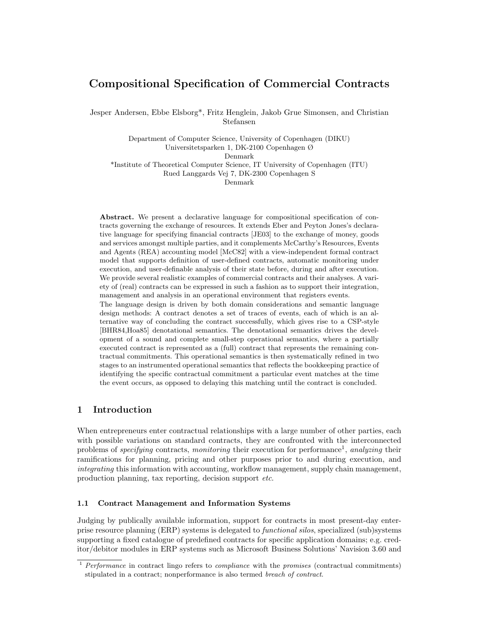# Compositional Specification of Commercial Contracts

Jesper Andersen, Ebbe Elsborg\*, Fritz Henglein, Jakob Grue Simonsen, and Christian Stefansen

Department of Computer Science, University of Copenhagen (DIKU) Universitetsparken 1, DK-2100 Copenhagen Ø Denmark \*Institute of Theoretical Computer Science, IT University of Copenhagen (ITU) Rued Langgards Vej 7, DK-2300 Copenhagen S

Denmark

Abstract. We present a declarative language for compositional specification of contracts governing the exchange of resources. It extends Eber and Peyton Jones's declarative language for specifying financial contracts [JE03] to the exchange of money, goods and services amongst multiple parties, and it complements McCarthy's Resources, Events and Agents (REA) accounting model [McC82] with a view-independent formal contract model that supports definition of user-defined contracts, automatic monitoring under execution, and user-definable analysis of their state before, during and after execution. We provide several realistic examples of commercial contracts and their analyses. A variety of (real) contracts can be expressed in such a fashion as to support their integration, management and analysis in an operational environment that registers events.

The language design is driven by both domain considerations and semantic language design methods: A contract denotes a set of traces of events, each of which is an alternative way of concluding the contract successfully, which gives rise to a CSP-style [BHR84,Hoa85] denotational semantics. The denotational semantics drives the development of a sound and complete small-step operational semantics, where a partially executed contract is represented as a (full) contract that represents the remaining contractual commitments. This operational semantics is then systematically refined in two stages to an instrumented operational semantics that reflects the bookkeeping practice of identifying the specific contractual commitment a particular event matches at the time the event occurs, as opposed to delaying this matching until the contract is concluded.

## 1 Introduction

When entrepreneurs enter contractual relationships with a large number of other parties, each with possible variations on standard contracts, they are confronted with the interconnected problems of *specifying* contracts, *monitoring* their execution for performance<sup>1</sup>, *analyzing* their ramifications for planning, pricing and other purposes prior to and during execution, and integrating this information with accounting, workflow management, supply chain management, production planning, tax reporting, decision support etc.

#### 1.1 Contract Management and Information Systems

Judging by publically available information, support for contracts in most present-day enterprise resource planning (ERP) systems is delegated to functional silos, specialized (sub)systems supporting a fixed catalogue of predefined contracts for specific application domains; e.g. creditor/debitor modules in ERP systems such as Microsoft Business Solutions' Navision 3.60 and

 $1$  Performance in contract lingo refers to *compliance* with the *promises* (contractual commitments) stipulated in a contract; nonperformance is also termed breach of contract.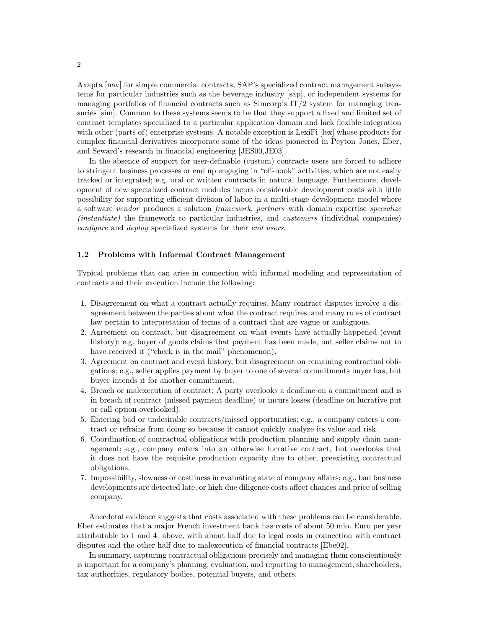Axapta [nav] for simple commercial contracts, SAP's specialized contract management subsystems for particular industries such as the beverage industry [sap], or independent systems for managing portfolios of financial contracts such as  $Simcorp's IT/2$  system for managing treasuries [sim]. Common to these systems seems to be that they support a fixed and limited set of contract templates specialized to a particular application domain and lack flexible integration with other (parts of) enterprise systems. A notable exception is LexiFi [lex] whose products for complex financial derivatives incorporate some of the ideas pioneered in Peyton Jones, Eber, and Seward's research in financial engineering [JES00,JE03].

In the absence of support for user-definable (custom) contracts users are forced to adhere to stringent business processes or end up engaging in "off-book" activities, which are not easily tracked or integrated; e.g. oral or written contracts in natural language. Furthermore, development of new specialized contract modules incurs considerable development costs with little possibility for supporting efficient division of labor in a multi-stage development model where a software vendor produces a solution framework, partners with domain expertise specialize (instantiate) the framework to particular industries, and customers (individual companies) configure and deploy specialized systems for their end users.

#### 1.2 Problems with Informal Contract Management

Typical problems that can arise in connection with informal modeling and representation of contracts and their execution include the following:

- 1. Disagreement on what a contract actually requires. Many contract disputes involve a disagreement between the parties about what the contract requires, and many rules of contract law pertain to interpretation of terms of a contract that are vague or ambiguous.
- 2. Agreement on contract, but disagreement on what events have actually happened (event history); e.g. buyer of goods claims that payment has been made, but seller claims not to have received it ("check is in the mail" phenomenon).
- 3. Agreement on contract and event history, but disagreement on remaining contractual obligations; e.g., seller applies payment by buyer to one of several commitments buyer has, but buyer intends it for another commitment.
- 4. Breach or malexecution of contract: A party overlooks a deadline on a commitment and is in breach of contract (missed payment deadline) or incurs losses (deadline on lucrative put or call option overlooked).
- 5. Entering bad or undesirable contracts/missed opportunities; e.g., a company enters a contract or refrains from doing so because it cannot quickly analyze its value and risk.
- 6. Coordination of contractual obligations with production planning and supply chain management; e.g., company enters into an otherwise lucrative contract, but overlooks that it does not have the requisite production capacity due to other, preexisting contractual obligations.
- 7. Impossibility, slowness or costliness in evaluating state of company affairs; e.g., bad business developments are detected late, or high due diligence costs affect chances and price of selling company.

Anecdotal evidence suggests that costs associated with these problems can be considerable. Eber estimates that a major French investment bank has costs of about 50 mio. Euro per year attributable to 1 and 4 above, with about half due to legal costs in connection with contract disputes and the other half due to malexecution of financial contracts [Ebe02].

In summary, capturing contractual obligations precisely and managing them conscientiously is important for a company's planning, evaluation, and reporting to management, shareholders, tax authorities, regulatory bodies, potential buyers, and others.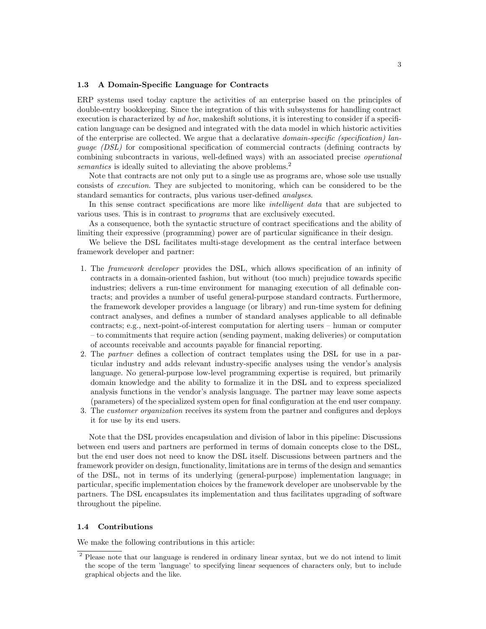#### 1.3 A Domain-Specific Language for Contracts

ERP systems used today capture the activities of an enterprise based on the principles of double-entry bookkeeping. Since the integration of this with subsystems for handling contract execution is characterized by ad hoc, makeshift solutions, it is interesting to consider if a specification language can be designed and integrated with the data model in which historic activities of the enterprise are collected. We argue that a declarative domain-specific (specification) language (DSL) for compositional specification of commercial contracts (defining contracts by combining subcontracts in various, well-defined ways) with an associated precise operational semantics is ideally suited to alleviating the above problems.<sup>2</sup>

Note that contracts are not only put to a single use as programs are, whose sole use usually consists of execution. They are subjected to monitoring, which can be considered to be the standard semantics for contracts, plus various user-defined analyses.

In this sense contract specifications are more like *intelligent data* that are subjected to various uses. This is in contrast to programs that are exclusively executed.

As a consequence, both the syntactic structure of contract specifications and the ability of limiting their expressive (programming) power are of particular significance in their design.

We believe the DSL facilitates multi-stage development as the central interface between framework developer and partner:

- 1. The framework developer provides the DSL, which allows specification of an infinity of contracts in a domain-oriented fashion, but without (too much) prejudice towards specific industries; delivers a run-time environment for managing execution of all definable contracts; and provides a number of useful general-purpose standard contracts. Furthermore, the framework developer provides a language (or library) and run-time system for defining contract analyses, and defines a number of standard analyses applicable to all definable contracts; e.g., next-point-of-interest computation for alerting users – human or computer – to commitments that require action (sending payment, making deliveries) or computation of accounts receivable and accounts payable for financial reporting.
- 2. The partner defines a collection of contract templates using the DSL for use in a particular industry and adds relevant industry-specific analyses using the vendor's analysis language. No general-purpose low-level programming expertise is required, but primarily domain knowledge and the ability to formalize it in the DSL and to express specialized analysis functions in the vendor's analysis language. The partner may leave some aspects (parameters) of the specialized system open for final configuration at the end user company.
- 3. The customer organization receives its system from the partner and configures and deploys it for use by its end users.

Note that the DSL provides encapsulation and division of labor in this pipeline: Discussions between end users and partners are performed in terms of domain concepts close to the DSL, but the end user does not need to know the DSL itself. Discussions between partners and the framework provider on design, functionality, limitations are in terms of the design and semantics of the DSL, not in terms of its underlying (general-purpose) implementation language; in particular, specific implementation choices by the framework developer are unobservable by the partners. The DSL encapsulates its implementation and thus facilitates upgrading of software throughout the pipeline.

#### 1.4 Contributions

We make the following contributions in this article:

<sup>2</sup> Please note that our language is rendered in ordinary linear syntax, but we do not intend to limit the scope of the term 'language' to specifying linear sequences of characters only, but to include graphical objects and the like.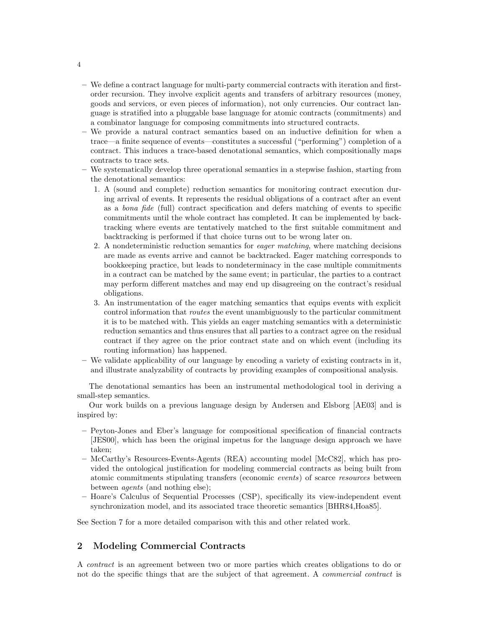- We define a contract language for multi-party commercial contracts with iteration and firstorder recursion. They involve explicit agents and transfers of arbitrary resources (money, goods and services, or even pieces of information), not only currencies. Our contract language is stratified into a pluggable base language for atomic contracts (commitments) and a combinator language for composing commitments into structured contracts.
- We provide a natural contract semantics based on an inductive definition for when a trace—a finite sequence of events—constitutes a successful ("performing") completion of a contract. This induces a trace-based denotational semantics, which compositionally maps contracts to trace sets.
- We systematically develop three operational semantics in a stepwise fashion, starting from the denotational semantics:
	- 1. A (sound and complete) reduction semantics for monitoring contract execution during arrival of events. It represents the residual obligations of a contract after an event as a bona fide (full) contract specification and defers matching of events to specific commitments until the whole contract has completed. It can be implemented by backtracking where events are tentatively matched to the first suitable commitment and backtracking is performed if that choice turns out to be wrong later on.
	- 2. A nondeterministic reduction semantics for *eager matching*, where matching decisions are made as events arrive and cannot be backtracked. Eager matching corresponds to bookkeeping practice, but leads to nondeterminacy in the case multiple commitments in a contract can be matched by the same event; in particular, the parties to a contract may perform different matches and may end up disagreeing on the contract's residual obligations.
	- 3. An instrumentation of the eager matching semantics that equips events with explicit control information that routes the event unambiguously to the particular commitment it is to be matched with. This yields an eager matching semantics with a deterministic reduction semantics and thus ensures that all parties to a contract agree on the residual contract if they agree on the prior contract state and on which event (including its routing information) has happened.
- We validate applicability of our language by encoding a variety of existing contracts in it, and illustrate analyzability of contracts by providing examples of compositional analysis.

The denotational semantics has been an instrumental methodological tool in deriving a small-step semantics.

Our work builds on a previous language design by Andersen and Elsborg [AE03] and is inspired by:

- Peyton-Jones and Eber's language for compositional specification of financial contracts [JES00], which has been the original impetus for the language design approach we have taken;
- McCarthy's Resources-Events-Agents (REA) accounting model [McC82], which has provided the ontological justification for modeling commercial contracts as being built from atomic commitments stipulating transfers (economic events) of scarce resources between between agents (and nothing else);
- Hoare's Calculus of Sequential Processes (CSP), specifically its view-independent event synchronization model, and its associated trace theoretic semantics [BHR84,Hoa85].

See Section 7 for a more detailed comparison with this and other related work.

# 2 Modeling Commercial Contracts

A contract is an agreement between two or more parties which creates obligations to do or not do the specific things that are the subject of that agreement. A commercial contract is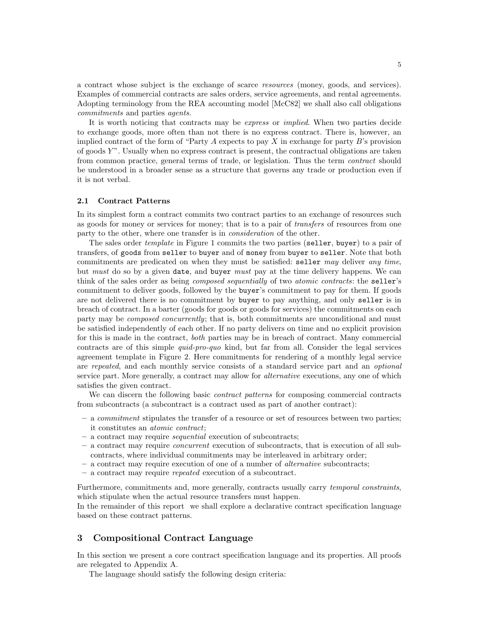a contract whose subject is the exchange of scarce resources (money, goods, and services). Examples of commercial contracts are sales orders, service agreements, and rental agreements. Adopting terminology from the REA accounting model [McC82] we shall also call obligations commitments and parties agents.

It is worth noticing that contracts may be express or implied. When two parties decide to exchange goods, more often than not there is no express contract. There is, however, an implied contract of the form of "Party A expects to pay X in exchange for party  $B$ 's provision of goods  $Y$ ". Usually when no express contract is present, the contractual obligations are taken from common practice, general terms of trade, or legislation. Thus the term contract should be understood in a broader sense as a structure that governs any trade or production even if it is not verbal.

#### 2.1 Contract Patterns

In its simplest form a contract commits two contract parties to an exchange of resources such as goods for money or services for money; that is to a pair of transfers of resources from one party to the other, where one transfer is in consideration of the other.

The sales order *template* in Figure 1 commits the two parties (seller, buyer) to a pair of transfers, of goods from seller to buyer and of money from buyer to seller. Note that both commitments are predicated on when they must be satisfied: seller may deliver any time, but *must* do so by a given date, and buyer *must* pay at the time delivery happens. We can think of the sales order as being composed sequentially of two atomic contracts: the seller's commitment to deliver goods, followed by the buyer's commitment to pay for them. If goods are not delivered there is no commitment by buyer to pay anything, and only seller is in breach of contract. In a barter (goods for goods or goods for services) the commitments on each party may be *composed concurrently*; that is, both commitments are unconditional and must be satisfied independently of each other. If no party delivers on time and no explicit provision for this is made in the contract, both parties may be in breach of contract. Many commercial contracts are of this simple quid-pro-quo kind, but far from all. Consider the legal services agreement template in Figure 2. Here commitments for rendering of a monthly legal service are repeated, and each monthly service consists of a standard service part and an optional service part. More generally, a contract may allow for *alternative* executions, any one of which satisfies the given contract.

We can discern the following basic *contract patterns* for composing commercial contracts from subcontracts (a subcontract is a contract used as part of another contract):

- a commitment stipulates the transfer of a resource or set of resources between two parties; it constitutes an atomic contract;
- a contract may require sequential execution of subcontracts;
- a contract may require concurrent execution of subcontracts, that is execution of all subcontracts, where individual commitments may be interleaved in arbitrary order;
- a contract may require execution of one of a number of alternative subcontracts;
- a contract may require repeated execution of a subcontract.

Furthermore, commitments and, more generally, contracts usually carry temporal constraints, which stipulate when the actual resource transfers must happen.

In the remainder of this report we shall explore a declarative contract specification language based on these contract patterns.

## 3 Compositional Contract Language

In this section we present a core contract specification language and its properties. All proofs are relegated to Appendix A.

The language should satisfy the following design criteria: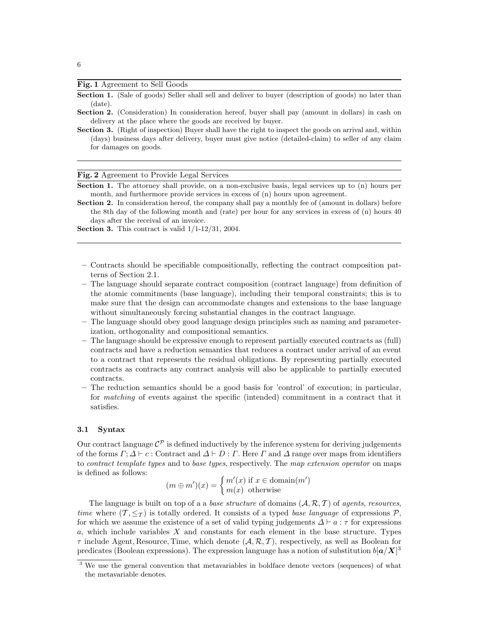## Fig. 1 Agreement to Sell Goods

- Section 1. (Sale of goods) Seller shall sell and deliver to buyer (description of goods) no later than (date).
- Section 2. (Consideration) In consideration hereof, buyer shall pay (amount in dollars) in cash on delivery at the place where the goods are received by buyer.
- Section 3. (Right of inspection) Buyer shall have the right to inspect the goods on arrival and, within (days) business days after delivery, buyer must give notice (detailed-claim) to seller of any claim for damages on goods.

## Fig. 2 Agreement to Provide Legal Services

- Section 1. The attorney shall provide, on a non-exclusive basis, legal services up to (n) hours per month, and furthermore provide services in excess of (n) hours upon agreement.
- Section 2. In consideration hereof, the company shall pay a monthly fee of (amount in dollars) before the 8th day of the following month and (rate) per hour for any services in excess of (n) hours 40 days after the receival of an invoice.

**Section 3.** This contract is valid  $1/1-12/31$ , 2004.

- Contracts should be specifiable compositionally, reflecting the contract composition patterns of Section 2.1.
- The language should separate contract composition (contract language) from definition of the atomic commitments (base language), including their temporal constraints; this is to make sure that the design can accommodate changes and extensions to the base language without simultaneously forcing substantial changes in the contract language.
- The language should obey good language design principles such as naming and parameterization, orthogonality and compositional semantics.
- The language should be expressive enough to represent partially executed contracts as (full) contracts and have a reduction semantics that reduces a contract under arrival of an event to a contract that represents the residual obligations. By representing partially executed contracts as contracts any contract analysis will also be applicable to partially executed contracts.
- The reduction semantics should be a good basis for 'control' of execution; in particular, for matching of events against the specific (intended) commitment in a contract that it satisfies.

#### 3.1 Syntax

Our contract language  $\mathcal{C}^{\mathcal{P}}$  is defined inductively by the inference system for deriving judgements of the forms  $\Gamma; \Delta \vdash c :$  Contract and  $\Delta \vdash D : \Gamma$ . Here  $\Gamma$  and  $\Delta$  range over maps from identifiers to contract template types and to base types, respectively. The map extension operator on maps is defined as follows:

$$
(m \oplus m')(x) = \begin{cases} m'(x) \text{ if } x \in \text{domain}(m')\\ m(x) \text{ otherwise} \end{cases}
$$

The language is built on top of a a base structure of domains  $(A, \mathcal{R}, \mathcal{T})$  of agents, resources, time where  $(\mathcal{T}, \leq_{\mathcal{T}})$  is totally ordered. It consists of a typed base language of expressions  $\mathcal{P}$ , for which we assume the existence of a set of valid typing judgements  $\Delta \vdash a : \tau$  for expressions a, which include variables X and constants for each element in the base structure. Types  $\tau$  include Agent, Resource, Time, which denote  $(\mathcal{A}, \mathcal{R}, \mathcal{T})$ , respectively, as well as Boolean for predicates (Boolean expressions). The expression language has a notion of substitution  $b[a/X]^3$ 

<sup>&</sup>lt;sup>3</sup> We use the general convention that metavariables in boldface denote vectors (sequences) of what the metavariable denotes.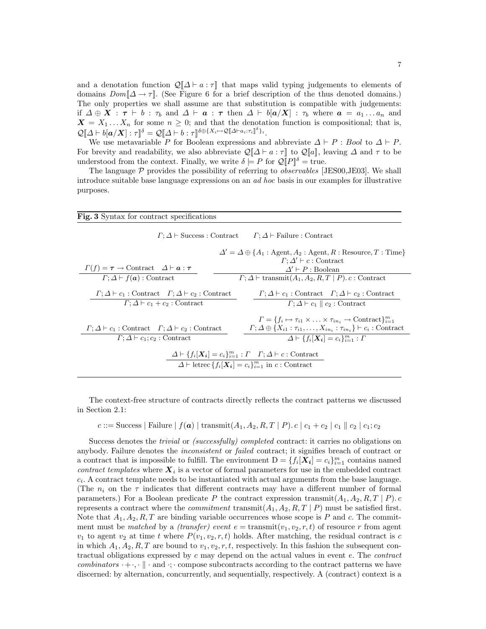and a denotation function  $\mathcal{Q}[\mathcal{A} \vdash a : \tau]$  that maps valid typing judgements to elements of domains  $Dom[\Delta \to \tau]$ . (See Figure 6 for a brief description of the thus denoted domains.) The only properties we shall assume are that substitution is compatible with judgements: if  $\Delta \oplus \mathbf{X} : \tau \vdash b : \tau_b$  and  $\Delta \vdash a : \tau$  then  $\Delta \vdash b[a/\mathbf{X}] : \tau_b$  where  $a = a_1 \dots a_n$  and  $X = X_1 \dots X_n$  for some  $n \geq 0$ ; and that the denotation function is compositional; that is,  $\mathcal{Q}[\![\Delta\!\vdash\! b[\bm a/X] : \tau]\!]^\delta = \mathcal{Q}[\![\Delta\!\vdash\! b : \tau]\!]^\delta \oplus \{X_i \mapsto \mathcal{Q}[\![\Delta\!\vdash\! a_i:\!\tau_i]\!]^\delta\}_i.$ 

We use metavariable P for Boolean expressions and abbreviate  $\Delta \vdash P$ : Bool to  $\Delta \vdash P$ . For brevity and readability, we also abbreviate  $\mathcal{Q}[\![\Delta \vdash a : \tau]\!]$  to  $\mathcal{Q}[\![a]\!]$ , leaving  $\Delta$  and  $\tau$  to be understood from the context. Finally, we write  $\delta \models P$  for  $\mathcal{Q}[\![P]\!]^\delta = \text{true}.$ 

The language  $P$  provides the possibility of referring to *observables* [JES00,JE03]. We shall introduce suitable base language expressions on an ad hoc basis in our examples for illustrative purposes.

| Fig. 3 Syntax for contract specifications                                                                                                                                                        |                                                                                                             |  |
|--------------------------------------------------------------------------------------------------------------------------------------------------------------------------------------------------|-------------------------------------------------------------------------------------------------------------|--|
|                                                                                                                                                                                                  | $\Gamma$ : $\Delta \vdash$ Success : Contract $\Gamma$ : $\Delta \vdash$ Failure : Contract                 |  |
|                                                                                                                                                                                                  | $\Delta' = \Delta \oplus \{A_1 : \text{Agent}, A_2 : \text{Agent}, R : \text{Resource}, T : \text{Time}\}\$ |  |
|                                                                                                                                                                                                  | $\Gamma: \Delta' \vdash c :$ Contract                                                                       |  |
| $\Gamma(f) = \tau \to \text{Contract } \Delta \vdash a : \tau$                                                                                                                                   | $\Delta' \vdash P : \text{Boolean}$                                                                         |  |
| $\Gamma$ : $\Delta \vdash f(a)$ : Contract                                                                                                                                                       | $\Gamma$ ; $\Delta$ + transmit $(A_1, A_2, R, T   P)$ . c : Contract                                        |  |
| $\Gamma$ : $\Delta \vdash c_1$ : Contract $\Gamma$ : $\Delta \vdash c_2$ : Contract                                                                                                              | $\Gamma$ : $\Delta \vdash c_1$ : Contract $\Gamma$ : $\Delta \vdash c_2$ : Contract                         |  |
| $\Gamma: \Delta \vdash c_1 + c_2 :$ Contract                                                                                                                                                     | $\Gamma$ ; $\Delta \vdash c_1 \parallel c_2$ : Contract                                                     |  |
|                                                                                                                                                                                                  | $\Gamma = \{f_i \mapsto \tau_{i1} \times \ldots \times \tau_{in_i} \to \text{Contract}\}_{i=1}^m$           |  |
| $\Gamma$ : $\Delta \vdash c_1$ : Contract $\Gamma$ : $\Delta \vdash c_2$ : Contract                                                                                                              | $\Gamma: \Delta \oplus \{X_{i1} : \tau_{i1}, \ldots, X_{in_i} : \tau_{in_i}\}\vdash c_i : \text{Contract}$  |  |
| $\Gamma: \Delta \vdash c_1; c_2$ : Contract                                                                                                                                                      | $\Delta \vdash \{f_i[\bm{X_i}] = c_i\}_{i=1}^m : \Gamma$                                                    |  |
| $\Delta \vdash \{f_i[\bm{X_i}] = c_i\}_{i=1}^m : \Gamma \quad \Gamma; \Delta \vdash c : \text{Contract}$<br>$\Delta \vdash \text{letrec} \{f_i   \mathbf{X_i} \} = c_i\}_{i=1}^m$ in c: Contract |                                                                                                             |  |

The context-free structure of contracts directly reflects the contract patterns we discussed in Section 2.1:

c ::= Success | Failure  $| f(a) |$  transmit $(A_1, A_2, R, T | P)$ . c  $| c_1 + c_2 | c_1 | c_2 | c_1; c_2$ 

Success denotes the *trivial* or *(successfully)* completed contract: it carries no obligations on anybody. Failure denotes the inconsistent or failed contract; it signifies breach of contract or a contract that is impossible to fulfill. The environment  $D = \{f_i[\boldsymbol{X_i}] = c_i\}_{i=1}^m$  contains named *contract templates* where  $\boldsymbol{X}_i$  is a vector of formal parameters for use in the embedded contract  $c_i$ . A contract template needs to be instantiated with actual arguments from the base language. (The  $n_i$  on the  $\tau$  indicates that different contracts may have a different number of formal parameters.) For a Boolean predicate P the contract expression transmit $(A_1, A_2, R, T \mid P)$ . represents a contract where the *commitment* transmit $(A_1, A_2, R, T | P)$  must be satisfied first. Note that  $A_1, A_2, R, T$  are binding variable occurrences whose scope is P and c. The commitment must be matched by a *(transfer)* event  $e = \text{transmit}(v_1, v_2, r, t)$  of resource r from agent  $v_1$  to agent  $v_2$  at time t where  $P(v_1, v_2, r, t)$  holds. After matching, the residual contract is c in which  $A_1, A_2, R, T$  are bound to  $v_1, v_2, r, t$ , respectively. In this fashion the subsequent contractual obligations expressed by  $c$  may depend on the actual values in event  $e$ . The *contract* combinators  $\cdot+\cdot\cdot$  and  $\cdot\cdot\cdot$  compose subcontracts according to the contract patterns we have discerned: by alternation, concurrently, and sequentially, respectively. A (contract) context is a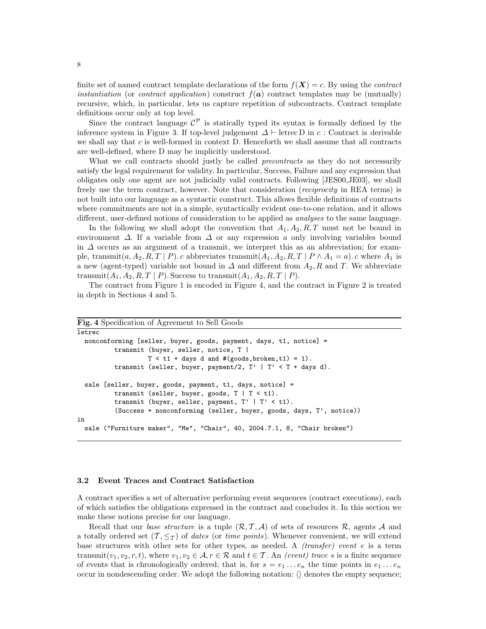finite set of named contract template declarations of the form  $f(\mathbf{X}) = c$ . By using the *contract instantiation* (or *contract application*) construct  $f(a)$  contract templates may be (mutually) recursive, which, in particular, lets us capture repetition of subcontracts. Contract template definitions occur only at top level.

Since the contract language  $\mathcal{C}^{\mathcal{P}}$  is statically typed its syntax is formally defined by the inference system in Figure 3. If top-level judgement  $\Delta \vdash$  letrec D in c : Contract is derivable we shall say that c is well-formed in context  $D$ . Henceforth we shall assume that all contracts are well-defined, where D may be implicitly understood.

What we call contracts should justly be called *precontracts* as they do not necessarily satisfy the legal requirement for validity. In particular, Success, Failure and any expression that obligates only one agent are not judicially valid contracts. Following [JES00,JE03], we shall freely use the term contract, however. Note that consideration (reciprocity in REA terms) is not built into our language as a syntactic construct. This allows flexible definitions of contracts where commitments are not in a simple, syntactically evident one-to-one relation, and it allows different, user-defined notions of consideration to be applied as *analyses* to the same language.

In the following we shall adopt the convention that  $A_1, A_2, R, T$  must not be bound in environment  $\Delta$ . If a variable from  $\Delta$  or any expression a only involving variables bound in  $\Delta$  occurs as an argument of a transmit, we interpret this as an abbreviation; for example, transmit $(a, A_2, R, T | P)$ . c abbreviates transmit $(A_1, A_2, R, T | P \wedge A_1 = a)$ . c where  $A_1$  is a new (agent-typed) variable not bound in  $\Delta$  and different from  $A_2, R$  and T. We abbreviate transmit $(A_1, A_2, R, T | P)$ . Success to transmit $(A_1, A_2, R, T | P)$ .

The contract from Figure 1 is encoded in Figure 4, and the contract in Figure 2 is treated in depth in Sections 4 and 5.

```
Fig. 4 Specification of Agreement to Sell Goods
letrec
  nonconforming [seller, buyer, goods, payment, days, t1, notice] =
          transmit (buyer, seller, notice, T |
                   T < t1 + days d and #(goods, broken, t1) = 1).
          transmit (seller, buyer, payment/2, T' | T' < T + days d).
  sale [seller, buyer, goods, payment, t1, days, notice] =
          transmit (seller, buyer, goods, T | T < t1).
          transmit (buyer, seller, payment, T' | T' < t1).
          (Success + nonconforming (seller, buyer, goods, days, T', notice))
in
  sale ("Furniture maker", "Me", "Chair", 40, 2004.7.1, 8, "Chair broken")
```
#### 3.2 Event Traces and Contract Satisfaction

A contract specifies a set of alternative performing event sequences (contract executions), each of which satisfies the obligations expressed in the contract and concludes it. In this section we make these notions precise for our language.

Recall that our base structure is a tuple  $(\mathcal{R}, \mathcal{T}, \mathcal{A})$  of sets of resources  $\mathcal{R}$ , agents  $\mathcal{A}$  and a totally ordered set  $(\mathcal{T}, \leq_{\mathcal{T}})$  of *dates* (or *time points*). Whenever convenient, we will extend base structures with other sets for other types, as needed. A *(transfer) event e* is a term transmit $(v_1, v_2, r, t)$ , where  $v_1, v_2 \in \mathcal{A}$ ,  $r \in \mathcal{R}$  and  $t \in \mathcal{T}$ . An *(event)* trace s is a finite sequence of events that is chronologically ordered; that is, for  $s = e_1 \dots e_n$  the time points in  $e_1 \dots e_n$ occur in nondescending order. We adopt the following notation:  $\langle \rangle$  denotes the empty sequence;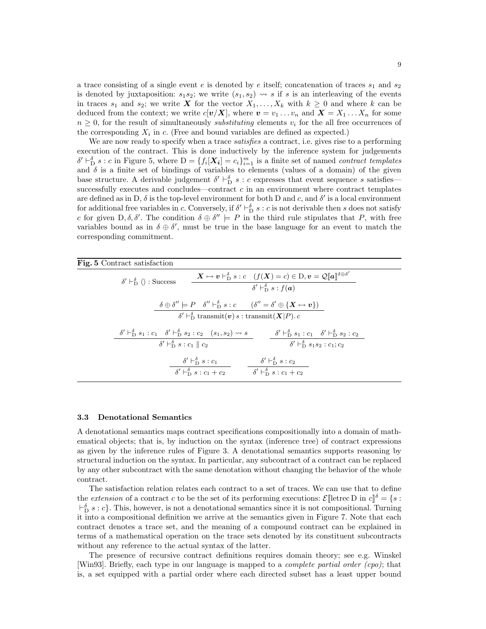a trace consisting of a single event e is denoted by e itself; concatenation of traces  $s_1$  and  $s_2$ is denoted by juxtaposition:  $s_1s_2$ ; we write  $(s_1, s_2) \rightsquigarrow s$  if s is an interleaving of the events in traces  $s_1$  and  $s_2$ ; we write X for the vector  $X_1, \ldots, X_k$  with  $k \geq 0$  and where k can be deduced from the context; we write  $c[\mathbf{v}/\mathbf{X}]$ , where  $\mathbf{v} = v_1 \dots v_n$  and  $\mathbf{X} = X_1 \dots X_n$  for some  $n \geq 0$ , for the result of simultaneously *substituting* elements  $v_i$  for the all free occurrences of the corresponding  $X_i$  in c. (Free and bound variables are defined as expected.)

We are now ready to specify when a trace *satisfies* a contract, i.e. gives rise to a performing execution of the contract. This is done inductively by the inference system for judgements  $\delta' \vdash_{\mathcal{D}}^{\delta} s : c$  in Figure 5, where  $\mathcal{D} = \{f_i[\boldsymbol{X_i}] = c_i\}_{i=1}^m$  is a finite set of named *contract templates* and  $\delta$  is a finite set of bindings of variables to elements (values of a domain) of the given base structure. A derivable judgement  $\delta' \vdash_{\mathcal{D}}^{\delta} s : c$  expresses that event sequence s satisfies successfully executes and concludes—contract  $c$  in an environment where contract templates are defined as in D,  $\delta$  is the top-level environment for both D and c, and  $\delta'$  is a local environment for additional free variables in c. Conversely, if  $\delta' \vdash_D^{\delta} s : c$  is not derivable then s does not satisfy c for given  $D, \delta, \delta'$ . The condition  $\delta \oplus \delta'' \models P$  in the third rule stipulates that P, with free variables bound as in  $\delta \oplus \delta'$ , must be true in the base language for an event to match the corresponding commitment.

| Fig. 5 Contract satisfaction                                     |                                                                                                                                                                                                                                                  |
|------------------------------------------------------------------|--------------------------------------------------------------------------------------------------------------------------------------------------------------------------------------------------------------------------------------------------|
| $\delta' \vdash_{\mathsf{D}}^{\delta} \langle \rangle$ : Success | $\mathbf{X} \mapsto \mathbf{v} \vdash_{\mathbf{D}}^{\delta} s : c \quad (f(\mathbf{X}) = c) \in \mathbf{D}, \mathbf{v} = \mathcal{Q}[\![\mathbf{a}]\!]^{\delta \oplus \delta'}$<br>$\delta' \vdash_{\mathcal{D}}^{\delta} s : f(a)$              |
|                                                                  | $\delta \oplus \delta'' \models P \quad \delta'' \vdash_{\mathcal{D}}^{\delta} s : c \qquad (\delta'' = \delta' \oplus \{ \mathbf{X} \mapsto \mathbf{v} \})$<br>$\delta' \vdash_{\mathcal{D}}^{\delta}$ transmit $(v)$ s : transmit $(X P)$ . c  |
|                                                                  |                                                                                                                                                                                                                                                  |
|                                                                  | $\delta' \vdash_{\mathcal{D}}^{\delta} s_1 : c_1 \quad \delta' \vdash_{\mathcal{D}}^{\delta} s_2 : c_2 \quad (s_1, s_2) \leadsto s \qquad \delta' \vdash_{\mathcal{D}}^{\delta} s_1 : c_1 \quad \delta' \vdash_{\mathcal{D}}^{\delta} s_2 : c_2$ |
| $\delta' \vdash_{\mathsf{D}}^{\delta} s : c_1 \parallel c_2$     | $\delta' \vdash_{\mathsf{D}}^{\delta} s_1 s_2 : c_1; c_2$                                                                                                                                                                                        |
| $\delta' \vdash_{\mathsf{D}}^{\delta} s : c_1$                   | $\delta' \vdash_{\mathsf{D}}^{\delta} s : c_2$<br>$\delta' \vdash_{\mathbf{D}}^{\delta} s : c_1 + c_2$ $\delta' \vdash_{\mathbf{D}}^{\delta} s : c_1 + c_2$                                                                                      |

#### 3.3 Denotational Semantics

A denotational semantics maps contract specifications compositionally into a domain of mathematical objects; that is, by induction on the syntax (inference tree) of contract expressions as given by the inference rules of Figure 3. A denotational semantics supports reasoning by structural induction on the syntax. In particular, any subcontract of a contract can be replaced by any other subcontract with the same denotation without changing the behavior of the whole contract.

The satisfaction relation relates each contract to a set of traces. We can use that to define the extension of a contract c to be the set of its performing executions:  $\mathcal{E}[\text{letrec D in } c]$ <sup>δ</sup> = {s :  $\vdash_{\mathbf{D}}^{\delta} s : c$ . This, however, is not a denotational semantics since it is not compositional. Turning it into a compositional definition we arrive at the semantics given in Figure 7. Note that each contract denotes a trace set, and the meaning of a compound contract can be explained in terms of a mathematical operation on the trace sets denoted by its constituent subcontracts without any reference to the actual syntax of the latter.

The presence of recursive contract definitions requires domain theory; see e.g. Winskel [Win93]. Briefly, each type in our language is mapped to a complete partial order (cpo); that is, a set equipped with a partial order where each directed subset has a least upper bound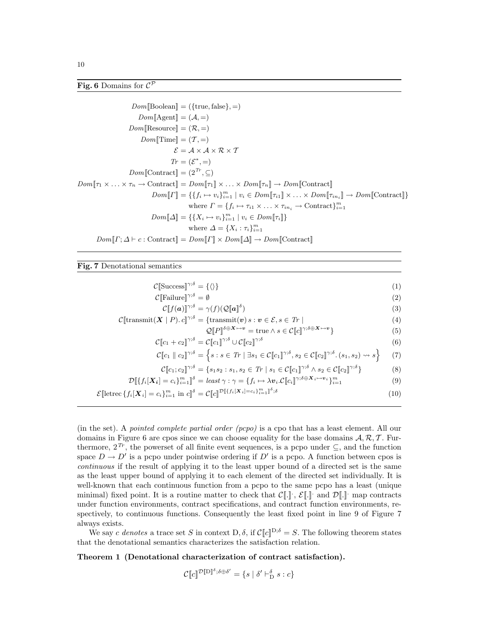$$
Dom[\text{Boolean}] = (\{\text{true}, \text{false}\}, =)
$$
\n
$$
Dom[\text{Agent}] = (\mathcal{A}, =)
$$
\n
$$
Dom[\text{Resource}] = (\mathcal{R}, =)
$$
\n
$$
Dom[\text{Time}] = (\mathcal{T}, =)
$$
\n
$$
\mathcal{E} = \mathcal{A} \times \mathcal{A} \times \mathcal{R} \times \mathcal{T}
$$
\n
$$
Tr = (\mathcal{E}^*, =)
$$
\n
$$
Dom[\text{Contract}] = (2^{Tr}, \subseteq)
$$
\n
$$
Dom[\mathcal{T}_1 \times \dots \times \tau_n \to \text{Contract}] = Dom[\tau_1] \times \dots \times Dom[\tau_n] \to Dom[\text{Contract}]
$$
\n
$$
Dom[\Gamma] = \{\{f_i \mapsto v_i\}_{i=1}^m \mid v_i \in Dom[\tau_{i1}] \times \dots \times Dom[\tau_{in_i}] \to Dom[\text{Contract}]\}
$$
\n
$$
\text{where } \Gamma = \{f_i \mapsto \tau_{i1} \times \dots \times \tau_{in_i} \to \text{Contract}\}_{i=1}^m
$$
\n
$$
Dom[\mathcal{A}] = \{\{X_i \mapsto v_i\}_{i=1}^m \mid v_i \in Dom[\tau_i]\}
$$
\n
$$
\text{where } \Delta = \{X_i : \tau_i\}_{i=1}^m
$$
\n
$$
Dom[\Gamma; \Delta \vdash c : \text{Contract}] = Dom[\Gamma] \times Dom[\Delta] \to Dom[\text{Contract}]
$$

## Fig. 7 Denotational semantics

| $\mathcal{C}[\text{Success}]^{\gamma;\delta} = \{\langle \rangle\}$                                                                                                                                                                  | (1)  |
|--------------------------------------------------------------------------------------------------------------------------------------------------------------------------------------------------------------------------------------|------|
| $\mathcal{C}[\text{Failure}]^{\gamma;\delta} = \emptyset$                                                                                                                                                                            | (2)  |
| $\mathcal{C}[[f(\boldsymbol{a})]]^{\gamma;\delta} = \gamma(f)(\mathcal{Q}[[\boldsymbol{a}]]^{\delta})$                                                                                                                               | (3)  |
| $\mathcal{C}$ [transmit $(\mathbf{X} \mid P) \cdot c$ ] <sup><math>\gamma; \delta</math></sup> = {transmit $(v) s : v \in \mathcal{E}, s \in Tr$                                                                                     | (4)  |
| $\mathcal{Q}[[P]]^{\delta \oplus X \mapsto v} = \text{true} \wedge s \in \mathcal{C}[[c]]^{\gamma; \delta \oplus X \mapsto v}$                                                                                                       | (5)  |
| $\mathcal{C}[\![c_1+c_2]\!]^{\gamma;\delta}=\mathcal{C}[\![c_1]\!]^{\gamma;\delta}\cup\mathcal{C}[\![c_2]\!]^{\gamma;\delta}$                                                                                                        | (6)  |
| $\mathcal{C}[\![c_1\!Vert c_2\!Vert^{\gamma;\delta} = \left\{s : s \in \mathit{Tr} \mid \exists s_1 \in \mathcal{C}[\![c_1\!Vert^{\gamma;\delta}, s_2 \in \mathcal{C}[\![c_2\!Vert^{\gamma;\delta}, (s_1, s_2) \leadsto s \right\}]$ | (7)  |
| $\mathcal{C}[[c_1;c_2]]^{\gamma;\delta} = \{s_1s_2 : s_1, s_2 \in Tr \mid s_1 \in \mathcal{C}[[c_1]]^{\gamma;\delta} \land s_2 \in \mathcal{C}[[c_2]]^{\gamma;\delta}\}\$                                                            | (8)  |
| $\mathcal{D}\llbracket \{f_i[X_i] = c_i\}_{i=1}^m\rrbracket^{\delta} = \text{least } \gamma : \gamma = \{f_i \mapsto \lambda v_i.\mathcal{C}\llbracket c_i \rrbracket^{\gamma; \delta \oplus X_i \mapsto v_i}\}_{i=1}^m$             | (9)  |
| $\mathcal{E}[\text{letrec}\{f_i \bm{X}_i] = c_i\}_{i=1}^m \text{ in } c\ ^{\delta} = \mathcal{C}[[c]]^{\mathcal{D}[[\{f_i \bm{X}_i] = c_i\}_{i=1}^m]^{\delta}; \delta}$                                                              | (10) |

(in the set). A pointed complete partial order (pcpo) is a cpo that has a least element. All our domains in Figure 6 are cpos since we can choose equality for the base domains  $A, R, T$ . Furthermore,  $2^{Tr}$ , the powerset of all finite event sequences, is a pcpo under  $\subseteq$ , and the function space  $D \to D'$  is a pcpo under pointwise ordering if  $D'$  is a pcpo. A function between cpos is continuous if the result of applying it to the least upper bound of a directed set is the same as the least upper bound of applying it to each element of the directed set individually. It is well-known that each continuous function from a pcpo to the same pcpo has a least (unique minimal) fixed point. It is a routine matter to check that  $\mathcal{C}[\cdot], \mathcal{E}[\cdot]$  and  $\mathcal{D}[\cdot]$  map contracts under function environments, contract specifications, and contract function environments, respectively, to continuous functions. Consequently the least fixed point in line 9 of Figure 7 always exists.

We say c denotes a trace set S in context D,  $\delta$ , if  $\mathcal{C}[[c]]^{D;\delta} = S$ . The following theorem states that the denotational semantics characterizes the satisfaction relation.

Theorem 1 (Denotational characterization of contract satisfaction).

$$
\mathcal{C}[\![c]\!]^\mathcal{D}[\![\mathbf{D}]\!]^\delta; \delta \oplus \delta' = \{s \mid \delta' \vdash_{\mathbf{D}}^{\delta} s : c\}
$$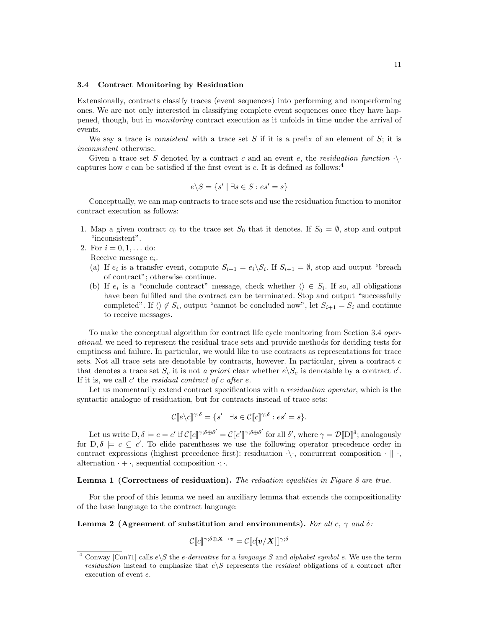#### 3.4 Contract Monitoring by Residuation

Extensionally, contracts classify traces (event sequences) into performing and nonperforming ones. We are not only interested in classifying complete event sequences once they have happened, though, but in monitoring contract execution as it unfolds in time under the arrival of events.

We say a trace is *consistent* with a trace set  $S$  if it is a prefix of an element of  $S$ ; it is inconsistent otherwise.

Given a trace set S denoted by a contract c and an event e, the residuation function  $\cdot \cdot$ captures how c can be satisfied if the first event is e. It is defined as follows:<sup>4</sup>

$$
e \backslash S = \{ s' \mid \exists s \in S : es' = s \}
$$

Conceptually, we can map contracts to trace sets and use the residuation function to monitor contract execution as follows:

- 1. Map a given contract  $c_0$  to the trace set  $S_0$  that it denotes. If  $S_0 = \emptyset$ , stop and output "inconsistent".
- 2. For  $i = 0, 1, \ldots$  do:
	- Receive message  $e_i$ .
	- (a) If  $e_i$  is a transfer event, compute  $S_{i+1} = e_i \setminus S_i$ . If  $S_{i+1} = \emptyset$ , stop and output "breach" of contract"; otherwise continue.
	- (b) If  $e_i$  is a "conclude contract" message, check whether  $\langle \rangle \in S_i$ . If so, all obligations have been fulfilled and the contract can be terminated. Stop and output "successfully completed". If  $\langle \rangle \notin S_i$ , output "cannot be concluded now", let  $S_{i+1} = S_i$  and continue to receive messages.

To make the conceptual algorithm for contract life cycle monitoring from Section 3.4 operational, we need to represent the residual trace sets and provide methods for deciding tests for emptiness and failure. In particular, we would like to use contracts as representations for trace sets. Not all trace sets are denotable by contracts, however. In particular, given a contract c that denotes a trace set  $S_c$  it is not a priori clear whether  $e \backslash S_c$  is denotable by a contract  $c'$ . If it is, we call  $c'$  the *residual contract of c after e.* 

Let us momentarily extend contract specifications with a *residuation operator*, which is the syntactic analogue of residuation, but for contracts instead of trace sets:

$$
\mathcal{C}[[e \setminus c]]^{\gamma, \delta} = \{s' \mid \exists s \in \mathcal{C}[[c]]^{\gamma, \delta} : es' = s\}.
$$

Let us write  $D, \delta \models c = c'$  if  $\mathcal{C}[[c]]^{\gamma, \delta \oplus \delta'} = \mathcal{C}[[c']]^{\gamma, \delta \oplus \delta'}$  for all  $\delta'$ , where  $\gamma = \mathcal{D}[[D]]^{\delta}$ ; analogously for  $D, \delta \models c \subseteq c'$ . To elide parentheses we use the following operator precedence order in contract expressions (highest precedence first): residuation  $\cdot \cdot \cdot$ , concurrent composition  $\cdot \cdot \cdot$ , alternation  $\cdot + \cdot$ , sequential composition  $\cdot; \cdot$ .

#### Lemma 1 (Correctness of residuation). The reduation equalities in Figure 8 are true.

For the proof of this lemma we need an auxiliary lemma that extends the compositionality of the base language to the contract language:

Lemma 2 (Agreement of substitution and environments). For all c,  $\gamma$  and  $\delta$ :

$$
\mathcal{C}[\![c]\!]^{\gamma;\delta\oplus\bm{X}\mapsto\bm{v}}=\mathcal{C}[\![c[\bm{v}/\bm{X}]\!]^{\gamma;\delta}
$$

<sup>&</sup>lt;sup>4</sup> Conway [Con71] calls  $e\backslash S$  the *e-derivative* for a *language* S and *alphabet symbol* e. We use the term residuation instead to emphasize that  $e\backslash S$  represents the residual obligations of a contract after execution of event e.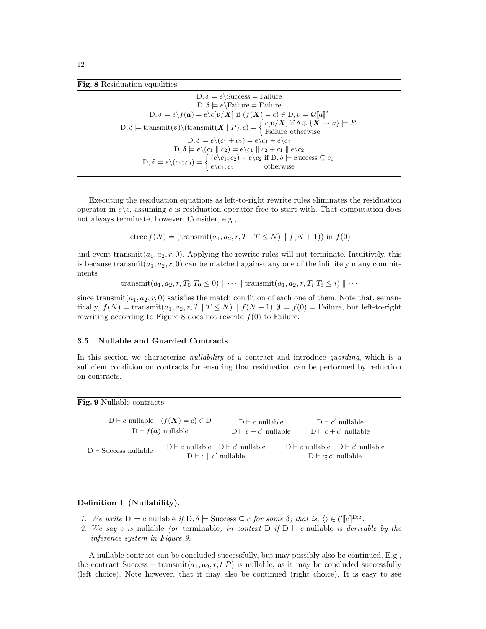$$
D, \delta \models e \setminus \text{Success} = \text{failure}
$$
\n
$$
D, \delta \models e \setminus \text{failure} = \text{Failure}
$$
\n
$$
D, \delta \models e \setminus f(a) = e \setminus c[v/X] \text{ if } (f(X) = c) \in D, v = \mathcal{Q}[a]^{\delta}
$$
\n
$$
D, \delta \models \text{transmit}(v) \setminus (\text{transmit}(X \mid P).c) = \begin{cases} c[v/X] \text{ if } \delta \oplus \{X \mapsto v\} \models P \\ \text{Failure otherwise} \end{cases}
$$
\n
$$
D, \delta \models e \setminus (c_1 + c_2) = e \setminus c_1 + e \setminus c_2
$$
\n
$$
D, \delta \models e \setminus (c_1 \mid c_2) = e \setminus c_1 \mid c_2 + c_1 \mid e \setminus c_2
$$
\n
$$
D, \delta \models e \setminus (c_1; c_2) = \begin{cases} (e \setminus c_1; c_2) + e \setminus c_2 \text{ if } D, \delta \models \text{Success} \subseteq c_1 \\ e \setminus c_1; c_2 \text{ otherwise} \end{cases}
$$

Executing the residuation equations as left-to-right rewrite rules eliminates the residuation operator in  $e\backslash c$ , assuming c is residuation operator free to start with. That computation does not always terminate, however. Consider, e.g.,

letrec 
$$
f(N)
$$
 = (transmit $(a_1, a_2, r, T | T \le N)$  ||  $f(N + 1)$ ) in  $f(0)$ 

and event transmit $(a_1, a_2, r, 0)$ . Applying the rewrite rules will not terminate. Intuitively, this is because transmit $(a_1, a_2, r, 0)$  can be matched against any one of the infinitely many commitments

transmit $(a_1, a_2, r, T_0 | T_0 \leq 0) \parallel \cdots \parallel$  transmit $(a_1, a_2, r, T_i | T_i \leq i) \parallel \cdots$ 

since transmit $(a_1, a_2, r, 0)$  satisfies the match condition of each one of them. Note that, semantically,  $f(N) = \text{transmit}(a_1, a_2, r, T \mid T \leq N) \parallel f(N + 1), \emptyset \models f(0) = \text{Failure},$  but left-to-right rewriting according to Figure 8 does not rewrite  $f(0)$  to Failure.

### 3.5 Nullable and Guarded Contracts

In this section we characterize *nullability* of a contract and introduce *guarding*, which is a sufficient condition on contracts for ensuring that residuation can be performed by reduction on contracts.

|  |  | Fig. 9 Nullable contracts |
|--|--|---------------------------|
|--|--|---------------------------|

|                             | $D \vdash c$ nullable $(f(\mathbf{X}) = c) \in D$<br>$D \vdash f(a)$ nullable      | $D \vdash c$ nullable<br>$D \vdash c + c'$ nullable |  | $D \vdash c'$ nullable<br>$D \vdash c + c'$ nullable                      |
|-----------------------------|------------------------------------------------------------------------------------|-----------------------------------------------------|--|---------------------------------------------------------------------------|
| $D \vdash$ Success nullable | $D \vdash c$ nullable $D \vdash c'$ nullable<br>$D \vdash c \parallel c'$ nullable |                                                     |  | $D \vdash c$ nullable $D \vdash c'$ nullable<br>$D \vdash c; c'$ nullable |

### Definition 1 (Nullability).

1. We write  $D \models c$  nullable if  $D, \delta \models$  Success  $\subseteq c$  for some  $\delta$ ; that is,  $\langle \rangle \in C[[c]]^{D, \delta}$ .

2. We say c is nullable (or terminable) in context D if  $D \vdash c$  nullable is derivable by the inference system in Figure 9.

A nullable contract can be concluded successfully, but may possibly also be continued. E.g., the contract Success + transmit $(a_1, a_2, r, t|P)$  is nullable, as it may be concluded successfully (left choice). Note however, that it may also be continued (right choice). It is easy to see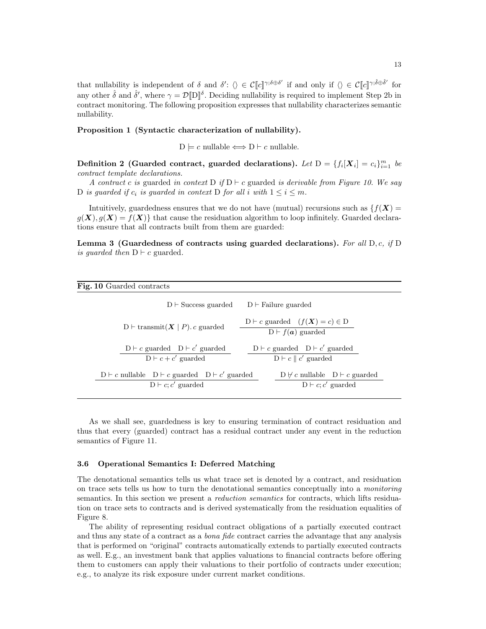that nullability is independent of  $\delta$  and  $\delta'$ :  $\langle \rangle \in C[[c]]^{\gamma;\delta \oplus \delta'}$  if and only if  $\langle \rangle \in C[[c]]^{\gamma;\delta \oplus \delta'}$  for any other  $\hat{\delta}$  and  $\hat{\delta}'$ , where  $\gamma = \mathcal{D}[\![D]\!]^{\delta}$ . Deciding nullability is required to implement Step 2b in contract monitoring. The following proposition expresses that nullability characterizes semantic nullability.

Proposition 1 (Syntactic characterization of nullability).

 $D \models c$  nullable  $\Longleftrightarrow D \vdash c$  nullable.

Definition 2 (Guarded contract, guarded declarations). Let  $D = \{f_i[\boldsymbol{X}_i] = c_i\}_{i=1}^m$  be contract template declarations.

A contract c is guarded in context  $D$  if  $D \vdash c$  guarded is derivable from Figure 10. We say D is guarded if  $c_i$  is guarded in context D for all i with  $1 \leq i \leq m$ .

Intuitively, guardedness ensures that we do not have (mutual) recursions such as  $\{f(\mathbf{X}) =$  $g(\mathbf{X}), g(\mathbf{X}) = f(\mathbf{X})$  that cause the residuation algorithm to loop infinitely. Guarded declarations ensure that all contracts built from them are guarded:

Lemma 3 (Guardedness of contracts using guarded declarations). For all  $D, c, if D$ is guarded then  $D \vdash c$  guarded.

| <b>Fig. 10</b> Guarded contracts                                 |                                                                    |
|------------------------------------------------------------------|--------------------------------------------------------------------|
| $D \vdash$ Success guarded                                       | $D \vdash$ Failure guarded                                         |
| $D \vdash \text{transmit}(\boldsymbol{X} \mid P)$ . c guarded    | $D \vdash c$ guarded $(f(X) = c) \in D$<br>$D \vdash f(a)$ guarded |
| $D \vdash c$ guarded $D \vdash c'$ guarded                       | $D \vdash c$ guarded $D \vdash c'$ guarded                         |
| $D \vdash c + c'$ guarded                                        | $D \vdash c \parallel c'$ guarded                                  |
| $D \vdash c$ nullable $D \vdash c$ guarded $D \vdash c'$ guarded | $D \not\vdash c$ nullable $D \vdash c$ guarded                     |
| $D \vdash c; c'$ guarded                                         | $D \vdash c; c'$ guarded                                           |
|                                                                  |                                                                    |

As we shall see, guardedness is key to ensuring termination of contract residuation and thus that every (guarded) contract has a residual contract under any event in the reduction semantics of Figure 11.

#### 3.6 Operational Semantics I: Deferred Matching

The denotational semantics tells us what trace set is denoted by a contract, and residuation on trace sets tells us how to turn the denotational semantics conceptually into a monitoring semantics. In this section we present a *reduction semantics* for contracts, which lifts residuation on trace sets to contracts and is derived systematically from the residuation equalities of Figure 8.

The ability of representing residual contract obligations of a partially executed contract and thus any state of a contract as a bona fide contract carries the advantage that any analysis that is performed on "original" contracts automatically extends to partially executed contracts as well. E.g., an investment bank that applies valuations to financial contracts before offering them to customers can apply their valuations to their portfolio of contracts under execution; e.g., to analyze its risk exposure under current market conditions.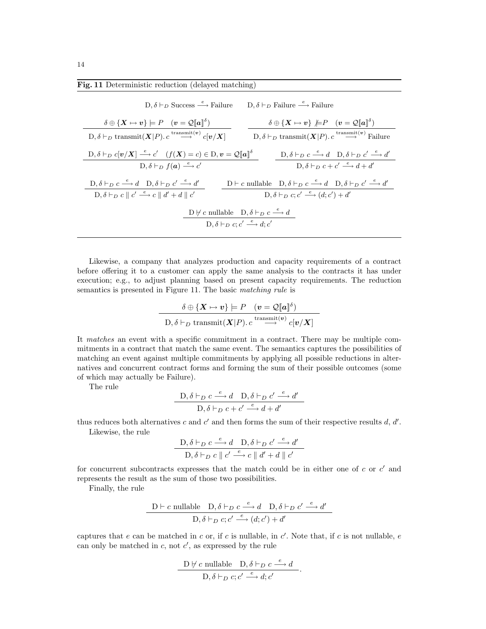#### Fig. 11 Deterministic reduction (delayed matching)

| $D, \delta \vdash_D$ Success $\xrightarrow{e}$ Failure                                                                                                         | $D, \delta \vdash_D$ Failure $\stackrel{e}{\longrightarrow}$ Failure                                                                       |  |  |
|----------------------------------------------------------------------------------------------------------------------------------------------------------------|--------------------------------------------------------------------------------------------------------------------------------------------|--|--|
| $\delta \oplus \{X \mapsto v\} \models P \quad (v = \mathcal{Q}[\![a]\!]^\delta)$                                                                              | $\delta \oplus \{X \mapsto v\} \not\models P \ (v = \mathcal{Q}[a]^{\delta})$                                                              |  |  |
| $D, \delta \vdash_D \text{transmit}(\boldsymbol{X}   P) \ldotp c \stackrel{\text{transmit}(\boldsymbol{v})}{\longrightarrow} c[\boldsymbol{v}/\boldsymbol{X}]$ | $D, \delta \vdash_D \text{transmit}(\boldsymbol{X} P) \ldotp c \stackrel{\text{transmit}(\boldsymbol{v})}{\longrightarrow} \text{Failure}$ |  |  |
| $D, \delta \vdash_D c[v/X] \stackrel{e}{\longrightarrow} c'$ $(f(X) = c) \in D, v = \mathcal{Q}[a]^{\delta}$                                                   | $D, \delta \vdash_D c \stackrel{e}{\longrightarrow} d$ $D, \delta \vdash_D c' \stackrel{e}{\longrightarrow} d'$                            |  |  |
| $D, \delta \vdash_D f(a) \xrightarrow{e} c'$                                                                                                                   | $D, \delta \vdash_D c + c' \stackrel{e}{\longrightarrow} d + d'$                                                                           |  |  |
| $D, \delta \vdash_D c \stackrel{e}{\longrightarrow} d$ $D, \delta \vdash_D c' \stackrel{e}{\longrightarrow} d'$                                                | $D \vdash c$ nullable $D, \delta \vdash_D c \stackrel{e}{\longrightarrow} d$ $D, \delta \vdash_D c' \stackrel{e}{\longrightarrow} d'$      |  |  |
| $D, \delta \vdash_D c \parallel c' \stackrel{e}{\longrightarrow} c \parallel d' + d \parallel c'$                                                              | $D, \delta \vdash_D c; c' \stackrel{e}{\longrightarrow} (d; c') + d'$                                                                      |  |  |
| $D \not\vdash c$ nullable $D, \delta \vdash_D c \stackrel{e}{\longrightarrow} d$<br>$D, \delta \vdash_D c; c' \stackrel{e}{\longrightarrow} d; c'$             |                                                                                                                                            |  |  |

Likewise, a company that analyzes production and capacity requirements of a contract before offering it to a customer can apply the same analysis to the contracts it has under execution; e.g., to adjust planning based on present capacity requirements. The reduction semantics is presented in Figure 11. The basic matching rule is

$$
\delta \oplus \{ \mathbf{X} \mapsto \mathbf{v} \} \models P \quad (\mathbf{v} = \mathcal{Q}[\![\mathbf{a}]\!]^\delta)
$$
  
D,  $\delta \vdash_D \text{transmit}(\mathbf{X}|P) \cdot c \xrightarrow{\text{transmit}(\mathbf{v})} c[\mathbf{v}/\mathbf{X}]$ 

It matches an event with a specific commitment in a contract. There may be multiple commitments in a contract that match the same event. The semantics captures the possibilities of matching an event against multiple commitments by applying all possible reductions in alternatives and concurrent contract forms and forming the sum of their possible outcomes (some of which may actually be Failure).

The rule

$$
\frac{D, \delta \vdash_D c \stackrel{e}{\longrightarrow} d \quad D, \delta \vdash_D c' \stackrel{e}{\longrightarrow} d'}{D, \delta \vdash_D c + c' \stackrel{e}{\longrightarrow} d + d'}
$$

thus reduces both alternatives c and  $c'$  and then forms the sum of their respective results  $d, d'$ .

Likewise, the rule

$$
\frac{D, \delta \vdash_D c \stackrel{e}{\longrightarrow} d \quad D, \delta \vdash_D c' \stackrel{e}{\longrightarrow} d'}{D, \delta \vdash_D c \parallel c' \stackrel{e}{\longrightarrow} c \parallel d' + d \parallel c'}
$$

for concurrent subcontracts expresses that the match could be in either one of  $c$  or  $c'$  and represents the result as the sum of those two possibilities.

Finally, the rule

÷,

D 
$$
\vdash
$$
 c nullable D,  $\delta \vdash_D c \xrightarrow{e} d$  D,  $\delta \vdash_D c' \xrightarrow{e} d'$   
D,  $\delta \vdash_D c; c' \xrightarrow{e} (d; c') + d'$ 

captures that e can be matched in c or, if c is nullable, in  $c'$ . Note that, if c is not nullable, e can only be matched in  $c$ , not  $c'$ , as expressed by the rule

$$
\frac{\mathcal{D}\not\vdash c \text{ nullable } \mathcal{D}, \delta\vdash_D c \xrightarrow{e} d}{\mathcal{D}, \delta\vdash_D c; c'\xrightarrow{e} d; c'}.
$$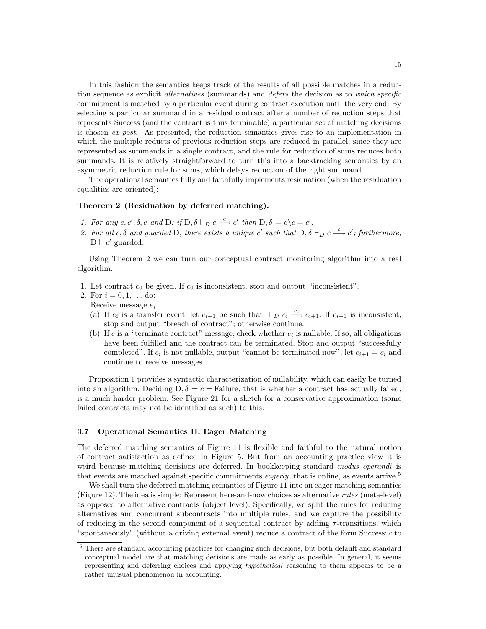In this fashion the semantics keeps track of the results of all possible matches in a reduction sequence as explicit alternatives (summands) and defers the decision as to which specific commitment is matched by a particular event during contract execution until the very end: By selecting a particular summand in a residual contract after a number of reduction steps that represents Success (and the contract is thus terminable) a particular set of matching decisions is chosen ex post. As presented, the reduction semantics gives rise to an implementation in which the multiple reducts of previous reduction steps are reduced in parallel, since they are represented as summands in a single contract, and the rule for reduction of sums reduces both summands. It is relatively straightforward to turn this into a backtracking semantics by an asymmetric reduction rule for sums, which delays reduction of the right summand.

The operational semantics fully and faithfully implements residuation (when the residuation equalities are oriented):

### Theorem 2 (Residuation by deferred matching).

- 1. For any  $c, c', \delta, e$  and D: if  $D, \delta \vdash_D c \stackrel{e}{\longrightarrow} c'$  then  $D, \delta \models e \setminus c = c'$ .
- 2. For all c,  $\delta$  and guarded D, there exists a unique c' such that  $D, \delta \vdash_D c \stackrel{e}{\longrightarrow} c'$ ; furthermore,  $D \vdash c'$  guarded.

Using Theorem 2 we can turn our conceptual contract monitoring algorithm into a real algorithm.

- 1. Let contract  $c_0$  be given. If  $c_0$  is inconsistent, stop and output "inconsistent".
- 2. For  $i = 0, 1, \ldots$  do: Receive message  $e_i$ .
	- (a) If  $e_i$  is a transfer event, let  $c_{i+1}$  be such that  $\vdash_D c_i \stackrel{e_i}{\longrightarrow} c_{i+1}$ . If  $c_{i+1}$  is inconsistent, stop and output "breach of contract"; otherwise continue.
	- (b) If  $e$  is a "terminate contract" message, check whether  $c_i$  is nullable. If so, all obligations have been fulfilled and the contract can be terminated. Stop and output "successfully completed". If  $c_i$  is not nullable, output "cannot be terminated now", let  $c_{i+1} = c_i$  and continue to receive messages.

Proposition 1 provides a syntactic characterization of nullability, which can easily be turned into an algorithm. Deciding  $D, \delta \models c =$  Failure, that is whether a contract has actually failed, is a much harder problem. See Figure 21 for a sketch for a conservative approximation (some failed contracts may not be identified as such) to this.

#### 3.7 Operational Semantics II: Eager Matching

The deferred matching semantics of Figure 11 is flexible and faithful to the natural notion of contract satisfaction as defined in Figure 5. But from an accounting practice view it is weird because matching decisions are deferred. In bookkeeping standard modus operandi is that events are matched against specific commitments *eagerly*; that is online, as events arrive.<sup>5</sup>

We shall turn the deferred matching semantics of Figure 11 into an eager matching semantics (Figure 12). The idea is simple: Represent here-and-now choices as alternative *rules* (meta-level) as opposed to alternative contracts (object level). Specifically, we split the rules for reducing alternatives and concurrent subcontracts into multiple rules, and we capture the possibility of reducing in the second component of a sequential contract by adding  $\tau$ -transitions, which "spontaneously" (without a driving external event) reduce a contract of the form Success;  $c$  to

<sup>&</sup>lt;sup>5</sup> There are standard accounting practices for changing such decisions, but both default and standard conceptual model are that matching decisions are made as early as possible. In general, it seems representing and deferring choices and applying hypothetical reasoning to them appears to be a rather unusual phenomenon in accounting.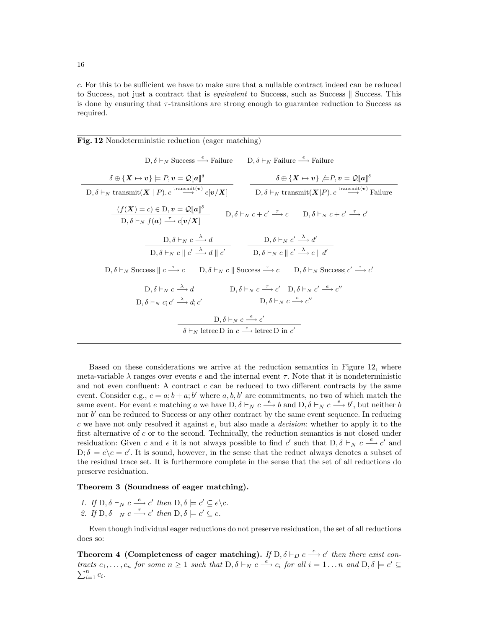c. For this to be sufficient we have to make sure that a nullable contract indeed can be reduced to Success, not just a contract that is *equivalent* to Success, such as Success  $\parallel$  Success. This is done by ensuring that  $\tau$ -transitions are strong enough to guarantee reduction to Success as required.

| Fig. 12 Nondeterministic reduction (eager matching)                                                                                                                                                                                           |                                                                                                                                                                                                                                               |  |  |
|-----------------------------------------------------------------------------------------------------------------------------------------------------------------------------------------------------------------------------------------------|-----------------------------------------------------------------------------------------------------------------------------------------------------------------------------------------------------------------------------------------------|--|--|
| $D, \delta \vdash_N$ Success $\xrightarrow{e}$ Failure $D, \delta \vdash_N$ Failure $\xrightarrow{e}$ Failure                                                                                                                                 |                                                                                                                                                                                                                                               |  |  |
| $\delta \oplus \{X \mapsto v\} \models P, v = \mathcal{Q}[a]^{\delta}$                                                                                                                                                                        | $\delta \oplus \{X \mapsto v\} \not\models P, v = \mathcal{Q}[a]^{\delta}$                                                                                                                                                                    |  |  |
| $D, \delta \vdash_N \text{transmit}(X \mid P) \ldotp c \stackrel{\text{transmit}(v)}{\longrightarrow} c[v/X]$                                                                                                                                 | $D, \delta \vdash_N \text{transmit}(\boldsymbol{X}   P) \ldotp c \stackrel{\text{transmit}(\boldsymbol{v})}{\longrightarrow} \text{Failure}$                                                                                                  |  |  |
| $(f(\boldsymbol{X})=c) \in D, \boldsymbol{v}=\mathcal{Q}[\![\boldsymbol{a}]\!]^\delta$<br>$D, \delta \vdash_N f(a) \stackrel{\tau}{\longrightarrow} c[v/X]$                                                                                   | $D, \delta \vdash_N c + c' \stackrel{\tau}{\longrightarrow} c$ $D, \delta \vdash_N c + c' \stackrel{\tau}{\longrightarrow} c'$                                                                                                                |  |  |
| $D, \delta \vdash_N c \stackrel{\lambda}{\longrightarrow} d$<br>$D, \delta \vdash_N c \parallel c' \stackrel{\lambda}{\longrightarrow} d \parallel c'$ $D, \delta \vdash_N c \parallel c' \stackrel{\lambda}{\longrightarrow} c \parallel d'$ | $D, \delta \vdash_N c' \stackrel{\lambda}{\longrightarrow} d'$                                                                                                                                                                                |  |  |
| $D, \delta \vdash_N \text{Success} \parallel c \xrightarrow{\tau} c$ $D, \delta \vdash_N c \parallel \text{Success} \xrightarrow{\tau} c$ $D, \delta \vdash_N \text{Success}; c' \xrightarrow{\tau} c'$                                       |                                                                                                                                                                                                                                               |  |  |
| $D, \delta \vdash_N c; c' \stackrel{\lambda}{\longrightarrow} d; c'$                                                                                                                                                                          | $D, \delta \vdash_N c \stackrel{\lambda}{\longrightarrow} d$ $D, \delta \vdash_N c \stackrel{\tau}{\longrightarrow} c'$ $D, \delta \vdash_N c' \stackrel{e}{\longrightarrow} c''$<br>$D, \delta \vdash_N c \stackrel{e}{\longrightarrow} c''$ |  |  |
| $D, \delta \vdash_N c \stackrel{e}{\longrightarrow} c'$                                                                                                                                                                                       |                                                                                                                                                                                                                                               |  |  |
| $\delta \vdash_N \text{letrec D in } c \stackrel{e}{\longrightarrow} \text{letrec D in } c'$                                                                                                                                                  |                                                                                                                                                                                                                                               |  |  |
|                                                                                                                                                                                                                                               |                                                                                                                                                                                                                                               |  |  |

Based on these considerations we arrive at the reduction semantics in Figure 12, where meta-variable  $\lambda$  ranges over events e and the internal event  $\tau$ . Note that it is nondeterministic and not even confluent: A contract  $c$  can be reduced to two different contracts by the same event. Consider e.g.,  $c = a$ ;  $b + a$ ;  $b'$  where  $a, b, b'$  are commitments, no two of which match the same event. For event e matching a we have  $D, \delta \vdash_N c \stackrel{e}{\longrightarrow} b$  and  $D, \delta \vdash_N c \stackrel{e}{\longrightarrow} b'$ , but neither b nor b' can be reduced to Success or any other contract by the same event sequence. In reducing  $c$  we have not only resolved it against  $e$ , but also made a *decision*: whether to apply it to the first alternative of c or to the second. Technically, the reduction semantics is not closed under residuation: Given c and e it is not always possible to find c' such that  $D, \delta \vdash_N c \stackrel{e}{\longrightarrow} c'$  and  $D; \delta \models e \backslash c = c'$ . It is sound, however, in the sense that the reduct always denotes a subset of the residual trace set. It is furthermore complete in the sense that the set of all reductions do preserve residuation.

#### Theorem 3 (Soundness of eager matching).

1. If  $D, \delta \vdash_N c \stackrel{e}{\longrightarrow} c'$  then  $D, \delta \models c' \subseteq e \backslash c$ . 2. If  $D, \delta \vdash_N c \stackrel{\tau}{\longrightarrow} c'$  then  $D, \delta \models c' \subseteq c$ .

Even though individual eager reductions do not preserve residuation, the set of all reductions does so:

Theorem 4 (Completeness of eager matching). If  $D, \delta \vdash_D c \stackrel{e}{\longrightarrow} c'$  then there exist contracts  $c_1, \ldots, c_n$  for some  $n \geq 1$  such that  $D, \delta \vdash_N c \stackrel{e}{\longrightarrow} c_i$  for all  $i = 1 \ldots n$  and  $D, \delta \models c' \subseteq$  $\sum_{i=1}^n c_i$ .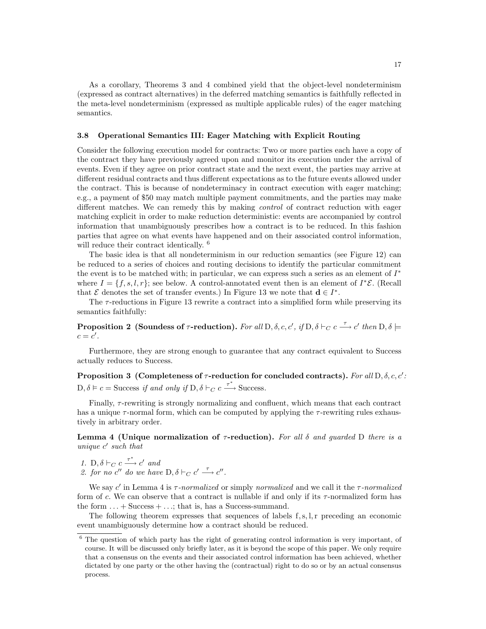As a corollary, Theorems 3 and 4 combined yield that the object-level nondeterminism (expressed as contract alternatives) in the deferred matching semantics is faithfully reflected in the meta-level nondeterminism (expressed as multiple applicable rules) of the eager matching semantics.

#### 3.8 Operational Semantics III: Eager Matching with Explicit Routing

Consider the following execution model for contracts: Two or more parties each have a copy of the contract they have previously agreed upon and monitor its execution under the arrival of events. Even if they agree on prior contract state and the next event, the parties may arrive at different residual contracts and thus different expectations as to the future events allowed under the contract. This is because of nondeterminacy in contract execution with eager matching; e.g., a payment of \$50 may match multiple payment commitments, and the parties may make different matches. We can remedy this by making *control* of contract reduction with eager matching explicit in order to make reduction deterministic: events are accompanied by control information that unambiguously prescribes how a contract is to be reduced. In this fashion parties that agree on what events have happened and on their associated control information, will reduce their contract identically. <sup>6</sup>

The basic idea is that all nondeterminism in our reduction semantics (see Figure 12) can be reduced to a series of choices and routing decisions to identify the particular commitment the event is to be matched with; in particular, we can express such a series as an element of  $I^*$ where  $I = \{f, s, l, r\}$ ; see below. A control-annotated event then is an element of  $I^*\mathcal{E}$ . (Recall that  $\mathcal E$  denotes the set of transfer events.) In Figure 13 we note that  $\mathbf d \in I^*$ .

The  $\tau$ -reductions in Figure 13 rewrite a contract into a simplified form while preserving its semantics faithfully:

**Proposition 2** (Soundess of  $\tau$ -reduction). For all  $D, \delta, c, c', \text{ if } D, \delta \vdash_C c \stackrel{\tau}{\longrightarrow} c' \text{ then } D, \delta \models$  $c = c'$ .

Furthermore, they are strong enough to guarantee that any contract equivalent to Success actually reduces to Success.

Proposition 3 (Completeness of  $\tau$ -reduction for concluded contracts). For all D,  $\delta, c, c'$ :  $D, \delta \models c =$  Success if and only if  $D, \delta \vdash_C c \stackrel{\tau^*}{\longrightarrow}$  Success.

Finally,  $\tau$ -rewriting is strongly normalizing and confluent, which means that each contract has a unique  $\tau$ -normal form, which can be computed by applying the  $\tau$ -rewriting rules exhaustively in arbitrary order.

Lemma 4 (Unique normalization of  $\tau$ -reduction). For all  $\delta$  and guarded D there is a  $unique c' such that$ 

- 1. D,  $\delta \vdash_C c \stackrel{\tau^*}{\longrightarrow} c'$  and
- 2. for no  $c''$  do we have  $D, \delta \vdash_C c' \stackrel{\tau}{\longrightarrow} c''$ .

We say c' in Lemma 4 is  $\tau$ -normalized or simply normalized and we call it the  $\tau$ -normalized form of c. We can observe that a contract is nullable if and only if its  $\tau$ -normalized form has the form  $\dots$  + Success +  $\dots$ ; that is, has a Success-summand.

The following theorem expresses that sequences of labels f,s, l,r preceding an economic event unambiguously determine how a contract should be reduced.

<sup>&</sup>lt;sup>6</sup> The question of which party has the right of generating control information is very important, of course. It will be discussed only briefly later, as it is beyond the scope of this paper. We only require that a consensus on the events and their associated control information has been achieved, whether dictated by one party or the other having the (contractual) right to do so or by an actual consensus process.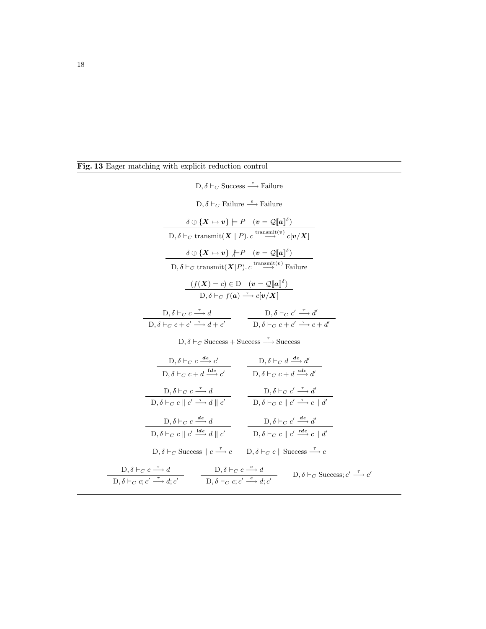| $D, \delta \vdash_C$ Success $\xrightarrow{e}$ Failure                                                                                                                                                                                                                                                                     |                                                                           |  |  |  |
|----------------------------------------------------------------------------------------------------------------------------------------------------------------------------------------------------------------------------------------------------------------------------------------------------------------------------|---------------------------------------------------------------------------|--|--|--|
| $D, \delta \vdash_C$ Failure $\stackrel{e}{\longrightarrow}$ Failure                                                                                                                                                                                                                                                       |                                                                           |  |  |  |
| $\delta \oplus \{X \mapsto v\} \models P \quad (v = \mathcal{Q}[\![a]\!]^\delta)$                                                                                                                                                                                                                                          |                                                                           |  |  |  |
| $D, \delta \vdash_C \text{transmit}(\boldsymbol{X} \mid P) \ldotp c \stackrel{\text{transmit}(v)}{\longrightarrow} c[v/\boldsymbol{X}]$                                                                                                                                                                                    |                                                                           |  |  |  |
| $\delta \oplus \{X \mapsto v\} \not\models P \quad (v = \mathcal{Q}[\![a]\!]^\delta)$                                                                                                                                                                                                                                      |                                                                           |  |  |  |
| $D, \delta \vdash_C \text{transmit}(\boldsymbol{X}   P) \ldotp c \stackrel{\text{transmit}(v)}{\longrightarrow} \text{Failure}$                                                                                                                                                                                            |                                                                           |  |  |  |
| $(f(\boldsymbol{X}) = c) \in D \quad (\boldsymbol{v} = \mathcal{Q}[\![\boldsymbol{a}]\!]^\delta)$                                                                                                                                                                                                                          |                                                                           |  |  |  |
| $D, \delta \vdash_C f(a) \stackrel{\tau}{\longrightarrow} c[v/X]$                                                                                                                                                                                                                                                          |                                                                           |  |  |  |
| $\frac{D, \delta \vdash_C c \stackrel{\tau}{\longrightarrow} d}{D, \delta \vdash_C c + c' \stackrel{\tau}{\longrightarrow} d + c'}$ $\frac{D, \delta \vdash_C c' \stackrel{\tau}{\longrightarrow} d'}{D, \delta \vdash_C c + c' \stackrel{\tau}{\longrightarrow} c + d'}$                                                  |                                                                           |  |  |  |
|                                                                                                                                                                                                                                                                                                                            |                                                                           |  |  |  |
| $D, \delta \vdash_C$ Success $\rightarrow$ Success $\rightarrow$ Success                                                                                                                                                                                                                                                   |                                                                           |  |  |  |
| $\frac{D, \delta \vdash_C c \xrightarrow{de} c'}{D, \delta \vdash_C c + d \xrightarrow{fde} c'}$ $\frac{D, \delta \vdash_C d \xrightarrow{de} d'}{D, \delta \vdash_C c + d \xrightarrow{sde} d'}$                                                                                                                          |                                                                           |  |  |  |
|                                                                                                                                                                                                                                                                                                                            |                                                                           |  |  |  |
| $\frac{D, \delta \vdash_{C} c \stackrel{\tau}{\longrightarrow} d}{D, \delta \vdash_{C} c \parallel c' \stackrel{\tau}{\longrightarrow} d \parallel c'}$ $\frac{D, \delta \vdash_{C} c' \stackrel{\tau}{\longrightarrow} d'}{D, \delta \vdash_{C} c \parallel c' \stackrel{\tau}{\longrightarrow} c \parallel d'}$          |                                                                           |  |  |  |
|                                                                                                                                                                                                                                                                                                                            |                                                                           |  |  |  |
| $D, \delta \vdash_C c \stackrel{de}{\longrightarrow} d$                                                                                                                                                                                                                                                                    | $\sum_{\alpha}$ $D, \delta \vdash_C c' \stackrel{de}{\longrightarrow} d'$ |  |  |  |
| $D, \delta \vdash_C c \parallel c' \stackrel{\text{1de}}{\longrightarrow} d \parallel c'$ $D, \delta \vdash_C c \parallel c' \stackrel{\text{rde}}{\longrightarrow} c \parallel d'$                                                                                                                                        |                                                                           |  |  |  |
| D, $\delta \vdash_C$ Success $   c \stackrel{\tau}{\longrightarrow} c$ D, $\delta \vdash_C c   $ Success $\stackrel{\tau}{\longrightarrow} c$                                                                                                                                                                              |                                                                           |  |  |  |
| $D, \delta \vdash_C c \stackrel{\tau}{\longrightarrow} d$<br>$\frac{D, \delta \vdash_C c \stackrel{\tau}{\longrightarrow} d}{D, \delta \vdash_C c; c' \stackrel{\tau}{\longrightarrow} d; c'}$ $\frac{D, \delta \vdash_C c \stackrel{e}{\longrightarrow} d}{D, \delta \vdash_C c; c' \stackrel{e}{\longrightarrow} d; c'}$ | D, $\delta \vdash_C$ Success; $c' \stackrel{\tau}{\longrightarrow} c'$    |  |  |  |
|                                                                                                                                                                                                                                                                                                                            |                                                                           |  |  |  |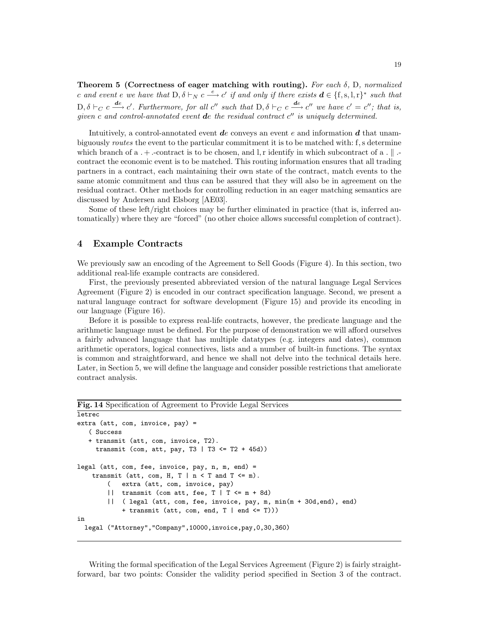Theorem 5 (Correctness of eager matching with routing). For each  $\delta$ , D, normalized c and event e we have that  $D, \delta \vdash_N c \stackrel{e}{\longrightarrow} c'$  if and only if there exists  $d \in \{f, s, l, r\}^*$  such that  $D, \delta \vdash_C c \stackrel{de}{\longrightarrow} c'.$  Furthermore, for all c'' such that  $D, \delta \vdash_C c \stackrel{de}{\longrightarrow} c''$  we have  $c' = c''$ ; that is, given c and control-annotated event de the residual contract  $c''$  is uniquely determined.

Intuitively, a control-annotated event de conveys an event  $e$  and information d that unambiguously routes the event to the particular commitment it is to be matched with: f, s determine which branch of a  $+$  -contract is to be chosen, and l, r identify in which subcontract of a  $\lfloor$  . contract the economic event is to be matched. This routing information ensures that all trading partners in a contract, each maintaining their own state of the contract, match events to the same atomic commitment and thus can be assured that they will also be in agreement on the residual contract. Other methods for controlling reduction in an eager matching semantics are discussed by Andersen and Elsborg [AE03].

Some of these left/right choices may be further eliminated in practice (that is, inferred automatically) where they are "forced" (no other choice allows successful completion of contract).

## 4 Example Contracts

We previously saw an encoding of the Agreement to Sell Goods (Figure 4). In this section, two additional real-life example contracts are considered.

First, the previously presented abbreviated version of the natural language Legal Services Agreement (Figure 2) is encoded in our contract specification language. Second, we present a natural language contract for software development (Figure 15) and provide its encoding in our language (Figure 16).

Before it is possible to express real-life contracts, however, the predicate language and the arithmetic language must be defined. For the purpose of demonstration we will afford ourselves a fairly advanced language that has multiple datatypes (e.g. integers and dates), common arithmetic operators, logical connectives, lists and a number of built-in functions. The syntax is common and straightforward, and hence we shall not delve into the technical details here. Later, in Section 5, we will define the language and consider possible restrictions that ameliorate contract analysis.

Fig. 14 Specification of Agreement to Provide Legal Services

```
letrec
extra (att, com, invoice, pay) =
   ( Success
   + transmit (att, com, invoice, T2).
     transmit (com, att, pay, T3 | T3 <= T2 + 45d))
legal (att, com, fee, invoice, pay, n, m, end) =
    transmit (att, com, H, T | n < T and T \le m).
        ( extra (att, com, invoice, pay)
        || transmit (com att, fee, T | T <= m + 8d)
        || ( legal (att, com, fee, invoice, pay, m, min(m + 30d,end), end)
            + transmit (att, com, end, T | end <= T)))
in
  legal ("Attorney","Company",10000,invoice,pay,0,30,360)
```
Writing the formal specification of the Legal Services Agreement (Figure 2) is fairly straightforward, bar two points: Consider the validity period specified in Section 3 of the contract.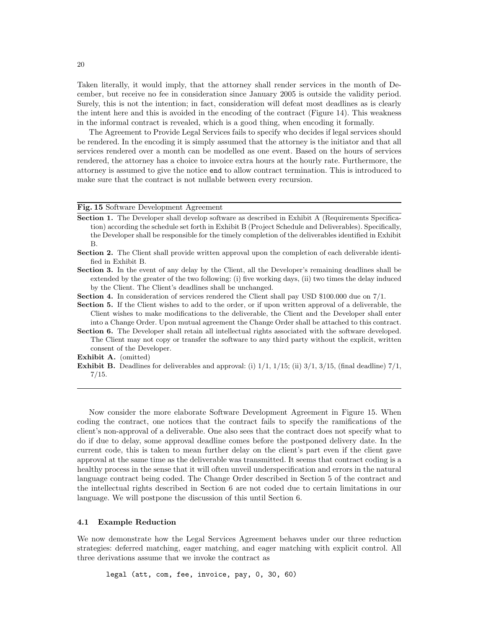Taken literally, it would imply, that the attorney shall render services in the month of December, but receive no fee in consideration since January 2005 is outside the validity period. Surely, this is not the intention; in fact, consideration will defeat most deadlines as is clearly the intent here and this is avoided in the encoding of the contract (Figure 14). This weakness in the informal contract is revealed, which is a good thing, when encoding it formally.

The Agreement to Provide Legal Services fails to specify who decides if legal services should be rendered. In the encoding it is simply assumed that the attorney is the initiator and that all services rendered over a month can be modelled as one event. Based on the hours of services rendered, the attorney has a choice to invoice extra hours at the hourly rate. Furthermore, the attorney is assumed to give the notice end to allow contract termination. This is introduced to make sure that the contract is not nullable between every recursion.

#### Fig. 15 Software Development Agreement

- Section 1. The Developer shall develop software as described in Exhibit A (Requirements Specification) according the schedule set forth in Exhibit B (Project Schedule and Deliverables). Specifically, the Developer shall be responsible for the timely completion of the deliverables identified in Exhibit B.
- Section 2. The Client shall provide written approval upon the completion of each deliverable identified in Exhibit B.
- Section 3. In the event of any delay by the Client, all the Developer's remaining deadlines shall be extended by the greater of the two following: (i) five working days, (ii) two times the delay induced by the Client. The Client's deadlines shall be unchanged.
- Section 4. In consideration of services rendered the Client shall pay USD \$100.000 due on 7/1.
- Section 5. If the Client wishes to add to the order, or if upon written approval of a deliverable, the Client wishes to make modifications to the deliverable, the Client and the Developer shall enter into a Change Order. Upon mutual agreement the Change Order shall be attached to this contract.
- Section 6. The Developer shall retain all intellectual rights associated with the software developed. The Client may not copy or transfer the software to any third party without the explicit, written consent of the Developer.

Exhibit A. (omitted)

**Exhibit B.** Deadlines for deliverables and approval: (i)  $1/1$ ,  $1/15$ ; (ii)  $3/1$ ,  $3/15$ , (final deadline)  $7/1$ , 7/15.

Now consider the more elaborate Software Development Agreement in Figure 15. When coding the contract, one notices that the contract fails to specify the ramifications of the client's non-approval of a deliverable. One also sees that the contract does not specify what to do if due to delay, some approval deadline comes before the postponed delivery date. In the current code, this is taken to mean further delay on the client's part even if the client gave approval at the same time as the deliverable was transmitted. It seems that contract coding is a healthy process in the sense that it will often unveil underspecification and errors in the natural language contract being coded. The Change Order described in Section 5 of the contract and the intellectual rights described in Section 6 are not coded due to certain limitations in our language. We will postpone the discussion of this until Section 6.

#### 4.1 Example Reduction

We now demonstrate how the Legal Services Agreement behaves under our three reduction strategies: deferred matching, eager matching, and eager matching with explicit control. All three derivations assume that we invoke the contract as

legal (att, com, fee, invoice, pay, 0, 30, 60)

20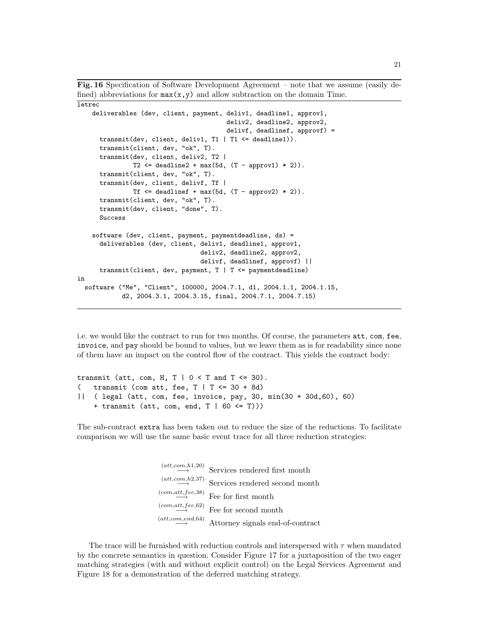Fig. 16 Specification of Software Development Agreement – note that we assume (easily defined) abbreviations for  $max(x, y)$  and allow subtraction on the domain Time.

```
letrec
    deliverables (dev, client, payment, deliv1, deadline1, approv1,
                                        deliv2, deadline2, approv2,
                                        delivf, deadlinef, approvf) =
      transmit(dev, client, deliv1, T1 | T1 \leq dealine1)).transmit(client, dev, "ok", T).
      transmit(dev, client, deliv2, T2 |
               T2 \le deadline2 + max(5d, (T - approv1) * 2)).
      transmit(client, dev, "ok", T).
      transmit(dev, client, delivf, Tf |
               Tf \leq deadlinef + max(5d, (T - approv2) * 2)).
      transmit(client, dev, "ok", T).
      transmit(dev, client, "done", T).
      Success
    software (dev, client, payment, paymentdeadline, ds) =
      deliverables (dev, client, deliv1, deadline1, approv1,
                                 deliv2, deadline2, approv2,
                                 delivf, deadlinef, approvf) ||
      transmit(client, dev, payment, T | T <= paymentdeadline)
in
  software ("Me", "Client", 100000, 2004.7.1, d1, 2004.1.1, 2004.1.15,
            d2, 2004.3.1, 2004.3.15, final, 2004.7.1, 2004.7.15)
```
i.e. we would like the contract to run for two months. Of course, the parameters att, com, fee, invoice, and pay should be bound to values, but we leave them as is for readability since none of them have an impact on the control flow of the contract. This yields the contract body:

```
transmit (att, com, H, T \mid 0 < T and T \leq 30).
( transmit (com att, fee, T | T <= 30 + 8d)
|| ( legal (att, com, fee, invoice, pay, 30, min(30 + 30d,60), 60)
    + transmit (att, com, end, T | 60 <= T)))
```
The sub-contract extra has been taken out to reduce the size of the reductions. To facilitate comparison we will use the same basic event trace for all three reduction strategies:

| $\stackrel{(att,com,h1,20)}{\longrightarrow}$ Services rendered first month     |
|---------------------------------------------------------------------------------|
| $\xrightarrow{(att,com,h2,37)}$ Services rendered second month                  |
| $\stackrel{(com, att, fee, 38)}{\longrightarrow}$ Fee for first month           |
| $\xrightarrow{ (com, att, fee, 62) }$ Fee for second month                      |
| $\stackrel{(att,com,end,64)}{\longrightarrow}$ Attorney signals end-of-contract |

The trace will be furnished with reduction controls and interspersed with  $\tau$  when mandated by the concrete semantics in question. Consider Figure 17 for a juxtaposition of the two eager matching strategies (with and without explicit control) on the Legal Services Agreement and Figure 18 for a demonstration of the deferred matching strategy.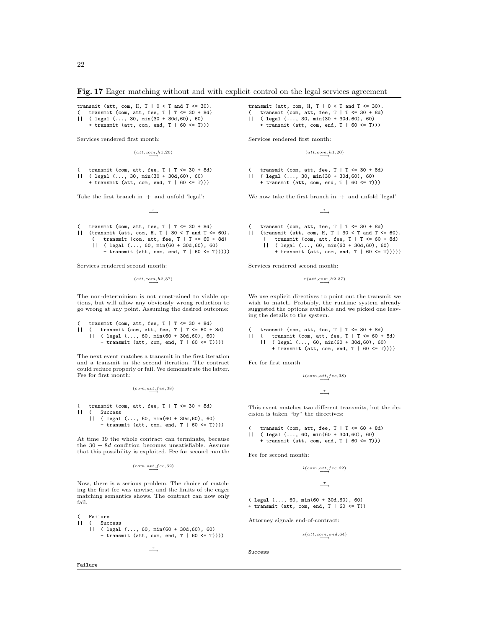```
transmit (att, com, H, T | 0 < T and T <= 30).
( transmit (com, att, fee, T | T <= 30 + 8d)
|| ( legal (..., 30, min(30 + 30d,60), 60)
     + transmit (att, com, end, T | 60 <= T)))
```
Services rendered first month:

 $(\underbrace{att, com, h1, 20})$ 

- transmit (com, att, fee,  $T$  |  $T$  <= 30 + 8d)
- || ( legal (..., 30, min(30 + 30d,60), 60)
- + transmit (att, com, end, T | 60 <= T)))

Take the first branch in  $+$  and unfold 'legal':

<sup>τ</sup>−→

- transmit ( $com$ ,  $att$ ,  $fee$ ,  $T$  |  $T$  <= 30 + 8d)
- || (transmit (att, com, H,  $T$  | 30 < T and  $T$  <= 60).
	- transmit (com, att, fee,  $T$  |  $T$  <= 60 + 8d)
	- || ( legal (..., 60, min(60 + 30d,60), 60) + transmit (att, com, end, T | 60 <= T)))))

Services rendered second month:

 $(\underbrace{att, com, h2, 37}_{\longrightarrow})$ 

The non-determinism is not constrained to viable options, but will allow any obviously wrong reduction to go wrong at any point. Assuming the desired outcome:

( transmit (com, att, fee, T | T <= 30 + 8d) || ( transmit (com, att, fee, T | T <= 60 + 8d) || ( legal (..., 60, min(60 + 30d,60), 60) + transmit (att, com, end, T | 60 <= T))))

The next event matches a transmit in the first iteration and a transmit in the second iteration. The contract could reduce properly or fail. We demonstrate the latter. Fee for first month:

 $\overrightarrow{com}, \overrightarrow{att}, \overrightarrow{fee}, 38)$ 

( transmit (com, att, fee,  $T | T \le 30 + 8d$ )

Failure

(Success)<br>| (legal || ( legal (..., 60, min(60 + 30d,60), 60) + transmit (att, com, end, T | 60 <= T))))

At time 39 the whole contract can terminate, because the  $30 + 8d$  condition becomes unsatisfiable. Assume that this possibility is exploited. Fee for second month:

 $\longrightarrow^{\text{(com,att,fee, 62)}}$ 

Now, there is a serious problem. The choice of matching the first fee was unwise, and the limits of the eager matching semantics shows. The contract can now only fail.

( Failure || ( Success || ( legal (..., 60, min(60 + 30d,60), 60) + transmit (att, com, end, T | 60 <= T))))

$$
\stackrel{\tau}{\longrightarrow}
$$

Success

- transmit (att, com, H,  $T \mid 0 < T$  and  $T \leq 30$ ). ( transmit (com, att, fee, T | T <= 30 + 8d) || ( legal (..., 30, min(30 + 30d,60), 60)
- + transmit (att, com, end, T | 60 <= T)))
- 

Services rendered first month:

 $(\underbrace{att, com, h1, 20})$ 

- transmit (com, att, fee,  $T$  |  $T$  <= 30 + 8d)
- || ( legal (..., 30, min(30 + 30d,60), 60)
- + transmit (att, com, end, T | 60 <= T)))

We now take the first branch in  $+$  and unfold 'legal'

 $-$ π

- transmit ( $com$ , att, fee,  $T$  |  $T$  <= 30 + 8d)
- | (transmit (att, com, H,  $T$  | 30 < T and  $T$  <= 60).
	- ( transmit (com, att, fee,  $T | T \le 60 + 8d$ ) || ( legal (..., 60, min(60 + 30d,60), 60)
		- + transmit (att, com, end, T | 60 <= T)))))

Services rendered second month:

 $r(att, com, h2, 37)$ 

We use explicit directives to point out the transmit we wish to match. Probably, the runtime system already suggested the options available and we picked one leaving the details to the system.

- transmit (com, att, fee,  $T$  |  $T$  <= 30 + 8d)
- 
- || ( transmit (com, att, fee, T | T <= 60 + 8d) || ( legal (..., 60, min(60 + 30d,60), 60) + transmit (att, com, end, T | 60 <= T))))

Fee for first month

 $\stackrel{l(\text{com},\text{att},\text{fee},38)}{\longrightarrow}$ 

 $\stackrel{\tau}{\longrightarrow}$ 

This event matches two different transmits, but the decision is taken "by" the directives:

- ( transmit (com, att, fee, T | T <= 60 + 8d) || ( legal (..., 60, min(60 + 30d,60), 60)
- + transmit (att, com, end, T | 60 <= T)))
- 

Fee for second month:

 $\stackrel{l(\text{com},\text{att},\text{fee},62)}{\longrightarrow}$ 

<sup>τ</sup>−→

( legal (..., 60, min(60 + 30d,60), 60) + transmit (att, com, end, T | 60 <= T))

Attorney signals end-of-contract:

 $s(att, com, end, 64)$ 

22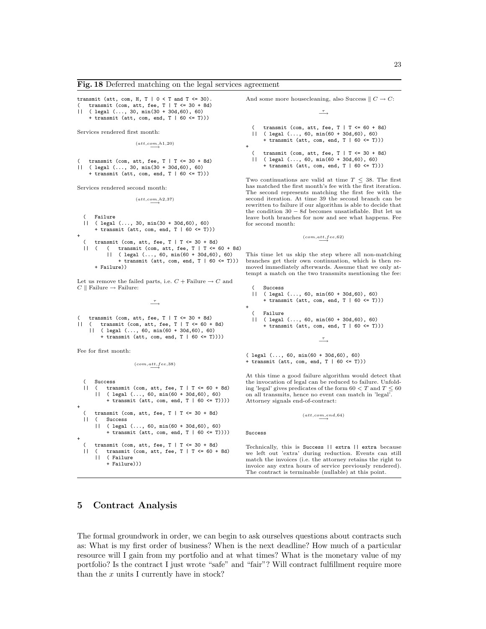- transmit (att, com, H,  $T$  | 0 < T and T <= 30).
- ( transmit (com, att, fee, T | T <= 30 + 8d) || ( legal (..., 30, min(30 + 30d,60), 60)
- + transmit (att, com, end, T | 60 <= T)))

Services rendered first month:

 $(\underbrace{att, com, h1, 20})$ 

- transmit (com, att, fee,  $T$  |  $T$  <= 30 + 8d)
- || ( legal (..., 30, min(30 + 30d,60), 60)
- + transmit (att, com, end, T | 60 <= T)))

Services rendered second month:

 $(\underbrace{att, com, h2, 37}_{\longrightarrow})$ 

- ( Failure  $($  legal  $(..., 30, min(30 + 30d, 60), 60)$
- + transmit (att, com, end, T | 60 <= T)))
- + ( transmit (com, att, fee,  $T | T \le 30 + 8d$ )
- || ( ( transmit (com, att, fee, T | T <= 60 + 8d) || ( legal (..., 60, min(60 + 30d,60), 60) + transmit (att, com, end, T | 60 <= T))) + Failure))

Let us remove the failed parts, i.e.  $C +$  Failure  $\rightarrow C$  and  $C \parallel$  Failure  $\rightarrow$  Failure:

 $-$ </sub>

- ( transmit (com, att, fee,  $T \mid T \le 30 + 8d$ )<br>  $\mid \mid$  ( transmit (com, att, fee,  $T \mid T \le 60 + 8d$ )
- $\text{(}$  transmit (com, att, fee, T | T <= 60 + 8d)<br>  $\text{]}$  ( legal (..., 60, min(60 + 30d, 60), 60)
	- || ( legal (..., 60, min(60 + 30d,60), 60)
- + transmit (att, com, end, T | 60 <= T))))

Fee for first month:

+

+

### $\overrightarrow{(com, att, fee, 38)}$

- **Success**  $($  transmit (com, att, fee,  $T$  |  $T$  <= 60 + 8d) || ( legal (..., 60, min(60 + 30d,60), 60) + transmit (att, com, end, T | 60 <= T))))
- 
- transmit (com, att, fee,  $T$  |  $T$  <= 30 + 8d)
- || ( Success || ( legal (..., 60, min(60 + 30d,60), 60)
- + transmit (att, com, end, T | 60 <= T))))

```
transmit (com, att, fee, T | T <= 30 + 8d)
( transmit (com, att, fee, T | T <= 60 + 8d)
```

```
|| ( Failure
```
+ Failure)))

And some more house<br>cleaning, also Success  $\parallel C \rightarrow C$ :

 $~\tau$ 

- ( transmit (com, att, fee,  $T | T \le 60 + 8d$ )<br>  $|| (1 60. \min(60 + 30d, 60))$ , 60)
- || ( legal (..., 60, min(60 + 30d,60), 60) + transmit (att, com, end, T | 60 <= T)))
- 
- ( transmit (com, att, fee,  $T | T \le 30 + 8d$ )<br>| ( legal (..., 60, min(60 + 30d, 60), 60)  $($  legal  $(..., 60, min(60 + 30d, 60), 60)$ + transmit (att, com, end, T | 60 <= T)))

Two continuations are valid at time  $T \leq 38$ . The first has matched the first month's fee with the first iteration. The second represents matching the first fee with the second iteration. At time 39 the second branch can be rewritten to failure if our algorithm is able to decide that the condition  $30 - 8d$  becomes unsatisfiable. But let us leave both branches for now and see what happens. Fee for second month:

 $\overrightarrow{(com, att, fee, 62)}$ 

This time let us skip the step where all non-matching branches get their own continuation, which is then removed immediately afterwards. Assume that we only attempt a match on the two transmits mentioning the fee:

- **Success**
- | ( legal (..., 60, min(60 + 30d, 60), 60)
- + transmit (att, com, end, T | 60 <= T)))
- ( Failure

+

+

|| ( legal (..., 60, min(60 + 30d,60), 60) + transmit (att, com, end, T | 60 <= T)))

( legal (..., 60, min(60 + 30d,60), 60) + transmit (att, com, end, T | 60 <= T)))

At this time a good failure algorithm would detect that the invocation of legal can be reduced to failure. Unfolding 'legal' gives predicates of the form  $60 < T$  and  $T \leq 60$ on all transmits, hence no event can match in 'legal'. Attorney signals end-of-contract:

 $\xrightarrow{\tau}$ 

### $(\underbrace{att, com, end, 64}_{\longrightarrow})$

Success

Technically, this is Success || extra || extra because we left out 'extra' during reduction. Events can still match the invoices (i.e. the attorney retains the right to invoice any extra hours of service previously rendered). The contract is terminable (nullable) at this point.

#### 5 Contract Analysis

The formal groundwork in order, we can begin to ask ourselves questions about contracts such as: What is my first order of business? When is the next deadline? How much of a particular resource will I gain from my portfolio and at what times? What is the monetary value of my portfolio? Is the contract I just wrote "safe" and "fair"? Will contract fulfillment require more than the  $x$  units I currently have in stock?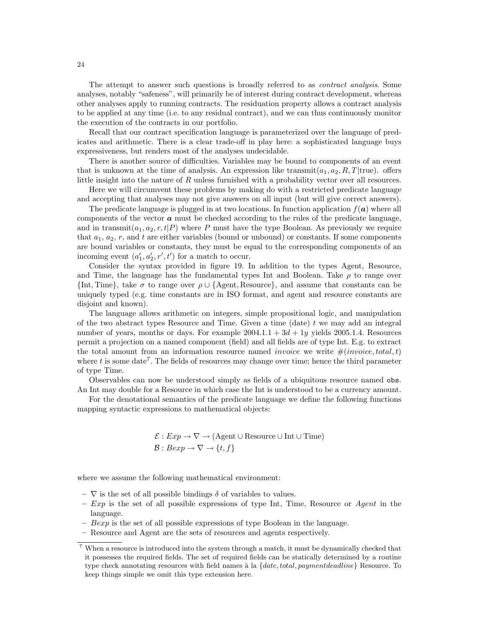The attempt to answer such questions is broadly referred to as *contract analysis*. Some analyses, notably "safeness", will primarily be of interest during contract development, whereas other analyses apply to running contracts. The residuation property allows a contract analysis to be applied at any time (i.e. to any residual contract), and we can thus continuously monitor the execution of the contracts in our portfolio.

Recall that our contract specification language is parameterized over the language of predicates and arithmetic. There is a clear trade-off in play here: a sophisticated language buys expressiveness, but renders most of the analyses undecidable.

There is another source of difficulties. Variables may be bound to components of an event that is unknown at the time of analysis. An expression like transmit $(a_1, a_2, R, T|$ true). offers little insight into the nature of R unless furnished with a probability vector over all resources.

Here we will circumvent these problems by making do with a restricted predicate language and accepting that analyses may not give answers on all input (but will give correct answers).

The predicate language is plugged in at two locations. In function application  $f(\boldsymbol{a})$  where all components of the vector  $\boldsymbol{a}$  must be checked according to the rules of the predicate language, and in transmit( $a_1, a_2, r, t | P$ ) where P must have the type Boolean. As previously we require that  $a_1, a_2, r$ , and t are either variables (bound or unbound) or constants. If some components are bound variables or constants, they must be equal to the corresponding components of an incoming event  $(a'_1, a'_2, r', t')$  for a match to occur.

Consider the syntax provided in figure 19. In addition to the types Agent, Resource, and Time, the language has the fundamental types Int and Boolean. Take  $\rho$  to range over  $\{\text{Int}, \text{Time}\},\$  take  $\sigma$  to range over  $\rho \cup \{\text{Agent}, \text{Resource}\},\$  and assume that constants can be uniquely typed (e.g. time constants are in ISO format, and agent and resource constants are disjoint and known).

The language allows arithmetic on integers, simple propositional logic, and manipulation of the two abstract types Resource and Time. Given a time (date)  $t$  we may add an integral number of years, months or days. For example  $2004.1.1 + 3d + 1y$  yields  $2005.1.4$ . Resources permit a projection on a named component (field) and all fields are of type Int. E.g. to extract the total amount from an information resource named *invoice* we write  $\#(inv, total, t)$ where  $t$  is some date<sup>7</sup>. The fields of resources may change over time; hence the third parameter of type Time.

Observables can now be understood simply as fields of a ubiquitous resource named obs. An Int may double for a Resource in which case the Int is understood to be a currency amount.

For the denotational semantics of the predicate language we define the following functions mapping syntactic expressions to mathematical objects:

$$
\mathcal{E}: Exp \to \nabla \to (\text{Agent} \cup \text{Resource} \cup \text{Int} \cup \text{Time})
$$

$$
\mathcal{B}: Bexp \to \nabla \to \{t, f\}
$$

where we assume the following mathematical environment:

- $\nabla$  is the set of all possible bindings  $\delta$  of variables to values.
- $Exp$  is the set of all possible expressions of type Int, Time, Resource or Agent in the language.
- $-$  Bexp is the set of all possible expressions of type Boolean in the language.
- Resource and Agent are the sets of resources and agents respectively.

When a resource is introduced into the system through a match, it must be dynamically checked that it possesses the required fields. The set of required fields can be statically determined by a routine type check annotating resources with field names à la  $\{date, total, paymentdeadline\}$  Resource. To keep things simple we omit this type extension here.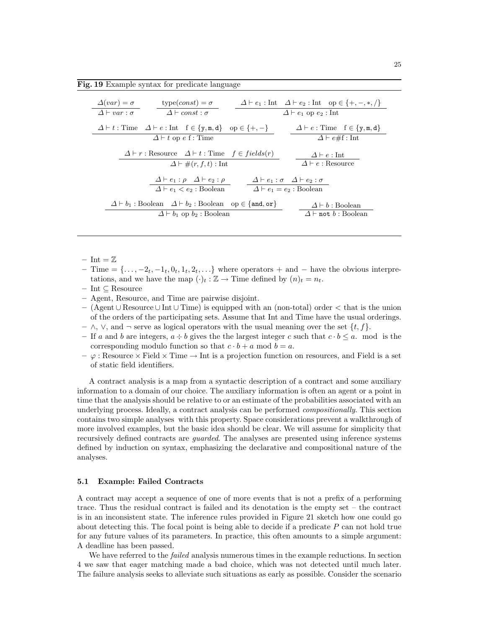Fig. 19 Example syntax for predicate language

| $\Delta (var) = \sigma$                                                                                                                                                                                                | $type(const) = \sigma$                                                                                                                                                 |  | $\Delta \vdash e_1 : \text{Int } \Delta \vdash e_2 : \text{Int } op \in \{+, -, *, /\}$ |
|------------------------------------------------------------------------------------------------------------------------------------------------------------------------------------------------------------------------|------------------------------------------------------------------------------------------------------------------------------------------------------------------------|--|-----------------------------------------------------------------------------------------|
| $\Delta$ + var : $\sigma$                                                                                                                                                                                              | $\Delta \vdash const : \sigma$                                                                                                                                         |  | $\Delta \vdash e_1$ op $e_2$ : Int                                                      |
|                                                                                                                                                                                                                        | $\Delta \vdash t :$ Time $\Delta \vdash e :$ Int $f \in \{y, m, d\}$ op $\in \{+, -\}$<br>$\Delta$ + t op e f : Time                                                   |  | $\Delta \vdash e :$ Time $f \in \{y, m, d\}$<br>$\Delta \vdash e \# f : \text{Int}$     |
|                                                                                                                                                                                                                        | $\Delta \vdash r :$ Resource $\Delta \vdash t :$ Time $f \in fields(r)$<br>$\Delta \vdash \#(r, f, t) :$ Int                                                           |  | $\Delta \vdash e : \text{Int}$<br>$\Delta \vdash e :$ Resource                          |
| $\Delta \vdash e_1 : \rho \quad \Delta \vdash e_2 : \rho$<br>$\Delta \vdash e_1 : \sigma \quad \Delta \vdash e_2 : \sigma$<br>$\Delta \vdash e_1 < e_2 : \text{Boolean}$<br>$\Delta \vdash e_1 = e_2 : \text{Boolean}$ |                                                                                                                                                                        |  |                                                                                         |
|                                                                                                                                                                                                                        | $\Delta \vdash b_1 : \text{Boolean} \quad \Delta \vdash b_2 : \text{Boolean} \quad \text{op} \in \{\text{and}, \text{or}\}\$<br>$\Delta \vdash b_1$ op $b_2$ : Boolean |  | $\Delta \vdash b : \text{Boolean}$<br>$\Lambda \vdash$ not. $b :$ Boolean               |

 $-$  Int  $=\mathbb{Z}$ 

- Time =  $\{\ldots, -2_t, -1_t, 0_t, 1_t, 2_t, \ldots\}$  where operators + and have the obvious interpretations, and we have the map  $(\cdot)_t : \mathbb{Z} \to \text{Time defined by } (n)_t = n_t$ .
- Int ⊆ Resource
- Agent, Resource, and Time are pairwise disjoint.
- (Agent ∪ Resource ∪ Int ∪ Time) is equipped with an (non-total) order < that is the union of the orders of the participating sets. Assume that Int and Time have the usual orderings.
- ∧, ∨, and ¬ serve as logical operators with the usual meaning over the set {t, f}.
- If a and b are integers,  $a \div b$  gives the the largest integer c such that  $c \cdot b \leq a$ . mod is the corresponding modulo function so that  $c \cdot b + a \mod b = a$ .
- $-\varphi$ : Resource  $\times$  Field  $\times$  Time  $\rightarrow$  Int is a projection function on resources, and Field is a set of static field identifiers.

A contract analysis is a map from a syntactic description of a contract and some auxiliary information to a domain of our choice. The auxiliary information is often an agent or a point in time that the analysis should be relative to or an estimate of the probabilities associated with an underlying process. Ideally, a contract analysis can be performed compositionally. This section contains two simple analyses with this property. Space considerations prevent a walkthrough of more involved examples, but the basic idea should be clear. We will assume for simplicity that recursively defined contracts are guarded. The analyses are presented using inference systems defined by induction on syntax, emphasizing the declarative and compositional nature of the analyses.

#### 5.1 Example: Failed Contracts

A contract may accept a sequence of one of more events that is not a prefix of a performing trace. Thus the residual contract is failed and its denotation is the empty set – the contract is in an inconsistent state. The inference rules provided in Figure 21 sketch how one could go about detecting this. The focal point is being able to decide if a predicate P can not hold true for any future values of its parameters. In practice, this often amounts to a simple argument: A deadline has been passed.

We have referred to the *failed* analysis numerous times in the example reductions. In section 4 we saw that eager matching made a bad choice, which was not detected until much later. The failure analysis seeks to alleviate such situations as early as possible. Consider the scenario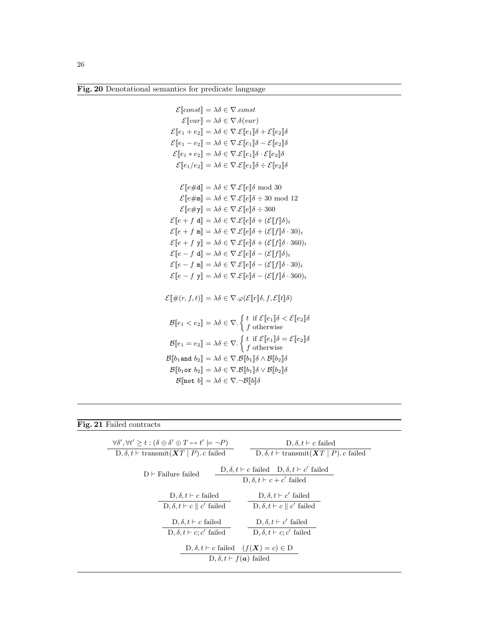Fig. 20 Denotational semantics for predicate language

```
\mathcal{E}[const] = \lambda \delta \in \nabla.const
              \mathcal{E}[\![var]\!] = \lambda \delta \in \nabla . \delta(var)\mathcal{E}[\![e_1+e_2]\!] = \lambda \delta \in \nabla \mathcal{E}[\![e_1]\!] \delta + \mathcal{E}[\![e_2]\!] \delta\mathcal{E}[\![e_1 - e_2]\!] = \lambda \delta \in \nabla \mathcal{E}[\![e_1]\!] \delta - \mathcal{E}[\![e_2]\!] \delta\mathcal{E}[\![e_1 * e_2]\!] = \lambda \delta \in \nabla \mathcal{E}[\![e_1]\!] \delta \cdot \mathcal{E}[\![e_2]\!] \delta\mathcal{E}[e_1/e_2] = \lambda \delta \in \nabla \mathcal{E}[e_1] \delta \div \mathcal{E}[e_2] \delta\mathcal{E}[\![e\#\mathtt{d}]\!] = \lambda \delta \in \nabla \mathcal{E}[\![e]\!] \delta \text{ mod } 30\mathcal{E}[\![e\#\mathfrak{m}]\!] = \lambda \delta \in \nabla \mathcal{E}[\![e]\!] \delta \div 30 \text{ mod } 12\mathcal{E}[[e#y]] = \lambda \delta \in \nabla \mathcal{E}[[e][\delta \div 360\mathcal{E} \|e + f\| \leq \lambda \delta \in \nabla \mathcal{E} \|e\| \delta + (\mathcal{E} \|f\| \delta)_t\mathcal{E} \|e + f\| = \lambda \delta \in \nabla \mathcal{E} \|e\| \delta + (\mathcal{E} \|f\| \delta \cdot 30)_t\mathcal{E} \|e + f y\| = \lambda \delta \in \nabla \mathcal{E} \|e\| \delta + (\mathcal{E} \|f\| \delta \cdot 360)_t\mathcal{E} \| e - f \, \mathbf{d} \| = \lambda \delta \in \nabla \mathcal{E} \| e \| \delta - (\mathcal{E} \| f \| \delta)_t\mathcal{E}[e - f m] = \lambda \delta \in \nabla \mathcal{E}[e]\delta - (\mathcal{E}[f]\delta \cdot 30)_t\mathcal{E} \|e - f\| = \lambda \delta \in \nabla \mathcal{E}[e] \delta - (\mathcal{E}[f] \delta \cdot 360)_t\mathcal{E}[\#(r, f, t)] = \lambda \delta \in \nabla \cdot \varphi(\mathcal{E}[\![r]\!]\delta, f, \mathcal{E}[\![t]\!]\delta)\mathcal{B}[\![e_1 < e_2]\!] = \lambda \delta \in \nabla. \begin{cases} t \text{ if } \mathcal{E}[\![e_1]\!] \delta < \mathcal{E}[\![e_2]\!] \delta \end{cases}f otherwise
    \mathcal{B}[\![e_1=e_2]\!] = \lambda \delta \in \nabla. \begin{cases} t \text{ if } \mathcal{E}[\![e_1]\!] \delta = \mathcal{E}[\![e_2]\!] \delta \end{cases}f otherwise
\mathcal{B}[\![b_1\! and \;b_2]\!] = \lambda \delta \in \nabla . \mathcal{B}[\![b_1]\!] \delta \wedge \mathcal{B}[\![b_2]\!] \delta\mathcal{B}[[b_1 \text{ or } b_2]] = \lambda \delta \in \nabla \mathcal{B}[[b_1]] \delta \vee \mathcal{B}[[b_2]] \delta\mathcal{B}[not b] = \lambda \delta \in \nabla \cdot \neg \mathcal{B}[b]\delta
```

|  |  |  | Fig. 21 Failed contracts |
|--|--|--|--------------------------|
|--|--|--|--------------------------|

| $\forall \delta', \forall t' \geq t : (\delta \oplus \delta' \oplus T \mapsto t' \models \neg P)$ | $D, \delta, t \vdash c$ failed                                                                        |
|---------------------------------------------------------------------------------------------------|-------------------------------------------------------------------------------------------------------|
| $D, \delta, t \vdash \text{transmit}(XT   P)$ . c failed                                          | $D, \delta, t \vdash \text{transmit}(XT   P)$ . c failed                                              |
| $D \vdash$ Failure failed                                                                         | $D, \delta, t \vdash c$ failed $D, \delta, t \vdash c'$ failed<br>$D, \delta, t \vdash c + c'$ failed |
| $D, \delta, t \vdash c$ failed                                                                    | D, $\delta, t \vdash c'$ failed                                                                       |
| D, $\delta, t \vdash c \parallel c'$ failed                                                       | $D, \delta, t \vdash c \parallel c'$ failed                                                           |
| D, $\delta, t \vdash c$ failed<br>$D, \delta, t \vdash c; c'$ failed                              | $D, \delta, t \vdash c'$ failed<br>$D, \delta, t \vdash c; c'$ failed                                 |
|                                                                                                   | D, $\delta, t \vdash c$ failed $(f(\mathbf{X}) = c) \in D$<br>$D, \delta, t \vdash f(a)$ failed       |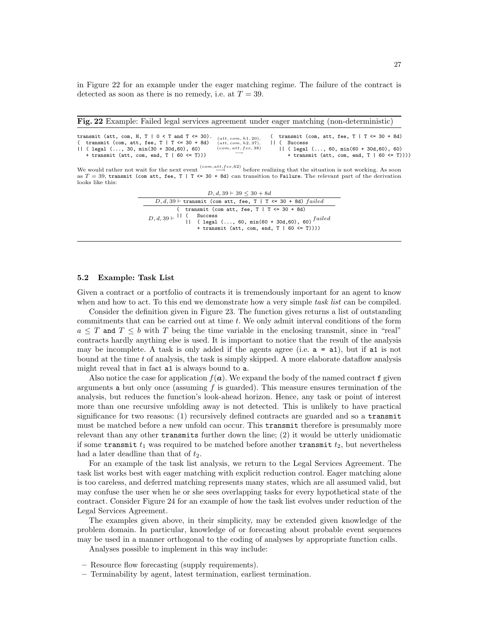in Figure 22 for an example under the eager matching regime. The failure of the contract is detected as soon as there is no remedy, i.e. at  $T = 39$ .

Fig. 22 Example: Failed legal services agreement under eager matching (non-deterministic)

transmit (att, com, H,  $T$  | 0 < T and  $T$  <= 30). transmit (com, att, fee,  $T$  |  $T$  <= 30 + 8d) || ( legal (..., 30, min(30 + 30d,60), 60) + transmit (att, com, end, T | 60 <= T)))  $(att, com, h1, 20),$  $(att, com, h2, 37)$  $(com, att, fee, 38)$ −→ ( transmit (com, att, fee,  $T \mid T \leq 30 + 8d$ ) || ( Success || ( legal (..., 60, min(60 + 30d,60), 60) + transmit (att, com, end, T | 60 <= T))))

We would rather not wait for the next event  $^{(com,att,fee,62)}$  before realizing that the situation is not working. As soon as  $T = 39$ , transmit (com att, fee,  $T \mid T \le 30 + 8d$ ) can transition to Failure. The relevant part of the derivation looks like this:

> $D, d, 39 \vdash 39 \leq 30 + 8d$  $D, d, 39 \vdash \text{transmit } (com \text{ att, fee, T} \mid T \leq 30 + 8d) \; failed$ D, d, 39 ` || ( Success transmit (com att, fee,  $T$  |  $T$  <= 30 + 8d) || ( legal (..., 60, min(60 + 30d,60), 60) ${failed}$ + transmit (att, com, end, T | 60 <= T))))

#### 5.2 Example: Task List

Given a contract or a portfolio of contracts it is tremendously important for an agent to know when and how to act. To this end we demonstrate how a very simple task list can be compiled.

Consider the definition given in Figure 23. The function gives returns a list of outstanding commitments that can be carried out at time t. We only admit interval conditions of the form  $a \leq T$  and  $T \leq b$  with T being the time variable in the enclosing transmit, since in "real" contracts hardly anything else is used. It is important to notice that the result of the analysis may be incomplete. A task is only added if the agents agree (i.e.  $a = a1$ ), but if all is not bound at the time t of analysis, the task is simply skipped. A more elaborate dataflow analysis might reveal that in fact a1 is always bound to a.

Also notice the case for application  $f(\boldsymbol{a})$ . We expand the body of the named contract f given arguments a but only once (assuming f is guarded). This measure ensures termination of the analysis, but reduces the function's look-ahead horizon. Hence, any task or point of interest more than one recursive unfolding away is not detected. This is unlikely to have practical significance for two reasons: (1) recursively defined contracts are guarded and so a transmit must be matched before a new unfold can occur. This transmit therefore is presumably more relevant than any other transmits further down the line; (2) it would be utterly unidiomatic if some transmit  $t_1$  was required to be matched before another transmit  $t_2$ , but nevertheless had a later deadline than that of  $t_2$ .

For an example of the task list analysis, we return to the Legal Services Agreement. The task list works best with eager matching with explicit reduction control. Eager matching alone is too careless, and deferred matching represents many states, which are all assumed valid, but may confuse the user when he or she sees overlapping tasks for every hypothetical state of the contract. Consider Figure 24 for an example of how the task list evolves under reduction of the Legal Services Agreement.

The examples given above, in their simplicity, may be extended given knowledge of the problem domain. In particular, knowledge of or forecasting about probable event sequences may be used in a manner orthogonal to the coding of analyses by appropriate function calls.

Analyses possible to implement in this way include:

- Resource flow forecasting (supply requirements).
- Terminability by agent, latest termination, earliest termination.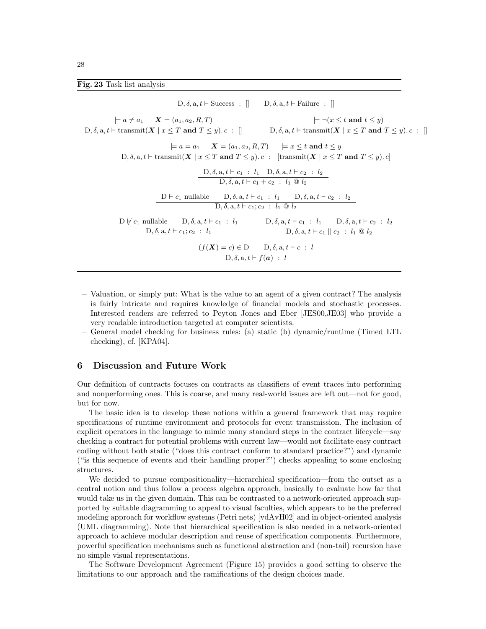$D, \delta, a, t \vdash$  Success :  $[] \qquad D, \delta, a, t \vdash$  Failure :  $[]$  $= a \neq a_1 \quad X = (a_1, a_2, R, T)$  $D, \delta, a, t \vdash \text{transmit}(X \mid x \leq T \text{ and } T \leq y) \text{. } c \; : \; []$  $\models \neg(x \leq t \text{ and } t \leq y)$  $D, \delta, a, t \vdash \text{transmit}(X \mid x \leq T \text{ and } T \leq y) \text{. } c : []$  $\models a = a_1 \quad X = (a_1, a_2, R, T) \quad \models x \leq t \text{ and } t \leq y$  $D, \delta, a, t \vdash \text{transmit}(X \mid x \leq T \text{ and } T \leq y) \ldots$  [transmit $(X \mid x \leq T \text{ and } T \leq y) \ldots$ ]  $D, \delta, a, t \vdash c_1 : l_1 \quad D, \delta, a, t \vdash c_2 : l_2$  $D, \delta, a, t \vdash c_1 + c_2 : l_1 \otimes l_2$  $D \vdash c_1$  nullable  $D, \delta, a, t \vdash c_1 : l_1 \quad D, \delta, a, t \vdash c_2 : l_2$  $D, \delta, a, t \vdash c_1; c_2 : l_1 \otimes l_2$  $D \not\vdash c_1$  nullable  $D, \delta, a, t \vdash c_1 : l_1$  $D, \delta, a, t \vdash c_1; c_2 : l_1$  $D, \delta, a, t \vdash c_1 : l_1 \quad D, \delta, a, t \vdash c_2 : l_2$  $D, \delta, a, t \vdash c_1 \parallel c_2 : l_1 \otimes l_2$  $(f(\boldsymbol{X}) = c) \in D$  D,  $\delta$ ,  $a, t \vdash c : l$  $D, \delta, a, t \vdash f(a) : l$ 

- Valuation, or simply put: What is the value to an agent of a given contract? The analysis is fairly intricate and requires knowledge of financial models and stochastic processes. Interested readers are referred to Peyton Jones and Eber [JES00,JE03] who provide a very readable introduction targeted at computer scientists.
- General model checking for business rules: (a) static (b) dynamic/runtime (Timed LTL checking), cf. [KPA04].

### 6 Discussion and Future Work

Our definition of contracts focuses on contracts as classifiers of event traces into performing and nonperforming ones. This is coarse, and many real-world issues are left out—not for good, but for now.

The basic idea is to develop these notions within a general framework that may require specifications of runtime environment and protocols for event transmission. The inclusion of explicit operators in the language to mimic many standard steps in the contract lifecycle—say checking a contract for potential problems with current law—would not facilitate easy contract coding without both static ("does this contract conform to standard practice?") and dynamic ("is this sequence of events and their handling proper?") checks appealing to some enclosing structures.

We decided to pursue compositionality—hierarchical specification—from the outset as a central notion and thus follow a process algebra approach, basically to evaluate how far that would take us in the given domain. This can be contrasted to a network-oriented approach supported by suitable diagramming to appeal to visual faculties, which appears to be the preferred modeling approach for workflow systems (Petri nets) [vdAvH02] and in object-oriented analysis (UML diagramming). Note that hierarchical specification is also needed in a network-oriented approach to achieve modular description and reuse of specification components. Furthermore, powerful specification mechanisms such as functional abstraction and (non-tail) recursion have no simple visual representations.

The Software Development Agreement (Figure 15) provides a good setting to observe the limitations to our approach and the ramifications of the design choices made.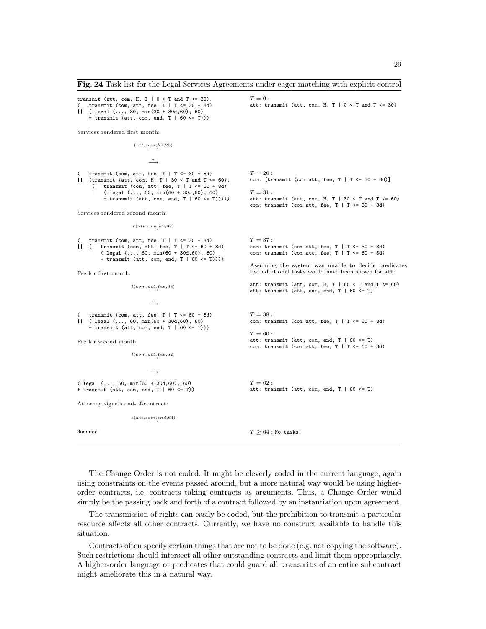| transmit (att, com, H, $T$   0 < T and T <= 30).<br>transmit (com, att, fee, $T$   $T \le 30 + 8d$ )<br>€<br>  $( \text{legal } ( \ldots, 30, \text{ min}(30 + 30d, 60), 60)$<br>+ transmit (att, com, end, $T$   60 <= $T$ )))                                                                  | $T=0$ :<br>att: transmit (att, com, H, $T \mid 0 \leq T$ and $T \leq 30$ )                                                                                                                        |
|--------------------------------------------------------------------------------------------------------------------------------------------------------------------------------------------------------------------------------------------------------------------------------------------------|---------------------------------------------------------------------------------------------------------------------------------------------------------------------------------------------------|
| Services rendered first month:                                                                                                                                                                                                                                                                   |                                                                                                                                                                                                   |
| $\stackrel{(att,com,h1,20)}{\longrightarrow}$                                                                                                                                                                                                                                                    |                                                                                                                                                                                                   |
| $\stackrel{\tau}{\longrightarrow}$                                                                                                                                                                                                                                                               |                                                                                                                                                                                                   |
| transmit (com, att, fee, $T$   $T \le 30 + 8d$ )<br>€<br>(transmit (att, com, H, T   30 < T and T <= 60).<br>$\mathbf{H}$<br>( transmit (com, att, fee, $T$   $T \le 60 + 8d$ )<br>$   ( \text{legal } (, 60, \text{min}(60 + 30d, 60), 60)$<br>+ transmit (att, com, end, $T$   60 <= $T$ ))))) | $T = 20:$<br>com: [transmit (com att, fee, $T$   $T \le 30 + 8d$ )]<br>$T = 31:$<br>att: transmit (att, com, H, $T$   30 < T and T <= 60)<br>com: transmit (com att, fee, $T$   $T \le 30 + 8d$ ) |
| Services rendered second month:                                                                                                                                                                                                                                                                  |                                                                                                                                                                                                   |
| $r(\mathit{att}, \mathit{com}, h2, 37)$                                                                                                                                                                                                                                                          |                                                                                                                                                                                                   |
| transmit (com, att, fee, $T$   $T \le 30 + 8d$ )<br>€<br>(transmit (com, att, fee, $T$   $T \le 60 + 8d$ )<br>$\mathbf{H}$<br>$   ( \text{legal } (, 60, \text{min}(60 + 30d, 60), 60)$<br>+ transmit (att, com, end, $T$   60 <= $T$ ))))                                                       | $T = 37:$<br>com: transmit (com att, fee, $T$   $T$ <= 30 + 8d)<br>com: transmit (com att, fee, $T$   $T$ <= 60 + 8d)<br>Assuming the system was unable to decide predicates,                     |
| Fee for first month:                                                                                                                                                                                                                                                                             | two additional tasks would have been shown for att:                                                                                                                                               |
| $l(\mathit{com}, \underbrace{\mathit{att}, \mathit{fee}, 38})$                                                                                                                                                                                                                                   | att: transmit (att, com, H, T   60 $\lt$ T and T $\lt$ = 60)<br>att: transmit (att, com, end, $T$   60 $\leq$ T)                                                                                  |
| $\stackrel{\tau}{\longrightarrow}$                                                                                                                                                                                                                                                               |                                                                                                                                                                                                   |
| transmit (com, att, fee, $T$   $T \le 60 + 8d$ )<br>(<br>  $( \text{legal } (, 60, \text{min}(60 + 30d, 60), 60)$<br>+ transmit (att, com, end, $T$   60 <= $T$ )))                                                                                                                              | $T = 38:$<br>com: transmit (com att, fee, $T$   $T \le 60 + 8d$ )                                                                                                                                 |
| Fee for second month:                                                                                                                                                                                                                                                                            | $T = 60:$<br>att: transmit (att, com, end, $T$   60 $\leq T$ )<br>com: transmit (com att, fee, $T$   $T$ <= 60 + 8d)                                                                              |
| $\stackrel{l(\text{com}, att, fee, 62)}{\longrightarrow}$                                                                                                                                                                                                                                        |                                                                                                                                                                                                   |
| $\stackrel{\tau}{\longrightarrow}$                                                                                                                                                                                                                                                               |                                                                                                                                                                                                   |
| $($ legal $(, 60, min(60 + 30d, 60), 60)$<br>+ transmit (att, com, end, $T$   60 <= T))                                                                                                                                                                                                          | $T = 62$ :<br>att: transmit (att, com, end, $T$   60 $\leq T$ )                                                                                                                                   |
| Attorney signals end-of-contract:                                                                                                                                                                                                                                                                |                                                                                                                                                                                                   |
| $s(\mathit{att},\mathit{com},\mathit{end},64)$                                                                                                                                                                                                                                                   |                                                                                                                                                                                                   |
| Success                                                                                                                                                                                                                                                                                          | $T \geq 64$ : No tasks!                                                                                                                                                                           |
|                                                                                                                                                                                                                                                                                                  |                                                                                                                                                                                                   |

Fig. 24 Task list for the Legal Services Agreements under eager matching with explicit control

The Change Order is not coded. It might be cleverly coded in the current language, again using constraints on the events passed around, but a more natural way would be using higherorder contracts, i.e. contracts taking contracts as arguments. Thus, a Change Order would simply be the passing back and forth of a contract followed by an instantiation upon agreement.

The transmission of rights can easily be coded, but the prohibition to transmit a particular resource affects all other contracts. Currently, we have no construct available to handle this situation.

Contracts often specify certain things that are not to be done (e.g. not copying the software). Such restrictions should intersect all other outstanding contracts and limit them appropriately. A higher-order language or predicates that could guard all transmits of an entire subcontract might ameliorate this in a natural way.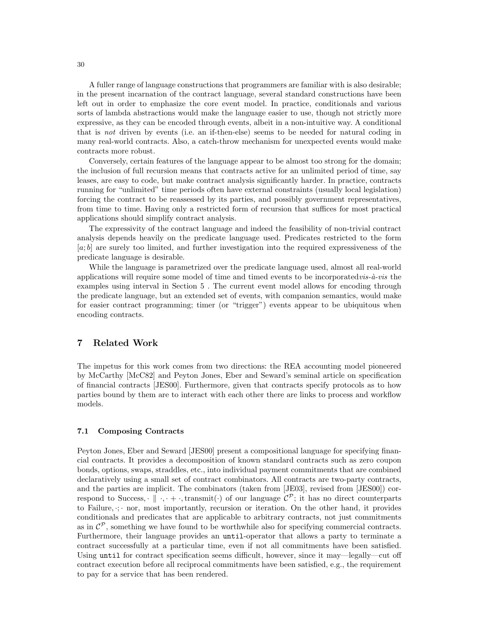A fuller range of language constructions that programmers are familiar with is also desirable; in the present incarnation of the contract language, several standard constructions have been left out in order to emphasize the core event model. In practice, conditionals and various sorts of lambda abstractions would make the language easier to use, though not strictly more expressive, as they can be encoded through events, albeit in a non-intuitive way. A conditional that is not driven by events (i.e. an if-then-else) seems to be needed for natural coding in many real-world contracts. Also, a catch-throw mechanism for unexpected events would make contracts more robust.

Conversely, certain features of the language appear to be almost too strong for the domain; the inclusion of full recursion means that contracts active for an unlimited period of time, say leases, are easy to code, but make contract analysis significantly harder. In practice, contracts running for "unlimited" time periods often have external constraints (usually local legislation) forcing the contract to be reassessed by its parties, and possibly government representatives, from time to time. Having only a restricted form of recursion that suffices for most practical applications should simplify contract analysis.

The expressivity of the contract language and indeed the feasibility of non-trivial contract analysis depends heavily on the predicate language used. Predicates restricted to the form  $[a; b]$  are surely too limited, and further investigation into the required expressiveness of the predicate language is desirable.

While the language is parametrized over the predicate language used, almost all real-world applications will require some model of time and timed events to be incorporated  $vis-\hat{a}-vis$  the examples using interval in Section 5 . The current event model allows for encoding through the predicate language, but an extended set of events, with companion semantics, would make for easier contract programming; timer (or "trigger") events appear to be ubiquitous when encoding contracts.

## 7 Related Work

The impetus for this work comes from two directions: the REA accounting model pioneered by McCarthy [McC82] and Peyton Jones, Eber and Seward's seminal article on specification of financial contracts [JES00]. Furthermore, given that contracts specify protocols as to how parties bound by them are to interact with each other there are links to process and workflow models.

### 7.1 Composing Contracts

Peyton Jones, Eber and Seward [JES00] present a compositional language for specifying financial contracts. It provides a decomposition of known standard contracts such as zero coupon bonds, options, swaps, straddles, etc., into individual payment commitments that are combined declaratively using a small set of contract combinators. All contracts are two-party contracts, and the parties are implicit. The combinators (taken from [JE03], revised from [JES00]) correspond to Success,  $\|\cdot, \cdot + \cdot, \text{transmit}(\cdot)$  of our language  $\mathcal{C}^{\mathcal{P}}$ ; it has no direct counterparts to Failure,  $\cdot$  nor, most importantly, recursion or iteration. On the other hand, it provides conditionals and predicates that are applicable to arbitrary contracts, not just commitments as in  $\mathcal{C}^{\mathcal{P}}$ , something we have found to be worthwhile also for specifying commercial contracts. Furthermore, their language provides an until-operator that allows a party to terminate a contract successfully at a particular time, even if not all commitments have been satisfied. Using until for contract specification seems difficult, however, since it may—legally—cut off contract execution before all reciprocal commitments have been satisfied, e.g., the requirement to pay for a service that has been rendered.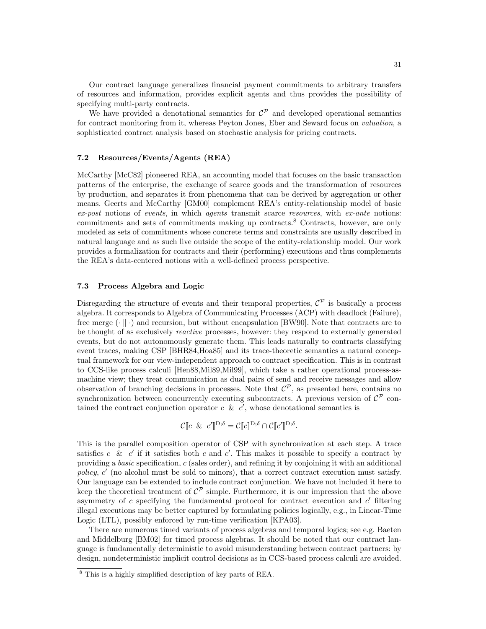Our contract language generalizes financial payment commitments to arbitrary transfers of resources and information, provides explicit agents and thus provides the possibility of specifying multi-party contracts.

We have provided a denotational semantics for  $\mathcal{C}^{\mathcal{P}}$  and developed operational semantics for contract monitoring from it, whereas Peyton Jones, Eber and Seward focus on valuation, a sophisticated contract analysis based on stochastic analysis for pricing contracts.

#### 7.2 Resources/Events/Agents (REA)

McCarthy [McC82] pioneered REA, an accounting model that focuses on the basic transaction patterns of the enterprise, the exchange of scarce goods and the transformation of resources by production, and separates it from phenomena that can be derived by aggregation or other means. Geerts and McCarthy [GM00] complement REA's entity-relationship model of basic ex-post notions of events, in which agents transmit scarce resources, with ex-ante notions: commitments and sets of commitments making up contracts.<sup>8</sup> Contracts, however, are only modeled as sets of commitments whose concrete terms and constraints are usually described in natural language and as such live outside the scope of the entity-relationship model. Our work provides a formalization for contracts and their (performing) executions and thus complements the REA's data-centered notions with a well-defined process perspective.

#### 7.3 Process Algebra and Logic

Disregarding the structure of events and their temporal properties,  $\mathcal{C}^{\mathcal{P}}$  is basically a process algebra. It corresponds to Algebra of Communicating Processes (ACP) with deadlock (Failure), free merge  $\cdot \parallel \cdot$  and recursion, but without encapsulation [BW90]. Note that contracts are to be thought of as exclusively reactive processes, however: they respond to externally generated events, but do not autonomously generate them. This leads naturally to contracts classifying event traces, making CSP [BHR84,Hoa85] and its trace-theoretic semantics a natural conceptual framework for our view-independent approach to contract specification. This is in contrast to CCS-like process calculi [Hen88,Mil89,Mil99], which take a rather operational process-asmachine view; they treat communication as dual pairs of send and receive messages and allow observation of branching decisions in processes. Note that  $\mathcal{C}^{\mathcal{P}}$ , as presented here, contains no synchronization between concurrently executing subcontracts. A previous version of  $\mathcal{C}^{\mathcal{P}}$  contained the contract conjunction operator  $c \& c'$ , whose denotational semantics is

$$
\mathcal{C}[\![c\ \&\ c']\!]^{\mathrm{D};\delta} = \mathcal{C}[\![c]\!]^{\mathrm{D};\delta} \cap \mathcal{C}[\![c']\!]^{\mathrm{D};\delta}.
$$

This is the parallel composition operator of CSP with synchronization at each step. A trace satisfies c & c' if it satisfies both c and c'. This makes it possible to specify a contract by providing a basic specification,  $c$  (sales order), and refining it by conjoining it with an additional policy,  $c'$  (no alcohol must be sold to minors), that a correct contract execution must satisfy. Our language can be extended to include contract conjunction. We have not included it here to keep the theoretical treatment of  $\mathcal{C}^{\mathcal{P}}$  simple. Furthermore, it is our impression that the above asymmetry of  $c$  specifying the fundamental protocol for contract execution and  $c'$  filtering illegal executions may be better captured by formulating policies logically, e.g., in Linear-Time Logic (LTL), possibly enforced by run-time verification [KPA03].

There are numerous timed variants of process algebras and temporal logics; see e.g. Baeten and Middelburg [BM02] for timed process algebras. It should be noted that our contract language is fundamentally deterministic to avoid misunderstanding between contract partners: by design, nondeterministic implicit control decisions as in CCS-based process calculi are avoided.

 $\overline{\text{8}$  This is a highly simplified description of key parts of REA.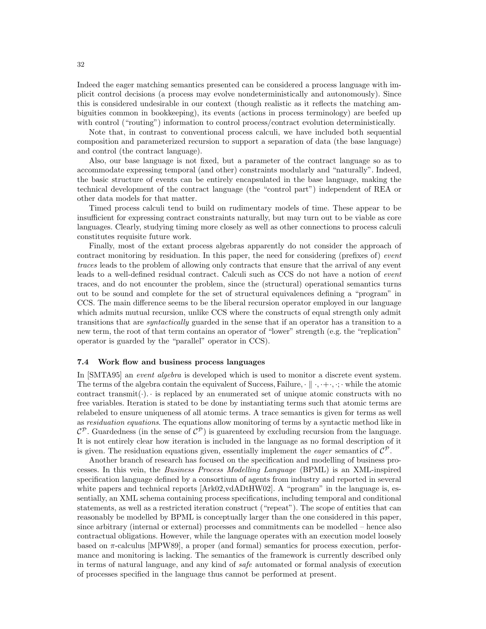Indeed the eager matching semantics presented can be considered a process language with implicit control decisions (a process may evolve nondeterministically and autonomously). Since this is considered undesirable in our context (though realistic as it reflects the matching ambiguities common in bookkeeping), its events (actions in process terminology) are beefed up with control ("routing") information to control process/contract evolution deterministically.

Note that, in contrast to conventional process calculi, we have included both sequential composition and parameterized recursion to support a separation of data (the base language) and control (the contract language).

Also, our base language is not fixed, but a parameter of the contract language so as to accommodate expressing temporal (and other) constraints modularly and "naturally". Indeed, the basic structure of events can be entirely encapsulated in the base language, making the technical development of the contract language (the "control part") independent of REA or other data models for that matter.

Timed process calculi tend to build on rudimentary models of time. These appear to be insufficient for expressing contract constraints naturally, but may turn out to be viable as core languages. Clearly, studying timing more closely as well as other connections to process calculi constitutes requisite future work.

Finally, most of the extant process algebras apparently do not consider the approach of contract monitoring by residuation. In this paper, the need for considering (prefixes of) event traces leads to the problem of allowing only contracts that ensure that the arrival of any event leads to a well-defined residual contract. Calculi such as CCS do not have a notion of event traces, and do not encounter the problem, since the (structural) operational semantics turns out to be sound and complete for the set of structural equivalences defining a "program" in CCS. The main difference seems to be the liberal recursion operator employed in our language which admits mutual recursion, unlike CCS where the constructs of equal strength only admit transitions that are syntactically guarded in the sense that if an operator has a transition to a new term, the root of that term contains an operator of "lower" strength (e.g. the "replication" operator is guarded by the "parallel" operator in CCS).

#### 7.4 Work flow and business process languages

In [SMTA95] an event algebra is developed which is used to monitor a discrete event system. The terms of the algebra contain the equivalent of Success, Failure,  $\cdot \parallel \cdot, \cdot + \cdot, \cdot$ ;  $\cdot$  while the atomic contract transmit( $\cdot$ ).  $\cdot$  is replaced by an enumerated set of unique atomic constructs with no free variables. Iteration is stated to be done by instantiating terms such that atomic terms are relabeled to ensure uniqueness of all atomic terms. A trace semantics is given for terms as well as residuation equations. The equations allow monitoring of terms by a syntactic method like in  $\mathcal{C}^{\mathcal{P}}$ . Guardedness (in the sense of  $\mathcal{C}^{\mathcal{P}}$ ) is guarenteed by excluding recursion from the language. It is not entirely clear how iteration is included in the language as no formal description of it is given. The residuation equations given, essentially implement the *eager* semantics of  $\mathcal{C}^{\mathcal{P}}$ .

Another branch of research has focused on the specification and modelling of business processes. In this vein, the Business Process Modelling Language (BPML) is an XML-inspired specification language defined by a consortium of agents from industry and reported in several white papers and technical reports [Ark02,vdADtHW02]. A "program" in the language is, essentially, an XML schema containing process specifications, including temporal and conditional statements, as well as a restricted iteration construct ("repeat"). The scope of entities that can reasonably be modelled by BPML is conceptually larger than the one considered in this paper, since arbitrary (internal or external) processes and commitments can be modelled – hence also contractual obligations. However, while the language operates with an execution model loosely based on  $\pi$ -calculus [MPW89], a proper (and formal) semantics for process execution, performance and monitoring is lacking. The semantics of the framework is currently described only in terms of natural language, and any kind of safe automated or formal analysis of execution of processes specified in the language thus cannot be performed at present.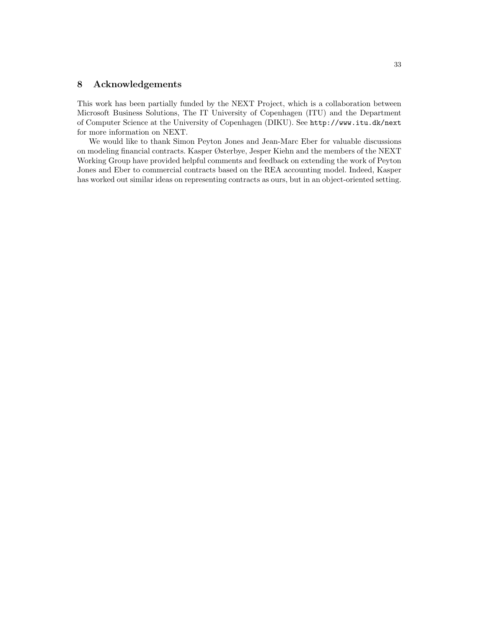## 8 Acknowledgements

This work has been partially funded by the NEXT Project, which is a collaboration between Microsoft Business Solutions, The IT University of Copenhagen (ITU) and the Department of Computer Science at the University of Copenhagen (DIKU). See http://www.itu.dk/next for more information on NEXT.

We would like to thank Simon Peyton Jones and Jean-Marc Eber for valuable discussions on modeling financial contracts. Kasper Østerbye, Jesper Kiehn and the members of the NEXT Working Group have provided helpful comments and feedback on extending the work of Peyton Jones and Eber to commercial contracts based on the REA accounting model. Indeed, Kasper has worked out similar ideas on representing contracts as ours, but in an object-oriented setting.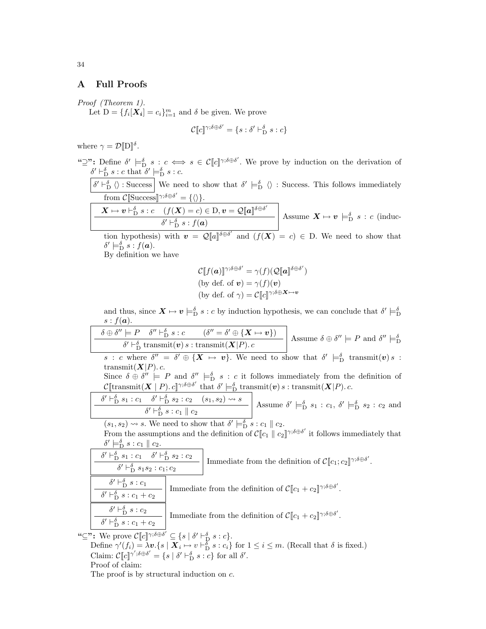### A Full Proofs

Proof (Theorem 1). Let  $D = \{f_i[\boldsymbol{X_i}] = c_i\}_{i=1}^m$  and  $\delta$  be given. We prove

$$
\mathcal{C}[\![c]\!]^{\gamma;\delta \oplus \delta'} = \{s : \delta' \vdash_{\mathcal{D}}^{\delta} s : c\}
$$

where  $\gamma = \mathcal{D}[\![\mathrm{D}]\!]^{\delta}$ .

" $\supseteq$ ": Define  $\delta' \models_{\mathcal{D}}^{\delta} s : c \iff s \in \mathcal{C}[[c]]^{\gamma,\delta \oplus \delta'}$ . We prove by induction on the derivation of  $\delta' \vdash_{\mathcal{D}}^{\delta} s : c \text{ that } \delta' \models_{\mathcal{D}}^{\delta} s : c.$  $\delta' \vdash_{\mathcal{D}}^{\delta} \langle \rangle$ : Success | We need to show that  $\delta' \models_{\mathcal{D}}^{\delta} \langle \rangle$ : Success. This follows immediately from  $\mathcal{C}$ [Success]<sup> $\gamma$ ;δ⊕δ'</sup> = { $\langle \rangle$  }.

Assume 
$$
\frac{\mathbf{X} \mapsto \mathbf{v} \vdash_{\mathbf{D}}^{\delta} s : c \quad (f(\mathbf{X}) = c) \in \mathbf{D}, \mathbf{v} = \mathcal{Q}[\![\mathbf{a}]\!]^{\delta \oplus \delta'}
$$
Assume  $\mathbf{X} \mapsto \mathbf{v} \models_{\mathbf{D}}^{\delta} s : c$  (induc-

tion hypothesis) with  $v = \mathcal{Q}[a]^{\delta \oplus \delta'}$  and  $(f(X)) = c$   $\in$  D. We need to show that  $\delta' \models_{\mathrm{D}}^{\delta} s : f(\boldsymbol{a}).$ 

By definition we have

$$
C[[f(\mathbf{a})]^{\gamma;\delta \oplus \delta'} = \gamma(f)(\mathcal{Q}[\![\mathbf{a}]\!]^{\delta \oplus \delta'})
$$
  
(by def. of  $\mathbf{v}) = \gamma(f)(\mathbf{v})$   
(by def. of  $\gamma) = C[[c]]^{\gamma;\delta \oplus \mathbf{X} \mapsto \mathbf{v}}$ 

and thus, since  $X \mapsto v \models_{\mathcal{D}}^{\delta} s : c$  by induction hypothesis, we can conclude that  $\delta' \models_{\mathcal{D}}^{\delta} s$  $s : f(\boldsymbol{a}).$ 

 $\delta \oplus \delta'' \models P \quad \delta'' \vdash^{\delta}_{\mathcal{D}} s : c \qquad (\delta'' = \delta' \oplus \{ \boldsymbol{X} \mapsto \boldsymbol{v} \})$  $\delta' \vdash_{\mathrm{D}}^{\delta} \mathrm{transmit}(\boldsymbol{v}) \, s: \mathrm{transmit}(\boldsymbol{X}|P). \, c$ Assume  $\delta \oplus \delta'' \models P$  and  $\delta'' \models^{\delta}_{D}$  $s : c$  where  $\delta'' = \delta' \oplus \{X \mapsto v\}$ . We need to show that  $\delta' \models_{\mathcal{D}}^{\delta}$  transmit $(v) s :$ transmit $(X|P)$ . c. Since  $\delta \oplus \delta''$   $\models P$  and  $\delta''$   $\models_{D}^{\delta} s : c$  it follows immediately from the definition of  $\mathcal{C}[\![\mathrm{transmit}(\boldsymbol{X}\mid P).\,c]\!]^{\gamma,\delta \oplus \delta'} \text{ that } \delta' \models^{\delta}_\text{D} \text{transmit}(\boldsymbol{v}) \, s: \mathrm{transmit}(\boldsymbol{X}|P). \, c.$ 

δ <sup>0</sup> ` δ <sup>D</sup> s<sup>1</sup> : c<sup>1</sup> δ <sup>0</sup> ` δ <sup>D</sup> s<sup>2</sup> : c<sup>2</sup> (s1, s2) s δ <sup>0</sup> ` δ <sup>D</sup> s : c<sup>1</sup> k c<sup>2</sup> Assume δ 0 |=<sup>δ</sup> <sup>D</sup> s<sup>1</sup> : c1, δ 0 |=<sup>δ</sup> <sup>D</sup> s<sup>2</sup> : c<sup>2</sup> and

 $(s_1, s_2) \rightsquigarrow s$ . We need to show that  $\delta' \models_{\mathcal{D}}^{\delta} s : c_1 \parallel c_2$ .

From the assumptions and the definition of  $\mathcal{C}[[c_1 \ || \ c_2]^{\gamma, \delta \oplus \delta'}$  it follows immediately that  $\delta' \models_{\mathcal{D}}^{\delta} s : c_1 \parallel c_2.$ 

$$
\frac{\delta' \vdash_{\mathbf{D}}^{\delta} s_1 : c_1 \quad \delta' \vdash_{\mathbf{D}}^{\delta} s_2 : c_2}{\delta' \vdash_{\mathbf{D}}^{\delta} s_1 s_2 : c_1; c_2}
$$
 Immediate from the definition of  $\mathcal{C}[c_1; c_2]^{\gamma; \delta \oplus \delta'}.$   

$$
\frac{\delta' \vdash_{\mathbf{D}}^{\delta} s : c_1}{\delta' \vdash_{\mathbf{D}}^{\delta} s : c_1 + c_2}
$$
 Immediate from the definition of  $\mathcal{C}[c_1 + c_2]^{\gamma; \delta \oplus \delta'}.$   

$$
\frac{\delta' \vdash_{\mathbf{D}}^{\delta} s : c_1 + c_2}{\delta' \vdash_{\mathbf{D}}^{\delta} s : c_1 + c_2}
$$
 Immediate from the definition of  $\mathcal{C}[c_1 + c_2]^{\gamma; \delta \oplus \delta'}.$   

$$
\stackrel{\text{``$\subseteq$''}: We prove  $\mathcal{C}[c]\gamma; \delta \oplus \delta' \subseteq \{s \mid \delta' \vdash_{\mathbf{D}}^{\delta} s : c\}.$
$$

Define  $\gamma'(f_i) = \lambda v \cdot \{ s \mid \mathbf{X}_i \mapsto v \vdash_D^{\delta} s : c_i \}$  for  $1 \leq i \leq m$ . (Recall that  $\delta$  is fixed.) Claim:  $\mathcal{C}[[c]]^{\gamma';\delta \oplus \delta'} = \{s \mid \delta' \vdash_{\mathcal{D}}^{\delta} s : c\}$  for all  $\delta'.$ Proof of claim:

The proof is by structural induction on  $c$ .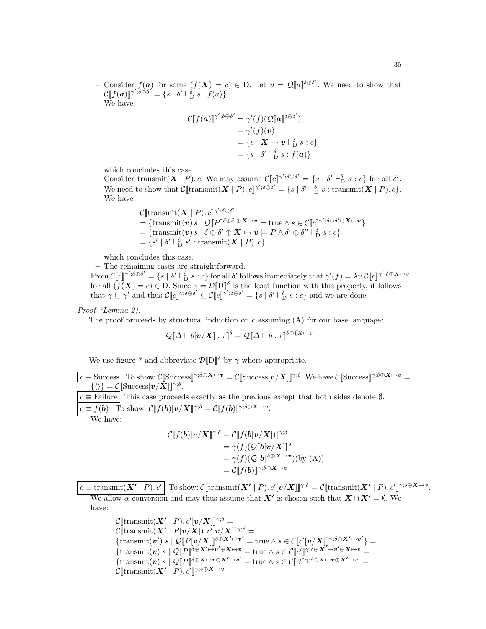– Consider  $f(\boldsymbol{a})$  for some  $(f(\boldsymbol{X}) = c) \in D$ . Let  $\boldsymbol{v} = \mathcal{Q}[[a]]^{\delta \oplus \delta'}$ . We need to show that  $\mathcal{C}[\![f(\bm{a})]\!]^{\gamma';\delta\oplus\delta'}=\{s\mid\delta'\vdash\stackrel{\delta}{\mathrm{D}}\!\! s : \stackrel{\circ}{f}(a)\}.$ We have:

$$
\mathcal{C}[[f(\mathbf{a})]]^{\gamma';\delta \oplus \delta'} = \gamma'(f)(\mathcal{Q}[\![\mathbf{a}]\!]^{\delta \oplus \delta'})
$$
  
=  $\gamma'(f)(\mathbf{v})$   
=  $\{s \mid \mathbf{X} \mapsto \mathbf{v} \vdash_{\mathbf{D}}^{\delta} s : c\}$   
=  $\{s \mid \delta' \vdash_{\mathbf{D}}^{\delta} s : f(\mathbf{a})\}$ 

which concludes this case.

- Consider transmit $(X | P)$ . c. We may assume  $C[[c]]^{\gamma';\delta \oplus \delta'} = \{s | \delta' \vdash_D^{\delta} s : c\}$  for all  $\delta'.$ We need to show that  $\mathcal{C}[\text{transmit}(\boldsymbol{X} \mid P) \cdot c]^{\gamma';\delta \oplus \delta'} = \{s \mid \delta' \vdash_{\mathcal{D}}^{\delta} s : \text{transmit}(\boldsymbol{X} \mid P) \cdot c\}.$ We have:

$$
\mathcal{C}[\text{transmit}(\boldsymbol{X} \mid P), c]^{\gamma';\delta \oplus \delta'} = \{\text{transmit}(\boldsymbol{v}) \, s \mid \mathcal{Q}[\![P]\!]^{\delta \oplus \delta' \oplus \boldsymbol{X} \mapsto \boldsymbol{v}} = \text{true} \land s \in \mathcal{C}[\![c]\!]^{\gamma';\delta \oplus \delta' \oplus \boldsymbol{X} \mapsto \boldsymbol{v}}\} \\ = \{\text{transmit}(\boldsymbol{v}) \, s \mid \delta \oplus \delta' \oplus \boldsymbol{X} \mapsto \boldsymbol{v} \models P \land \delta' \oplus \delta'' \vdash^{\delta}_{\text{D}} s : c\} \\ = \{s' \mid \delta' \vdash^{\delta}_{\text{D}} s' : \text{transmit}(\boldsymbol{X} \mid P). c\}
$$

which concludes this case.

– The remaining cases are straightforward.

From  $\mathcal{C}[[c]]^{\gamma';\delta \oplus \delta'} = \{s \mid \delta' \vdash_{\mathcal{D}}^{\delta} s : c\}$  for all  $\delta'$  follows immediately that  $\gamma'(f) = \lambda v \cdot \mathcal{C}[[c]]^{\gamma';\delta \oplus X \mapsto v}$ for all  $(f(\boldsymbol{X}) = c) \in D$ . Since  $\gamma = D \llbracket D \rrbracket^{\delta}$  is the least function with this property, it follows that  $\gamma \subseteq \gamma'$  and thus  $\mathcal{C}[[c]]^{\gamma',\delta \oplus \delta'} \subseteq \mathcal{C}[[c]]^{\gamma',\delta \oplus \delta'} = \{s \mid \delta' \vdash_{\mathcal{D}}^{\delta} s : c\}$  and we are done.

Proof (Lemma 2).

.

The proof proceeds by structural induction on  $c$  assuming  $(A)$  for our base language:

$$
\mathcal{Q}[\![\Delta \vdash b[\boldsymbol{v}/\boldsymbol{X}]: \tau]\!]^\delta = \mathcal{Q}[\![\Delta \vdash b:\tau]\!]^\delta \oplus \{X \mapsto v\}
$$

We use figure 7 and abbreviate  $\mathcal{D}[\![D]\!]^{\delta}$  by  $\gamma$  where appropriate.

 $c \equiv \text{Success} \, \big\vert \, \text{To show:} \, \mathcal{C} \llbracket \text{Success} \rrbracket^{\gamma; \delta \oplus \bm{X} \mapsto \bm{v}} = \mathcal{C} \llbracket \text{Success}[\bm{v}/\bm{X}]\rrbracket^{\gamma; \delta}.$  We have  $\mathcal{C} \llbracket \text{Success} \rrbracket^{\gamma; \delta \oplus \bm{X} \mapsto \bm{v}} = \mathcal{C} \llbracket \text{Success} \rrbracket^{\gamma; \delta \oplus \bm{X} \mapsto \bm{v}}$  $\{\langle\rangle\} = C[\csc(\mathbf{v}/X)]^{\gamma;\delta}.$  $c \equiv$  Failure This case proceeds exactly as the previous except that both sides denote  $\emptyset$ .

 $c \equiv f(\boldsymbol{b}) \mid \text{To show: } \mathcal{C} \llbracket f(\boldsymbol{b}) \rrbracket v / \boldsymbol{X} \rrbracket^{\gamma; \delta} = \mathcal{C} \llbracket f(\boldsymbol{b}) \rrbracket^{\gamma; \delta \oplus \boldsymbol{X} \mapsto v}.$ We have:

$$
C[\![f(b)[v/X]\!]^{\gamma;\delta} = C[\![f(b[v/X])]\!]^{\gamma;\delta}
$$
  
=  $\gamma(f)(\mathcal{Q}[\![b[v/X]\!]]^{\delta}$   
=  $\gamma(f)(\mathcal{Q}[\![b]\!]^{\delta \oplus X \mapsto v})(\text{by (A)})$   
=  $C[\![f(b)]]^{\gamma;\delta \oplus X \mapsto v}$ 

 $c \equiv \text{transmit}(\bm{X'} \mid P)$ .  $c' \mid \text{To show: } \mathcal{C}[\![\text{transmit}(\bm{X'} \mid P)$ .  $c'[\bm{v}/\bm{X}]\!]^{\gamma,\delta} = \mathcal{C}[\![\text{transmit}(\bm{X'} \mid P)$ .  $c']\!]^{\gamma,\delta \oplus \bm{X} \mapsto v}$ . We allow  $\alpha$ -conversion and may thus assume that  $X'$  is chosen such that  $X \cap X' = \emptyset$ . We have:

> $\mathcal{C}[\![\mathrm{transmit}({\bm{X'}}\mid P) . c' | \bm{v} / {\bm{X}}] ]\!]^{\gamma; \delta} =$  $\mathcal{C}[\![\mathrm{transmit}({\bm{X}}'\mid P[{\bm{v}}/{\bm{X}}]) . \, c' [{\bm{v}}/{\bm{X}}]]]^{\gamma; \delta} =$  $\{\text{transmit}(v')\ s\ |\ Q[\![P[v/X]\!]\!]^\delta \oplus X' \mapsto v' = \text{true} \land s \in \mathcal{C}[\![c' [v/X]\!]\!]^{\gamma; \delta \oplus X' \mapsto v'} \} =$  $\{\text{transmit}(v) \mid \mathcal{Q}[\![P]\!] \delta \oplus X' \mapsto v' \oplus X \mapsto v = \text{true} \wedge s \in \mathcal{C}[\![c']\!]^{\gamma; \delta \oplus X' \mapsto v'} \oplus X \mapsto v =$  $\{\text{transmit}(\boldsymbol{v}) | s \mid \mathcal{Q} \|\boldsymbol{P}\|^{\delta \oplus \boldsymbol{X} \mapsto \boldsymbol{v} \oplus \boldsymbol{X}' \mapsto \boldsymbol{v}'} = \text{true} \wedge s \in \mathcal{C} \|\boldsymbol{c}'\|^{\gamma; \delta \oplus \boldsymbol{X} \mapsto \boldsymbol{v} \oplus \boldsymbol{X}' \mapsto \boldsymbol{v}'} = \mathcal{C} \|\boldsymbol{c}'\|$  $\mathcal{C}[\![\mathrm{transmit}({\bm{X'}}\mid P). \, c']\!]^{\gamma; \delta \oplus {\bm{X}} \mapsto {\bm{v}}}$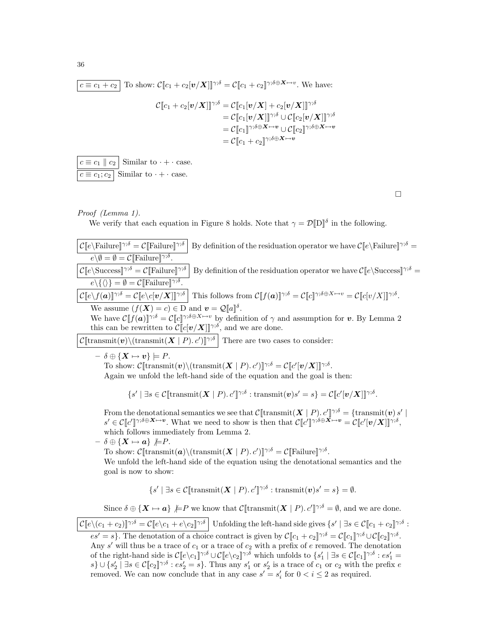$$
c \equiv c_1 + c_2
$$
 To show:  $\mathcal{C}[c_1 + c_2[\mathbf{v}/X]]^{\gamma;\delta} = \mathcal{C}[c_1 + c_2]^{\gamma;\delta \oplus X \mapsto v}$ . We have:  

$$
\mathcal{C}[c_1 + c_2[\mathbf{v}/X]]^{\gamma;\delta} = \mathcal{C}[c_1[\mathbf{v}/X] + c_2[\mathbf{v}/X]]^{\gamma;\delta}
$$

$$
= \mathcal{C}[c_1[\mathbf{v}/X]]^{\gamma;\delta} \cup \mathcal{C}[c_2[\mathbf{v}/X]]^{\gamma;\delta}
$$

$$
= \mathcal{C}[c_1]^{\gamma;\delta \oplus X \mapsto v} \cup \mathcal{C}[c_2]^{\gamma;\delta \oplus X \mapsto v}
$$

$$
= \mathcal{C}[c_1 + c_2]^{\gamma;\delta \oplus X \mapsto v}
$$

 $c \equiv c_1 \parallel c_2$  Similar to  $\cdot + \cdot$  case.  $c \equiv c_1; c_2$  Similar to  $\cdot + \cdot$  case.

 $\Box$ 

Proof (Lemma 1).

We verify that each equation in Figure 8 holds. Note that  $\gamma = \mathcal{D}[\![D]\!]^\delta$  in the following.

 $\mathcal{C}[\![e\backslash \text{Failure}]\!]^{\gamma;\delta} = \mathcal{C}[\![\text{Failure}]\!]^{\gamma;\delta}$  By definition of the residuation operator we have  $\mathcal{C}[\![e\backslash \text{Failure}]\!]^{\gamma;\delta} =$  $e \backslash \emptyset = \emptyset = \mathcal{C}$ [Failure]<sup> $\gamma; \delta$ </sup>.  $\mathcal{C}[\![e\setminus\text{Success}]\!]^{\gamma;\delta} = \mathcal{C}[\![\text{Failure}]\!]^{\gamma;\delta}$  By definition of the residuation operator we have  $\mathcal{C}[\![e\setminus\text{Success}]\!]^{\gamma;\delta} =$  $e \setminus \{ \langle \rangle \} = \emptyset = C[\text{Failure}]^{\gamma, \delta}.$  $\mathcal{C}[\![e \setminus f(\bm{a})]\!]^{\gamma;\delta} = \mathcal{C}[\![e \setminus c[\bm{v}/\bm{X}]\!]^{\gamma;\delta}$  This follows from  $\mathcal{C}[\![f(\bm{a})]\!]^{\gamma;\delta} = \mathcal{C}[\![c]\!]^{\gamma;\delta \oplus X \mapsto v} = \mathcal{C}[\![c[v/X]\!]^{\gamma;\delta}.$ We assume  $(f(\boldsymbol{X}) = c) \in D$  and  $\boldsymbol{v} = \mathcal{Q}[[a]]^{\delta}$ . We have  $\mathcal{C}[f(\boldsymbol{a})]$ <sup> $\gamma,\delta = \mathcal{C}[c]$ <sup> $\gamma,\delta \oplus X \mapsto v$ </sup> by definition of  $\gamma$  and assumption for v. By Lemma 2</sup> this can be rewritten to  $C\llbracket c[v/X] \rrbracket^{\gamma,\delta}$ , and we are done.  $\mathcal{C}$ [[transmit $(v) \setminus (\text{transmit}(\boldsymbol{X} \mid P) \cdot c')$ ]]<sup> $\gamma; \delta$ </sup> There are two cases to consider:

 $- \delta \oplus \{ \boldsymbol{X} \mapsto \boldsymbol{v} \} \models P.$ 

To show:  $C[\text{transmit}(\boldsymbol{v})\backslash(\text{transmit}(\boldsymbol{X}\mid P),c')]^{\gamma,\delta} = C[c'|\boldsymbol{v}/\boldsymbol{X}]\gamma^{\gamma,\delta}.$ Again we unfold the left-hand side of the equation and the goal is then:

 $\{s' \mid \exists s \in \mathcal{C}[\text{transmit}(\boldsymbol{X} \mid P) \cdot c']^{\gamma; \delta} : \text{transmit}(\boldsymbol{v}) s' = s\} = \mathcal{C}[\![c'[\boldsymbol{v}/\boldsymbol{X}]\!]^{\gamma; \delta}.$ 

From the denotational semantics we see that  $\mathcal{C}[\text{transmit}(\bm{X} \mid P) \cdot c']^{\gamma, \delta} = \{\text{transmit}(\bm{v}) s' \mid$  $s' \in \mathcal{C}[[c']^{\gamma, \delta \oplus X \mapsto v}$ . What we need to show is then that  $\mathcal{C}[[c']^{\gamma, \delta \oplus X \mapsto v} = \mathcal{C}[[c']^{\gamma, \delta}]^{\gamma, \delta}$ , which follows immediately from Lemma 2.

 $- \delta \oplus \{ \boldsymbol{X} \mapsto \boldsymbol{a} \} \not\models P.$ 

To show:  $C[\text{transmit}(\boldsymbol{a}) \setminus (\text{transmit}(\boldsymbol{X} \mid P) \cdot c')]^{\gamma; \delta} = C[\text{Failure}]^{\gamma; \delta}.$ 

We unfold the left-hand side of the equation using the denotational semantics and the goal is now to show:

 $\{s' \mid \exists s \in \mathcal{C}[\text{transmit}(\boldsymbol{X} \mid P) \cdot c']^{\gamma; \delta} : \text{transmit}(v)s' = s\} = \emptyset.$ 

Since  $\delta \oplus \{X \mapsto a\}$   $\models P$  we know that  $C[\text{transmit}(X \mid P) \ldotp c']^{\gamma; \delta} = \emptyset$ , and we are done.

 $\mathcal{C}[\![e\setminus(c_1+c_2)]\!]^{\gamma,\delta} = \mathcal{C}[\![e\setminus c_1+e\setminus c_2]\!]^{\gamma,\delta}$  Unfolding the left-hand side gives  $\{s' \mid \exists s\in \mathcal{C}[\![c_1+c_2]\!]^{\gamma,\delta}$ :

 $es' = s$ . The denotation of a choice contract is given by  $\mathcal{C}[[c_1 + c_2]]^{\gamma; \delta} = \mathcal{C}[[c_1]]^{\gamma; \delta} \cup \mathcal{C}[[c_2]]^{\gamma; \delta}$ . Any  $s'$  will thus be a trace of  $c_1$  or a trace of  $c_2$  with a prefix of e removed. The denotation of the right-hand side is  $\mathcal{C}[\![e \setminus c_1 ]\!]^{\gamma; \delta} \cup \mathcal{C}[\![e \setminus c_2 ]\!]^{\gamma; \delta}$  which unfolds to  $\{s'_1 \mid \exists s \in \mathcal{C}[\![c_1 ]\!]^{\gamma; \delta} : es'_1 =$  $s\} \cup \{s'_2 \mid \exists s \in \mathcal{C}[\![c_2]\!]^{\gamma,\delta} : es'_2 = s\}.$  Thus any  $s'_1$  or  $s'_2$  is a trace of  $c_1$  or  $c_2$  with the prefix  $e$ removed. We can now conclude that in any case  $s' = s'_i$  for  $0 < i \leq 2$  as required.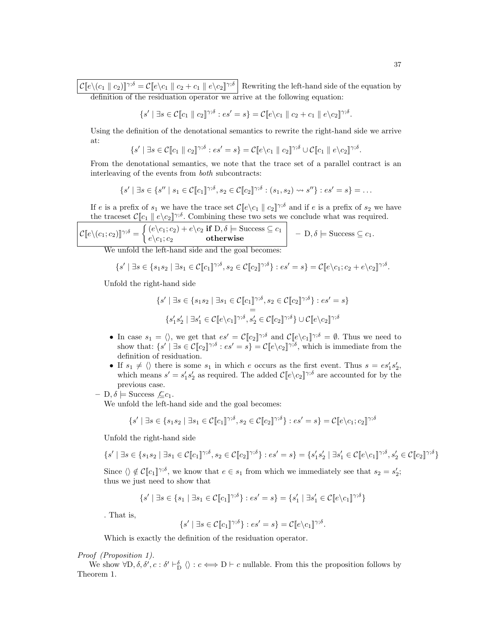$\{s' \mid \exists s \in \mathcal{C}[[c_1 \parallel c_2] ]^{\gamma; \delta} : es' = s\} = \mathcal{C}[[e \setminus c_1 \parallel c_2 + c_1 \parallel e \setminus c_2] ^{\gamma; \delta}.$ 

Using the definition of the denotational semantics to rewrite the right-hand side we arrive at:

 $\{s' \mid \exists s \in \mathcal{C}[\![c_1 \parallel c_2]\!]^{\gamma; \delta} : es' = s\} = \mathcal{C}[\![e \setminus c_1 \parallel c_2]\!]^{\gamma; \delta} \cup \mathcal{C}[\![c_1 \parallel e \setminus c_2]\!]^{\gamma; \delta}.$ 

From the denotational semantics, we note that the trace set of a parallel contract is an interleaving of the events from both subcontracts:

$$
\{s' \mid \exists s \in \{s'' \mid s_1 \in \mathcal{C}[[c_1]]^{\gamma;\delta}, s_2 \in \mathcal{C}[[c_2]]^{\gamma;\delta} : (s_1, s_2) \rightsquigarrow s''\} : \mathscr{es}' = s\} = \dots
$$

If e is a prefix of  $s_1$  we have the trace set  $C\llbracket e \backslash c_1 \parallel c_2 \rrbracket^{\gamma,\delta}$  and if e is a prefix of  $s_2$  we have the traceset  $\mathcal{C}[[c_1 \t m c \rangle c_2]^{\gamma; \delta}$ . Combining these two sets we conclude what was required.

$$
\mathcal{C}[\![e \setminus (c_1; c_2)]\!]^{\gamma; \delta} = \n\begin{cases}\n(e \setminus c_1; c_2) + e \setminus c_2 & \text{if } D, \delta \models \text{Success} \subseteq c_1 \\
e \setminus c_1; c_2 & \text{otherwise}\n\end{cases}\n\quad\n\begin{array}{c}\n-D, \delta \models \text{Success} \subseteq c_1.\n\end{array}
$$

We unfold the left-hand side and the goal becomes:

$$
\{s' \mid \exists s \in \{s_1s_2 \mid \exists s_1 \in \mathcal{C}[[c_1]]^{\gamma;\delta}, s_2 \in \mathcal{C}[[c_2]]^{\gamma;\delta}\}: \mathscr{es}' = s\} = \mathcal{C}[[e \setminus c_1; c_2 + e \setminus c_2]]^{\gamma;\delta}.
$$

Unfold the right-hand side

$$
\{s' \mid \exists s \in \{s_1 s_2 \mid \exists s_1 \in \mathcal{C}[[c_1]]^{\gamma;\delta}, s_2 \in \mathcal{C}[[c_2]]^{\gamma;\delta}\} : es' = s\}
$$

$$
=
$$

$$
\{s'_1 s'_2 \mid \exists s'_1 \in \mathcal{C}[[e \setminus c_1]]^{\gamma;\delta}, s'_2 \in \mathcal{C}[[c_2]]^{\gamma;\delta}\} \cup \mathcal{C}[[e \setminus c_2]]^{\gamma;\delta}
$$

- In case  $s_1 = \langle \rangle$ , we get that  $es' = C[\![c_2]\!]^{\gamma,\delta}$  and  $C[\![e\setminus c_1]\!]^{\gamma,\delta} = \emptyset$ . Thus we need to show that:  $\{s' \mid \exists s \in \mathcal{C}[[c_2]]^{\gamma;\delta} : es' = s\} = \mathcal{C}[[e \setminus c_2]]^{\gamma;\delta}$ , which is immediate from the definition of residuation.
- If  $s_1 \neq \langle \rangle$  there is some  $s_1$  in which e occurs as the first event. Thus  $s = es'_1s'_2$ , which means  $s' = s'_1 s'_2$  as required. The added  $\mathcal{C} [e \setminus c_2]^{ \gamma; \delta}$  are accounted for by the previous case.

$$
- D, \delta \models Success \not\subseteq c_1.
$$

We unfold the left-hand side and the goal becomes:

$$
\{s' \mid \exists s \in \{s_1s_2 \mid \exists s_1 \in \mathcal{C}[[c_1]]^{\gamma,\delta}, s_2 \in \mathcal{C}[[c_2]]^{\gamma,\delta}\}: \mathscr{es}' = s\} = \mathcal{C}[[\mathscr{e} \setminus c_1; c_2]]^{\gamma,\delta}
$$

Unfold the right-hand side

$$
\{s' \mid \exists s \in \{s_1s_2 \mid \exists s_1 \in \mathcal{C}[[c_1]]^{\gamma,\delta}, s_2 \in \mathcal{C}[[c_2]]^{\gamma,\delta}\}: \mathscr{es}' = s\} = \{s'_1s'_2 \mid \exists s'_1 \in \mathcal{C}[[e \setminus c_1]]^{\gamma,\delta}, s'_2 \in \mathcal{C}[[c_2]]^{\gamma,\delta}\}
$$

.

Since  $\langle \rangle \notin \mathcal{C}[\![c_1]\!]^{\gamma; \delta}$ , we know that  $e \in s_1$  from which we immediately see that  $s_2 = s_2'$ ; thus we just need to show that

$$
\{s' \mid \exists s \in \{s_1 \mid \exists s_1 \in \mathcal{C}[[c_1]]^{\gamma; \delta}\} : \mathscr{es}' = s\} = \{s'_1 \mid \exists s'_1 \in \mathcal{C}[[e \backslash c_1]]^{\gamma; \delta}\}
$$

. That is,

$$
\{s' \mid \exists s \in \mathcal{C}[[c_1]]^{\gamma,\delta}\} : es' = s\} = \mathcal{C}[[e \setminus c_1]]^{\gamma,\delta}
$$

Which is exactly the definition of the residuation operator.

#### Proof (Proposition 1).

We show  $\forall D, \delta, \delta', c : \delta' \vdash_D^{\delta} \langle \rangle : c \Longleftrightarrow D \vdash c$  nullable. From this the proposition follows by Theorem 1.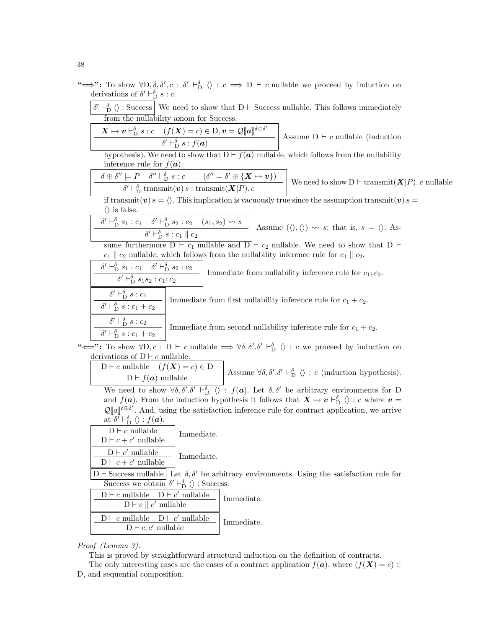| " $\Rightarrow$ ": To show $\forall D, \delta, \delta', c : \delta' \vdash_D^{\delta} \langle \rangle : c \Rightarrow D \vdash c$ nullable we proceed by induction on                                                                                                                                                        |  |  |
|------------------------------------------------------------------------------------------------------------------------------------------------------------------------------------------------------------------------------------------------------------------------------------------------------------------------------|--|--|
| derivations of $\delta' \vdash_{\mathcal{D}}^{\delta} s : c$ .<br>$\delta' \vdash_{D}^{\delta} \langle \rangle$ : Success   We need to show that $D \vdash$ Success nullable. This follows immediately                                                                                                                       |  |  |
| from the nullability axiom for Success.                                                                                                                                                                                                                                                                                      |  |  |
|                                                                                                                                                                                                                                                                                                                              |  |  |
| $\overline{X \mapsto v \perp_{D}^{\delta} s : c \quad (f(X) = c) \in D, v = \mathcal{Q}[a]^{\delta \oplus \delta'}}$ Assume $D \vdash c$ nullable (induction<br>$\delta' \vdash_{\mathbf{D}}^{\delta} s : f(\boldsymbol{a})$                                                                                                 |  |  |
| hypothesis). We need to show that $D \vdash f(a)$ nullable, which follows from the nullability                                                                                                                                                                                                                               |  |  |
| inference rule for $f(\boldsymbol{a})$ .                                                                                                                                                                                                                                                                                     |  |  |
| $\begin{array}{c c}\n\hline\n\delta \oplus \delta'' \models P & \delta'' \vdash_D^{\delta} s:c & (\delta'' = \delta' \oplus \{X \mapsto v\}) \\ \hline\n\delta' \vdash_D^{\delta} \text{transmit}(v) s: \text{transmit}(X P).c\n\end{array}\n\quad \text{We need to show } D \vdash \text{transmit}(X P).c \text{ nullable}$ |  |  |
| if transmit(v) $s = \langle \rangle$ . This implication is vacuously true since the assumption transmit(v) $s =$                                                                                                                                                                                                             |  |  |
| $\langle \rangle$ is false.                                                                                                                                                                                                                                                                                                  |  |  |
|                                                                                                                                                                                                                                                                                                                              |  |  |
| $\frac{\delta' \vdash_{\mathcal{D}}^{\delta} s_1 : c_1 \quad \delta' \vdash_{\mathcal{D}}^{\delta} s_2 : c_2 \quad (s_1, s_2) \leadsto s}{\delta' \vdash_{\mathcal{D}}^{\delta} s : c_1 \parallel c_2}$ Assume $(\langle \rangle, \langle \rangle) \leadsto s$ ; that is, $s = \langle \rangle$ . As-                        |  |  |
| sume furthermore $D \vdash c_1$ nullable and $D \vdash c_2$ nullable. We need to show that $D \vdash$                                                                                                                                                                                                                        |  |  |
| $c_1 \parallel c_2$ nullable, which follows from the nullability inference rule for $c_1 \parallel c_2$ .                                                                                                                                                                                                                    |  |  |
| $\frac{\delta'\vdash^{ \delta}_{\mathbf{D}} s_1:c_1 \quad \delta'\vdash^{ \delta}_{\mathbf{D}} s_2:c_2}{\delta'\vdash^{ \delta}_{\mathbf{D}} s_1s_2:c_1;c_2}$<br>Immediate from nullability inference rule for $c_1$ ; $c_2$ .                                                                                               |  |  |
|                                                                                                                                                                                                                                                                                                                              |  |  |
| $\frac{\delta' \vdash_{\mathbf{D}}^{\delta} s : c_1}{\delta' \vdash_{\mathbf{D}}^{\delta} s : c_1 + c_2}$ Immediate from first nullability inference rule for $c_1 + c_2$ .                                                                                                                                                  |  |  |
| $\overline{\delta' \vdash_{D}^{\delta} s : c_2}$ Immediate from second nullability inference rule for $c_1 + c_2$ .                                                                                                                                                                                                          |  |  |
| $\delta' \vdash_{\mathsf{D}}^{\delta} s : c_1 + c_2$                                                                                                                                                                                                                                                                         |  |  |
| " $\Longleftarrow$ ": To show $\forall D, c : D \vdash c$ nullable $\implies \forall \delta, \delta'.\delta' \vdash_D^{\delta} \langle \rangle : c$ we proceed by induction on                                                                                                                                               |  |  |
| derivations of $D \vdash c$ nullable.                                                                                                                                                                                                                                                                                        |  |  |
| $\fbox{$D\vdash c$ nullable} \quad (f(\pmb{X})=c)\in D$ \quad \  }\Bigm \ \ \text{Assume} \ \ \forall \delta,\delta'.\delta'\ \vdash^{ \delta }_{D}\ \langle \rangle\ :\ c\ \ (\text{induction hypothesis}).$<br>$D \vdash f(\boldsymbol{a})$ nullable                                                                       |  |  |
| We need to show $\forall \delta, \delta', \delta' \vdash_{\mathcal{D}}^{\delta} \langle \rangle : f(\boldsymbol{a}).$ Let $\delta, \delta'$ be arbitrary environments for D                                                                                                                                                  |  |  |
| and $f(\boldsymbol{a})$ . From the induction hypothesis it follows that $\boldsymbol{X} \mapsto \boldsymbol{v} \vdash_D^{\delta} \langle \rangle : c$ where $\boldsymbol{v} =$                                                                                                                                               |  |  |
| $\mathcal{Q}[\![a]\!]^{\delta \oplus \delta'}$ . And, using the satisfaction inference rule for contract application, we arrive<br>at $\delta'\vdash_{\mathcal{D}}^{\delta}\langle\rangle:\underline{f}(\underline{\textit{a}}).$                                                                                            |  |  |
| $D \vdash c$ nullable<br>Immediate.                                                                                                                                                                                                                                                                                          |  |  |
| $D \vdash c + c'$ nullable                                                                                                                                                                                                                                                                                                   |  |  |
| $D \vdash c'$ nullable<br>Immediate.<br>$D \vdash c + c'$ nullable                                                                                                                                                                                                                                                           |  |  |
| $D \vdash$ Success nullable Let $\delta, \delta'$ be arbitrary environments. Using the satisfaction rule for                                                                                                                                                                                                                 |  |  |
| Success we obtain $\delta' \vdash_{\mathcal{D}}^{\delta} \langle \rangle$ : Success.                                                                                                                                                                                                                                         |  |  |
| $D \vdash c$ nullable $D \vdash c'$ nullable<br>Immediate.<br>$D \vdash c \parallel c'$ nullable                                                                                                                                                                                                                             |  |  |
| $D \vdash c$ nullable $D \vdash c'$ nullable                                                                                                                                                                                                                                                                                 |  |  |
| Immediate.<br>$D \vdash c; c'$ nullable                                                                                                                                                                                                                                                                                      |  |  |

Proof (Lemma 3).

This is proved by straightforward structural induction on the definition of contracts.

The only interesting cases are the cases of a contract application  $f(\boldsymbol{a})$ , where  $(f(\boldsymbol{X}) = c) \in$ D, and sequential composition.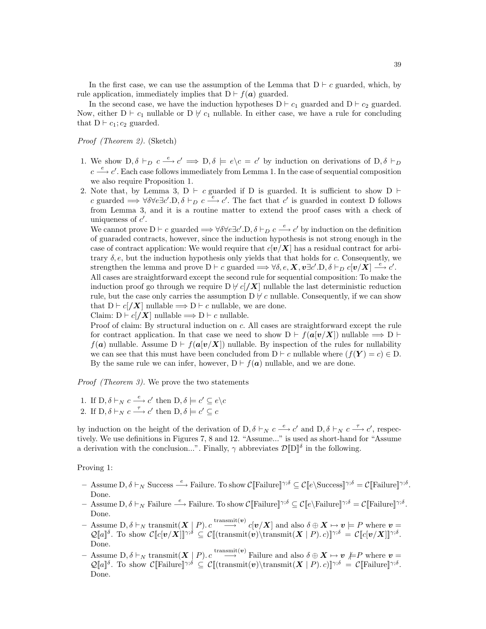In the first case, we can use the assumption of the Lemma that  $D \vdash c$  guarded, which, by rule application, immediately implies that  $D \vdash f(a)$  guarded.

In the second case, we have the induction hypotheses  $D \vdash c_1$  guarded and  $D \vdash c_2$  guarded. Now, either  $D \vdash c_1$  nullable or  $D \not\vdash c_1$  nullable. In either case, we have a rule for concluding that  $D \vdash c_1; c_2$  guarded.

Proof (Theorem 2). (Sketch)

- 1. We show  $D, \delta \vdash_D c \stackrel{e}{\longrightarrow} c' \implies D, \delta \models e \setminus c = c'$  by induction on derivations of  $D, \delta \vdash_D c' \implies D, \delta \models e \setminus c' = c'$  $c \stackrel{e}{\longrightarrow} c'$ . Each case follows immediately from Lemma 1. In the case of sequential composition we also require Proposition 1.
- 2. Note that, by Lemma 3,  $D \vdash c$  guarded if D is guarded. It is sufficient to show  $D \vdash c$ c guarded  $\Rightarrow \forall \delta \forall e \exists c'.D, \delta \vdash_D c \stackrel{e}{\longrightarrow} c'.$  The fact that c' is guarded in context D follows from Lemma 3, and it is a routine matter to extend the proof cases with a check of uniqueness of  $c'$ .

We cannot prove  $D \vdash c$  guarded  $\Longrightarrow \forall \delta \forall e \exists c'. D, \delta \vdash_D c \stackrel{e}{\longrightarrow} c'$  by induction on the definition of guaraded contracts, however, since the induction hypothesis is not strong enough in the case of contract application: We would require that  $c[\boldsymbol{v}/X]$  has a residual contract for arbitrary  $\delta, e$ , but the induction hypothesis only yields that that holds for c. Consequently, we strengthen the lemma and prove  $D \vdash c$  guarded  $\Longrightarrow \forall \delta, e, \mathbf{X}, \mathbf{v} \exists c'.D, \delta \vdash_D c[\mathbf{v}/\mathbf{X}] \stackrel{e^{-\mathbf{v}'}}{\longrightarrow} c'.$ All cases are straightforward except the second rule for sequential composition: To make the induction proof go through we require  $D \not\vdash c$  [**X**] nullable the last deterministic reduction rule, but the case only carries the assumption  $D \not\vdash c$  nullable. Consequently, if we can show that  $D \vdash c / X$  nullable  $\Longrightarrow D \vdash c$  nullable, we are done.

Claim:  $D \vdash c / X$  nullable  $\Longrightarrow D \vdash c$  nullable.

Proof of claim: By structural induction on c. All cases are straightforward except the rule for contract application. In that case we need to show  $D \vdash f(a[v/X])$  nullable  $\implies D \vdash$  $f(a)$  nullable. Assume  $D \vdash f(a[v/X])$  nullable. By inspection of the rules for nullability we can see that this must have been concluded from  $D \vdash c$  nullable where  $(f(Y) = c) \in D$ . By the same rule we can infer, however,  $D \vdash f(a)$  nullable, and we are done.

Proof (Theorem 3). We prove the two statements

- 1. If  $D, \delta \vdash_N c \stackrel{e}{\longrightarrow} c'$  then  $D, \delta \models c' \subseteq e \backslash c$
- 2. If  $D, \delta \vdash_N c \stackrel{\tau}{\longrightarrow} c'$  then  $D, \delta \models c' \subseteq c$

by induction on the height of the derivation of  $D, \delta \vdash_N c \stackrel{e}{\longrightarrow} c'$  and  $D, \delta \vdash_N c \stackrel{\tau}{\longrightarrow} c'$ , respectively. We use definitions in Figures 7, 8 and 12. "Assume..." is used as short-hand for "Assume a derivation with the conclusion...". Finally,  $\gamma$  abbreviates  $\mathcal{D}[\![D]\!]^\delta$  in the following.

Proving 1:

- $-$  Assume D, δ  $\vdash_N$  Success  $\xrightarrow{e}$  Failure. To show  $\mathcal{C}[[\text{Failure}]]^{\gamma;\delta} \subseteq \mathcal{C}[[e\setminus \text{Success}]]^{\gamma;\delta} = \mathcal{C}[[\text{Failure}]]^{\gamma;\delta}.$ Done.
- $-$  Assume D, δ  $\vdash_N$  Failure  $\xrightarrow{e}$  Failure. To show  $\mathcal{C}[[\text{Failure}]]^{\gamma;δ} \subseteq \mathcal{C}[[e\text{Failure}]]^{\gamma;\delta} = \mathcal{C}[[\text{Failure}]]^{\gamma;\delta}.$ Done.
- $-$  Assume  $D, \delta \vdash_N \text{transmit}(\boldsymbol{X} \mid P) \ldotp c \stackrel{\text{transmit}(\boldsymbol{v})}{\longrightarrow} c[\boldsymbol{v}/\boldsymbol{X}]$  and also  $\delta \oplus \boldsymbol{X} \mapsto \boldsymbol{v} \models P$  where  $\boldsymbol{v} =$  $\mathcal{Q}[\![a]\!]^\delta$ . To show  $\mathcal{C}[\![c[v/X]]\!]^{\gamma,\delta} \subseteq \mathcal{C}[\![(\text{transmit}(v) \setminus \text{transmit}(X \mid P), c)]^{\gamma,\delta} = \mathcal{C}[\![c[v/X]]]^{\gamma,\delta}.$ Done.
- $-$  Assume  $D, \delta \vdash_N \text{transmit}(\boldsymbol{X} \mid P) \ldotp c \stackrel{\text{transmit}(\boldsymbol{v})}{\longrightarrow} \text{Failure and also } \delta \oplus \boldsymbol{X} \mapsto \boldsymbol{v} \not\models P \text{ where } \boldsymbol{v} =$  $\mathcal{Q}[\![a]\!]^\delta$ . To show  $\mathcal{C}[\![\text{Failure}]\!]^{\gamma;\delta} \subseteq \mathcal{C}[\![(\text{transmit}(\boldsymbol{v})\setminus \text{transmit}(\boldsymbol{X}\mid P).c]\!]^{\gamma;\delta} = \mathcal{C}[\![\text{Failure}]\!]^{\gamma;\delta}.$ Done.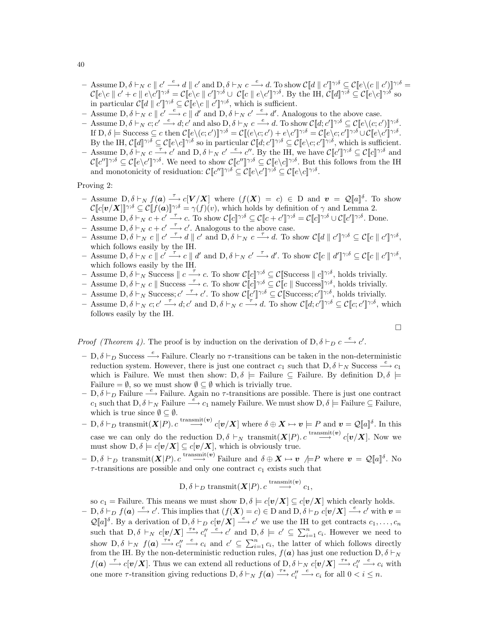- $-$  Assume  $D, \delta \vdash_N c \parallel c' \stackrel{e}{\longrightarrow} d \parallel c'$  and  $D, \delta \vdash_N c \stackrel{e}{\longrightarrow} d$ . To show  $\mathcal{C}[\![d \parallel c']\!]^{\gamma; \delta} \subseteq \mathcal{C}[\![e \setminus (c \parallel c')\!]^{\gamma; \delta} =$  $\mathcal{C} \llbracket e \backslash c \parallel c' + c \parallel e \backslash c' \rrbracket^{\gamma; \delta} = \mathcal{C} \llbracket e \backslash c \parallel c' \rrbracket^{\gamma; \delta} \cup \; \mathcal{C} \llbracket c \parallel e \backslash c' \rrbracket^{\gamma; \delta}.$  By the IH,  $\mathcal{C} \llbracket d \rrbracket^{\gamma; \delta} \subseteq \mathcal{C} \llbracket e \backslash c \rrbracket^{\gamma; \delta}$  so in particular  $\mathcal{C}[[d]] \ c' ||^{\gamma;\delta} \subseteq \mathcal{C}[[e \ c \ || \ c' ||^{\gamma;\delta},\)$  which is sufficient.
- $-$  Assume  $D, \delta \vdash_N c \parallel c' \stackrel{e}{\longrightarrow} c \parallel d'$  and  $D, \delta \vdash_N c' \stackrel{e}{\longrightarrow} d'$ . Analogous to the above case.
- $-$  Assume  $D, \delta \vdash_N c; c' \stackrel{e}{\longrightarrow} d; c'$  and also  $D, \delta \vdash_N c \stackrel{e}{\longrightarrow} d$ . To show  $\mathcal{C}[d; c']^{\gamma, \delta} \subseteq \mathcal{C}[e \setminus (c; c')]^{\gamma, \delta}$ . If  $D, \delta \models$  Success  $\subseteq c$  then  $\mathcal{C}[\![e \setminus (c; c') ]\!]^{\gamma, \delta} = \mathcal{C}[\![(e \setminus c; c') + e \setminus c']\!]^{\gamma, \delta} = \mathcal{C}[\![e \setminus c; c']\!]^{\gamma, \delta} \cup \mathcal{C}[\![e \setminus c']\!]^{\gamma, \delta}.$ By the IH,  $\mathcal{C}[\![d]\!]^{\gamma;\delta} \subseteq \mathcal{C}[\![e \backslash c]\!]^{\gamma;\delta}$  so in particular  $\mathcal{C}[\![d;c']\!]^{\gamma;\delta} \subseteq \mathcal{C}[\![e \backslash c;c']\!]^{\gamma;\delta}$ , which is sufficient.
- $-$  Assume  $D, \delta \vdash_N c \stackrel{\tau}{\longrightarrow} c'$  and  $D, \delta \vdash_N c' \stackrel{e}{\longrightarrow} c''.$  By the IH, we have  $\mathcal{C}[[c']^{\gamma, \delta} \subseteq \mathcal{C}[[c]]^{\gamma, \delta}$  and  $\mathcal{C}[\![c']\!]^{\gamma;\delta} \subseteq \mathcal{C}[\![e \setminus c']\!]^{\gamma;\delta}$ . We need to show  $\mathcal{C}[\![c']\!]^{\gamma;\delta} \subseteq \mathcal{C}[\![e \setminus c]\!]^{\gamma;\delta}$ . But this follows from the IH and monotonicity of residuation:  $\mathcal{C}[\![c'']\!]^{\gamma,\delta} \subseteq \mathcal{C}[\![e \setminus c']\!]^{\gamma,\delta} \subseteq \mathcal{C}[\![e \setminus c]\!]^{\gamma,\delta}$ .

Proving 2:

- Assume  $D, \delta \vdash_N f(a) \stackrel{\tau}{\longrightarrow} c[V/X]$  where  $(f(X) = c) \in D$  and  $v = \mathcal{Q}[a]\delta$ . To show  $\mathcal{C}$ [c[v/X]] $\gamma$ ;δ  $\subseteq \mathcal{C}$ [f(a)] $\gamma$ ;δ =  $\gamma(f)(v)$ , which holds by definition of  $\gamma$  and Lemma 2.
- $-$  Assume  $\overline{D}, \delta \vdash_N c + c' \stackrel{\tau}{\longrightarrow} c$ . To show  $\mathcal{C}[[c]]^{\gamma,\delta} \subseteq \mathcal{C}[[c+c']]^{\gamma,\delta} = \mathcal{C}[[c]]^{\gamma,\delta} \cup \mathcal{C}[[c']]^{\gamma,\delta}$ . Done.
- Assume  $D, \delta \vdash_N c + c' \stackrel{\tau}{\longrightarrow} c'$ . Analogous to the above case.
- $-$  Assume  $D, \delta \vdash_N c \parallel c' \stackrel{\tau}{\longrightarrow} d \parallel c'$  and  $D, \delta \vdash_N c \stackrel{\tau}{\longrightarrow} d$ . To show  $\mathcal{C}[\![d \parallel c']\!]^{\gamma; \delta} \subseteq \mathcal{C}[\![c \parallel c']\!]^{\gamma; \delta}$ , which follows easily by the IH.
- Assume  $D, \delta \vdash_N c \parallel c' \stackrel{\tau}{\longrightarrow} c \parallel d'$  and  $D, \delta \vdash_N c' \stackrel{\tau}{\longrightarrow} d'.$  To show  $\mathcal{C}[\![c \parallel d']\!]^{\gamma; \delta} \subseteq \mathcal{C}[\![c \parallel c']\!]^{\gamma; \delta}$ , which follows easily by the IH.
- Assume  $D, \delta \vdash_N S$ uccess  $|| c \stackrel{\tau}{\longrightarrow} c$ . To show  $\mathcal{C}[[c]]^{\gamma;\delta} \subseteq \mathcal{C}[[S] \text{success } || c]]^{\gamma;\delta}$ , holds trivially.
- $-$  Assume  $D, \delta \vdash_N c \parallel$  Success  $\stackrel{\tau}{\longrightarrow} c$ . To show  $\mathcal{C}[[c]]^{\gamma,\delta} \subseteq \mathcal{C}[[c \parallel \text{Success}]^{\gamma,\delta})$ , holds trivially.
- Assume  $D, \delta \vdash_N \text{Success}; c' \stackrel{\tau}{\longrightarrow} c'.$  To show  $\mathcal{C}[[c']]^{\gamma, \delta} \subseteq \mathcal{C}[[\text{Success}; c']]^{\gamma, \delta},$  holds trivially.
- $-$  Assume  $D, \delta \vdash_N c; c' \stackrel{\tau}{\longrightarrow} d; c'$  and  $D, \delta \vdash_N c \stackrel{\tau}{\longrightarrow} d$ . To show  $\mathcal{C}[[d; c']^{\gamma; \delta} \subseteq \mathcal{C}[[c; c']^{\gamma; \delta},$  which follows easily by the IH.

 $\Box$ 

*Proof (Theorem 4)*. The proof is by induction on the derivation of  $D, \delta \vdash_D c \stackrel{e}{\longrightarrow} c'$ .

- $-$  D, δ  $\vdash$ <sub>D</sub> Success  $\stackrel{e}{\longrightarrow}$  Failure. Clearly no τ-transitions can be taken in the non-deterministic reduction system. However, there is just one contract  $c_1$  such that D,  $\delta \vdash_N$  Success  $\stackrel{e}{\longrightarrow} c_1$ which is Failure. We must then show:  $D, \delta$   $\models$  Failure  $\subset$  Failure. By definition  $D, \delta$   $\models$ Failure =  $\emptyset$ , so we must show  $\emptyset \subseteq \emptyset$  which is trivially true.
- $-$  D, δ  $\vdash_D$  Failure  $\stackrel{e}{\longrightarrow}$  Failure. Again no τ-transitions are possible. There is just one contract c<sub>1</sub> such that  $D, \delta \vdash_N$  Failure  $\xrightarrow{e} c_1$  namely Failure. We must show  $D, \delta \models$  Failure  $\subseteq$  Failure, which is true since  $\emptyset \subseteq \emptyset$ .
- $-$  D,  $\delta \vdash_D \text{transmit}(\boldsymbol{X}|P) \ldotp c \stackrel{\text{transmit}(\boldsymbol{v})}{\longrightarrow} c[\boldsymbol{v}/\boldsymbol{X}]$  where  $\delta \oplus \boldsymbol{X} \mapsto \boldsymbol{v} \models P$  and  $\boldsymbol{v} = \mathcal{Q}[\![a]\!]^\delta$ . In this case we can only do the reduction  $D, \delta \vdash_N \text{transmit}(X|P)$ .  $c \stackrel{\text{transmit}(v)}{\longrightarrow} c[v/X]$ . Now we must show  $D, \delta \models c[\boldsymbol{v}/\boldsymbol{X}] \subseteq c[\boldsymbol{v}/\boldsymbol{X}],$  which is obviously true.
- $-$  D,  $\delta \vdash_D \text{transmit}(\boldsymbol{X}|P) \ldotp c \stackrel{\text{transmit}(\boldsymbol{v})}{\longrightarrow} \text{Failure and } \delta \oplus \boldsymbol{X} \mapsto \boldsymbol{v} \not\models P \text{ where } \boldsymbol{v} = \mathcal{Q}[\![a]\!]^{\delta}.$  No  $\tau$ -transitions are possible and only one contract  $c_1$  exists such that

D, 
$$
\delta \vdash_D \text{transmit}(\boldsymbol{X}|P) \cdot c \xrightarrow{\text{transmit}(\boldsymbol{v})} c_1
$$
,

so  $c_1$  = Failure. This means we must show  $D, \delta \models c[\boldsymbol{v}/X] \subseteq c[\boldsymbol{v}/X]$  which clearly holds.

 $-$  D,  $\delta \vdash_D f(a) \stackrel{e}{\longrightarrow} c'$ . This implies that  $(f(X) = c) \in D$  and  $D, \delta \vdash_D c[v/X] \stackrel{e}{\longrightarrow} c'$  with  $v = c$  $\mathcal{Q}[\![a]\!]^{\delta}$ . By a derivation of D,  $\delta \vdash_D c[\bm{v}/\bm{X}] \stackrel{e}{\longrightarrow} c'$  we use the IH to get contracts  $c_1, \ldots, c_n$ such that  $D, \delta \vdash_N c[v/X] \stackrel{\tau^*}{\longrightarrow} c''_i \stackrel{e}{\longrightarrow} c'$  and  $D, \delta \models c' \subseteq \sum_{i=1}^n c_i$ . However we need to show  $D, \delta \vdash_N f(a) \stackrel{\tau^*}{\longrightarrow} c''_i \stackrel{e}{\longrightarrow} c_i$  and  $c' \subseteq \sum_{i=1}^n c_i$ , the latter of which follows directly from the IH. By the non-deterministic reduction rules,  $f(a)$  has just one reduction D,  $\delta \vdash_N$  $f(\boldsymbol{a}) \stackrel{\tau}{\longrightarrow} c[\boldsymbol{v}/\boldsymbol{X}]$ . Thus we can extend all reductions of  $D, \delta \vdash_N c[\boldsymbol{v}/\boldsymbol{X}] \stackrel{\tau}{\longrightarrow} c''_i \stackrel{e}{\longrightarrow} c_i$  with one more  $\tau$ -transition giving reductions  $D, \delta \vdash_N f(a) \xrightarrow{\tau^*} c''_i \xrightarrow{e} c_i$  for all  $0 < i \leq n$ .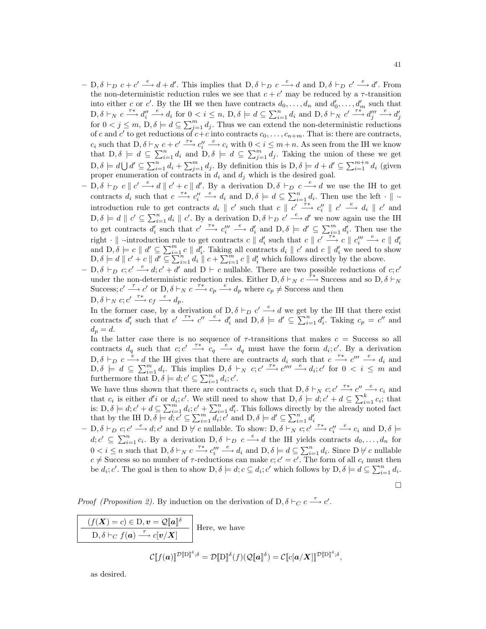- $-$  D,  $\delta \vdash_D c + c' \stackrel{e}{\longrightarrow} d + d'$ . This implies that  $D, \delta \vdash_D c \stackrel{e}{\longrightarrow} d$  and  $D, \delta \vdash_D c' \stackrel{e}{\longrightarrow} d'$ . From the non-deterministic reduction rules we see that  $c + c'$  may be reduced by a  $\tau$ -transition into either c or c'. By the IH we then have contracts  $d_0, \ldots, d_n$  and  $d'_0, \ldots, d'_m$  such that  $D, \delta \vdash_N c \xrightarrow{\tau^*} d_i'' \xrightarrow{e} d_i$  for  $0 < i \leq n$ ,  $D, \delta \models d \subseteq \sum_{i=1}^n d_i$  and  $D, \delta \vdash_N c' \xrightarrow{\tau^*} d_j''' \xrightarrow{e} d_j'$ <br>for  $0 < j \leq m$ ,  $D, \delta \models d \subseteq \sum_{j=1}^m d_j$ . Thus we can extend the non-deterministic reductions of c and c' to get reductions of  $c+c$  into contracts  $c_0, \ldots, c_{n+m}$ . That is: there are contracts,  $c_i$  such that  $D, \delta \vdash_N c + c' \stackrel{\tau^*}{\longrightarrow} c''_i \stackrel{e}{\longrightarrow} c_i$  with  $0 < i \leq m+n$ . As seen from the IH we know that  $D, \delta \models d \subseteq \sum_{i=1}^n d_i$  and  $D, \delta \models d \subseteq \sum_{j=1}^m \overline{d_j}$ . Taking the union of these we get  $D, \delta \models d \bigcup d' \subseteq \sum_{i=1}^n d_i + \sum_{j=1}^m d_j$ . By definition this is  $D, \delta \models d + d' \subseteq \sum_{i=1}^{m+n} d_i$  (given proper enumeration of contracts in  $d_i$  and  $d_j$  which is the desired goal.
- $-$  D,  $\delta \vdash_D c \parallel c' \stackrel{e}{\longrightarrow} d \parallel c' + c \parallel d'$ . By a derivation D,  $\delta \vdash_D c \stackrel{e}{\longrightarrow} d$  we use the IH to get contracts  $d_i$  such that  $c \stackrel{\tau^*}{\longrightarrow} c''_i \stackrel{e}{\longrightarrow} d_i$  and  $D, \delta \models d \subseteq \sum_{i=1}^n d_i$ . Then use the left  $\cdot \parallel \cdot$ introduction rule to get contracts  $d_i \parallel c'$  such that  $c \parallel \overline{c'} \stackrel{\tau_*}{\longrightarrow} c''_i \parallel c' \stackrel{e}{\longrightarrow} d_i \parallel c'$  and  $D, \delta \models d \parallel c' \subseteq \sum_{i=1}^n d_i \parallel c'.$  By a derivation  $D, \delta \vdash_D c' \stackrel{e}{\longrightarrow} d'$  we now again use the IH to get contracts  $\overline{d_i'}$  such that  $c' \stackrel{\tau^*}{\longrightarrow} c_i''' \stackrel{e}{\longrightarrow} d_i'$  and  $D, \delta \models d' \subseteq \sum_{i=1}^m d_i'$ . Then use the right  $\cdot \parallel$  -introduction rule to get contracts  $c \parallel d'_i$  such that  $c \parallel c' \stackrel{\tau *}{\longrightarrow} c \parallel c''_i \stackrel{e}{\longrightarrow} c \parallel d'_i$ and  $D, \delta \models c \parallel d' \subseteq \sum_{i=1}^{m} c \parallel d'_i$ . Taking all contracts  $d_i \parallel c'$  and  $c \parallel d'_i$  we need to show  $D, \delta \models d \parallel c' + c \parallel \overline{d'} \subseteq \sum_{i=1}^{n} d_i \parallel c + \sum_{i=1}^{m} c \parallel d'_i$  which follows directly by the above.
- $-$  D,  $\delta \vdash_D c; c' \stackrel{e}{\longrightarrow} d; c' + d'$  and  $D \vdash c$  nullable. There are two possible reductions of c; c' under the non-deterministic reduction rules. Either D,  $\delta \vdash_N c \stackrel{\tilde{\tau}^*}{\longrightarrow}$  Success and so D,  $\delta \vdash_N$ Success;  $c' \stackrel{\tau}{\longrightarrow} c'$  or  $D, \delta \vdash_N c \stackrel{\tau^*}{\longrightarrow} c_p \stackrel{e}{\longrightarrow} d_p$  where  $c_p \neq$  Success and then  $D, \delta \vdash_N c; c' \stackrel{\tau *}{\longrightarrow} c_f \stackrel{e}{\longrightarrow} d_p.$

In the former case, by a derivation of D,  $\delta \vdash_D c' \stackrel{e}{\longrightarrow} d$  we get by the IH that there exist contracts  $d'_i$  such that  $c' \stackrel{\tau^*}{\longrightarrow} c'' \stackrel{e}{\longrightarrow} d'_i$  and  $D, \delta \models d' \subseteq \sum_{i=1}^n d'_i$ . Taking  $c_p = c''$  and  $d_p = d$ .

In the latter case there is no sequence of  $\tau$ -transitions that makes  $c =$  Success so all contracts  $d_q$  such that  $c; c' \stackrel{\tau^*}{\longrightarrow} c_q \stackrel{e}{\longrightarrow} d_q$  must have the form  $d_i; c'$ . By a derivation  $D, \delta \vdash_D c \stackrel{e}{\longrightarrow} d$  the IH gives that there are contracts  $d_i$  such that  $c \stackrel{\tau^*}{\longrightarrow} c''' \stackrel{e}{\longrightarrow} d_i$  and  $D, \delta \models d \subseteq \sum_{i=1}^{m} d_i$ . This implies  $D, \delta \vdash_N c; c' \stackrel{\tau^*}{\longrightarrow} c'''' \stackrel{e}{\longrightarrow} d_i; c'$  for  $0 < i \leq m$  and furthermore that  $\overline{D}$ ,  $\delta \models d$ ;  $c' \subseteq \sum_{i=1}^{m} d_i$ ;  $c'$ .

We have thus shown that there are contracts  $c_i$  such that  $D, \delta \vdash_N c; c' \stackrel{\tau^*}{\longrightarrow} c'' \stackrel{e}{\longrightarrow} c_i$  and that  $c_i$  is either d'i or  $d_i$ ; c'. We still need to show that  $D, \delta \models d; c' + d \subseteq \sum_{i=1}^k c_i$ ; that is:  $D, \delta \models d; c' + d \subseteq \sum_{i=1}^{m} d_i; c' + \sum_{i=1}^{n} d'_i$ . This follows directly by the already noted fact that by the IH D,  $\delta \models d; c' \subseteq \sum_{i=1}^{m} d_i; c'$  and  $D, \delta \models d' \subseteq \sum_{i=1}^{n} d'_i$ 

 $-$  D,  $\delta \vdash_D c; c' \stackrel{e}{\longrightarrow} d; c'$  and D  $\nvdash c$  nullable. To show: D,  $\delta \vdash_N c; c' \stackrel{\tau^*}{\longrightarrow} c''_i \stackrel{e}{\longrightarrow} c_i$  and D,  $\delta \models$  $d; c' \subseteq \sum_{i=1}^n c_i$ . By a derivation  $D, \delta \vdash_D c \stackrel{e}{\longrightarrow} d$  the IH yields contracts  $d_0, \ldots, d_n$  for  $0 < i \leq n$  such that  $D, \delta \vdash_N c \stackrel{\tau^*}{\longrightarrow} c_i''' \stackrel{e}{\longrightarrow} d_i$  and  $D, \delta \models d \subseteq \sum_{i=1}^n d_i$ . Since  $D \not\vdash c$  nullable  $c \neq$  Success so no number of  $\tau$ -reductions can make  $c$ ;  $c' = c'$ . The form of all  $c_i$  must then be  $d_i$ ; c'. The goal is then to show  $D, \delta \models d$ ;  $c \subseteq d_i$ ; c' which follows by  $D, \delta \models d \subseteq \sum_{i=1}^n d_i$ .

 $\Box$ 

 $; \delta,$ 

*Proof (Proposition 2)*. By induction on the derivation of D,  $\delta \vdash_C c \stackrel{\tau}{\longrightarrow} c'$ .

$$
\frac{(f(\mathbf{X}) = c) \in \mathcal{D}, \mathbf{v} = \mathcal{Q}[\![\mathbf{a}]\!]^\delta}{\mathcal{D}, \delta \vdash_C f(\mathbf{a}) \xrightarrow{\tau} c[\mathbf{v}/\mathbf{X}]} \quad \text{Here, we have}
$$
\n
$$
\mathcal{C}[[f(\mathbf{a})]]^{\mathcal{D}[\![\mathcal{D}]\!]^\delta;\delta} = \mathcal{D}[\![\mathcal{D}]\!]^\delta(f)(\mathcal{Q}[\![\mathbf{a}]\!]^\delta) = \mathcal{C}[\![c[\mathbf{a}/\mathbf{X}]\!]^{\mathcal{D}[\![\mathcal{D}]\!]^\delta}
$$

as desired.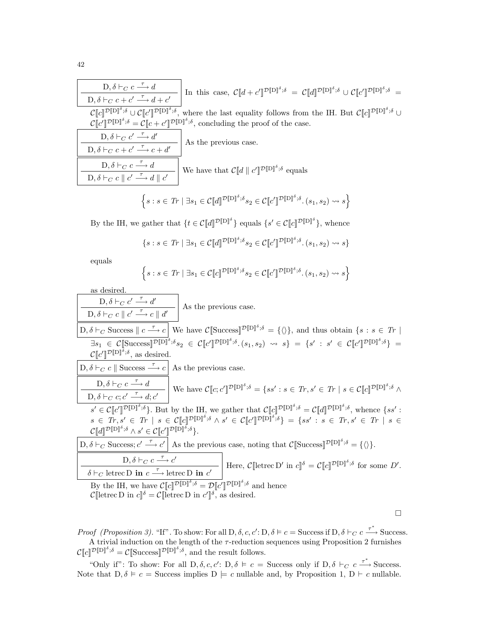| $D, \delta \vdash_C c \stackrel{\tau}{\longrightarrow} d$           | In this case, $\mathcal{C}[[d+c']^{\mathcal{D}[\mathbb{D}]^{\delta};\delta} = \mathcal{C}[[d]]^{\mathcal{D}[\mathbb{D}]^{\delta};\delta} \cup \mathcal{C}[[c']^{\mathcal{D}[\mathbb{D}]^{\delta};\delta} =$     |
|---------------------------------------------------------------------|-----------------------------------------------------------------------------------------------------------------------------------------------------------------------------------------------------------------|
| $D, \delta \vdash_C c + c' \stackrel{\tau}{\longrightarrow} d + c'$ |                                                                                                                                                                                                                 |
|                                                                     | $\mathcal{C}[[c]]^{\mathcal{D}[D]^\delta;\delta} \cup \mathcal{C}[[c']^{\mathcal{D}[D]^\delta;\delta},$ where the last equality follows from the IH. But $\mathcal{C}[[c]]^{\mathcal{D}[D]^\delta;\delta} \cup$ |
|                                                                     | $\mathcal{C}[[c']^{\mathcal{D}[\mathbb{D}]^{\delta};\delta} = \mathcal{C}[[c+c']^{\mathcal{D}[\mathbb{D}]^{\delta};\delta}]$ , concluding the proof of the case.                                                |

| $D, \delta \vdash_C c + c' \stackrel{\tau}{\longrightarrow} c + d'$<br>$D, \delta \vdash_C c \stackrel{\tau}{\longrightarrow} d$<br>We have that $\mathcal{C}[\![d]\!]\  \, c'[\![\mathcal{D}[\![\mathbf{D}]\!]^{\delta};\delta}$ equals<br>$D, \delta \vdash_C c \parallel c' \stackrel{\tau}{\longrightarrow} d \parallel c'$ | $D, \delta \vdash_C c' \xrightarrow{\tau} d'$ | As the previous case. |  |
|---------------------------------------------------------------------------------------------------------------------------------------------------------------------------------------------------------------------------------------------------------------------------------------------------------------------------------|-----------------------------------------------|-----------------------|--|
|                                                                                                                                                                                                                                                                                                                                 |                                               |                       |  |
|                                                                                                                                                                                                                                                                                                                                 |                                               |                       |  |
|                                                                                                                                                                                                                                                                                                                                 |                                               |                       |  |

$$
\left\{ s : s \in \mathit{Tr} \mid \exists s_1 \in \mathcal{C}[[d]]^{\mathcal{D}[\mathcal{D}]^{\delta};\delta} s_2 \in \mathcal{C}[[c']^{\mathcal{D}[\mathcal{D}]^{\delta};\delta}. (s_1, s_2) \leadsto s \right\}
$$

By the IH, we gather that  $\{t \in C[[d]]^{\mathcal{D}[D]}\}$  equals  $\{s' \in C[[c]]^{\mathcal{D}[D]}\}$ , whence

$$
\{s : s \in \mathit{Tr} \mid \exists s_1 \in \mathcal{C}[[d]]^{\mathcal{D}[\mathcal{D}]^{\delta};\delta} s_2 \in \mathcal{C}[[c']^{\mathcal{D}[\mathcal{D}]^{\delta};\delta} \ldotp (s_1,s_2) \leadsto s\}
$$

equals

$$
\left\{ s : s \in \mathit{Tr} \mid \exists s_1 \in \mathcal{C}[[c]]^{\mathcal{D}[[\mathcal{D}]]^{\delta};\delta} s_2 \in \mathcal{C}[[c']^{\mathcal{D}[[\mathcal{D}]]^{\delta};\delta}. (s_1, s_2) \leadsto s \right\}
$$

as desired.

 $D, \delta \vdash_C c' \stackrel{\tau}{\longrightarrow} d'$  $\frac{D_1 \sigma + C_2 \sigma}{D_1 \delta + C_2 \sigma}$   $\sigma$   $\frac{d}{d}$  as the previous case. D, δ `<sup>C</sup> Success k c <sup>τ</sup> −→ c We have C[[Success]]<sup>D</sup>[[D]]<sup>δ</sup> ;<sup>δ</sup> = {hi}, and thus obtain {s : s ∈ Tr |  $\exists s_1 \in \mathcal{C}[\text{Success}]^{\mathcal{D}[\text{D}]^{\delta};\delta}s_2 \in \mathcal{C}[\![c']\!]^{\mathcal{D}[\text{D}]^{\delta};\delta}.(s_1,s_2) \rightsquigarrow s\} = \{s' \: : \: s' \in \mathcal{C}[\![c']\!]^{\mathcal{D}[\text{D}]^{\delta};\delta}\} =$  $\mathcal{C}[[c']^{\mathcal{D}[[\mathrm{D}]^{\delta};\delta}, \mathrm{as~desired}.$  $\overline{D, \delta \vdash_C c \parallel$  Success  $\stackrel{\tau}{\longrightarrow} c$  As the previous case.  $D, \delta \vdash_C c \stackrel{\tau}{\longrightarrow} d$  $\frac{D, \delta \vdash_C C \iff a}{D, \delta \vdash_C C; c' \stackrel{\tau}{\longrightarrow} d; c'}$  We have  $\mathcal{C}[[c; c']^{\mathcal{D}[\text{D}]^{\delta}; \delta} = \{ss' : s \in \mathit{Tr}, s' \in \mathit{Tr} \mid s \in \mathcal{C}[[c]]^{\mathcal{D}[\text{D}]^{\delta}; \delta} \land$  $s' \in \mathcal{C}[[c']^{\mathcal{D}[D]^{\delta};\delta}].$  But by the IH, we gather that  $\mathcal{C}[[c]]^{\mathcal{D}[D]^{\delta};\delta} = \mathcal{C}[[d]]^{\mathcal{D}[D]^{\delta};\delta}$ , whence  $\{ss':$  $s \in Tr, s' \in Tr \mid s \in \mathcal{C}[\![c]\!]^{\mathcal{D}[\![\mathrm{D}]\!]^\delta;\delta} \wedge s' \in \mathcal{C}[\![c']\!]^{\mathcal{D}[\![\mathrm{D}]\!]^\delta;\delta} \} = \{ss': s \in Tr, s' \in Tr \mid s \in \mathcal{C}[\![c']\!]$  $\mathcal{C}[d] \mathcal{D}^{[\![ \mathrm{D} ]\!]^{\delta};\delta} \wedge s' \in \mathcal{C}[ \![c']\!] \mathcal{D}^{[\![ \mathrm{D} ]\!]^{\delta};\delta} \}.$  $D, \delta \vdash_C \text{Success}; c' \stackrel{\tau}{\longrightarrow} c' \mid \text{As the previous case, noting that } C[\text{Success}]^{\mathcal{D}[D]^{\delta};\delta} = \{\langle \rangle\}.$  $D, \delta \vdash_C c \stackrel{\tau}{\longrightarrow} c'$  $\delta \vdash_C \text{letrec D in } c \xrightarrow{\tau} \text{letrec D in } c'$ Here,  $C[\text{letterec D}' \text{ in } c \rbrack \delta = C[c]^{D[D]}^{\delta}; \delta \text{ for some } D'.$ 

By the IH, we have  $\mathcal{C}[[c]]^{\mathcal{D}[\mathbf{D}]^{\delta};\delta} = \mathcal{D}[[c']^{\mathcal{D}[\mathbf{D}]^{\delta};\delta}$  and hence  $\mathcal{C}[\text{letterec D in } c]$ <sup> $\delta = \mathcal{C}[\text{letterec D in } c']$ <sup> $\delta$ </sup>, as desired.</sup>

 $\Box$ 

Proof (Proposition 3). "If". To show: For all D,  $\delta$ ,  $c, c' : D, \delta \models c =$  Success if D,  $\delta \vdash_C c \stackrel{\tau^*}{\longrightarrow}$  Success. A trivial induction on the length of the  $\tau$ -reduction sequences using Proposition 2 furnishes  $\mathcal{C}[[c]]^{\mathcal{D}[\text{D}]^{\delta}}$ ,  $\delta = \mathcal{C}[\text{Success}]\mathcal{D}[\text{D}]^{\delta}$ , and the result follows.

"Only if": To show: For all  $D, \delta, c, c'$ :  $D, \delta \models c =$  Success only if  $D, \delta \vdash_C c \stackrel{\tau^*}{\longrightarrow}$  Success. Note that  $D, \delta \models c =$  Success implies  $D \models c$  nullable and, by Proposition 1,  $D \models c$  nullable.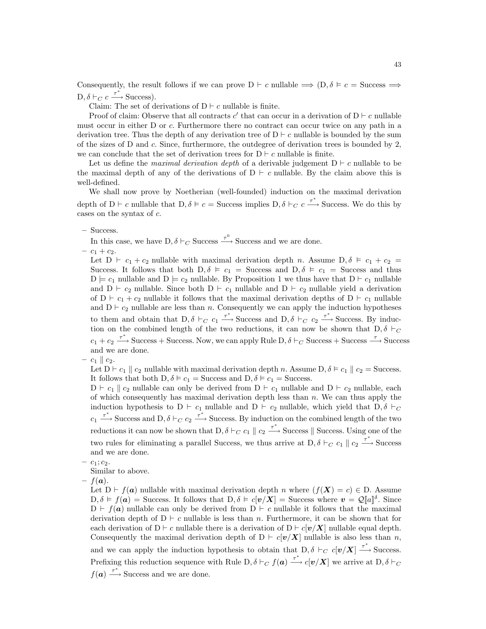Consequently, the result follows if we can prove  $D \vdash c$  nullable  $\implies (D, \delta \models c =$  Success  $\implies$  $D, \delta \vdash_C c \xrightarrow{\tau^*} Success.$ 

Claim: The set of derivations of  $D \vdash c$  nullable is finite.

Proof of claim: Observe that all contracts  $c'$  that can occur in a derivation of  $D \vdash c$  nullable must occur in either D or c. Furthermore there no contract can occur twice on any path in a derivation tree. Thus the depth of any derivation tree of  $D \vdash c$  nullable is bounded by the sum of the sizes of D and c. Since, furthermore, the outdegree of derivation trees is bounded by 2, we can conclude that the set of derivation trees for  $D \vdash c$  nullable is finite.

Let us define the *maximal derivation depth* of a derivable judgement  $D \vdash c$  nullable to be the maximal depth of any of the derivations of  $D \vdash c$  nullable. By the claim above this is well-defined.

We shall now prove by Noetherian (well-founded) induction on the maximal derivation depth of  $D \vdash c$  nullable that  $D, \delta \models c =$  Success implies  $D, \delta \vdash_C c \stackrel{\tau^*}{\longrightarrow}$  Success. We do this by cases on the syntax of c.

– Success.

In this case, we have  $D, \delta \vdash_C \text{Success} \xrightarrow{\tau^0} \text{Success}$  and we are done.

 $- c_1 + c_2.$ 

Let  $D \vdash c_1 + c_2$  nullable with maximal derivation depth n. Assume  $D, \delta \models c_1 + c_2 =$ Success. It follows that both D,  $\delta \models c_1$  = Success and D,  $\delta \models c_1$  = Success and thus  $D \models c_1$  nullable and  $D \models c_2$  nullable. By Proposition 1 we thus have that  $D \vdash c_1$  nullable and  $D \vdash c_2$  nullable. Since both  $D \vdash c_1$  nullable and  $D \vdash c_2$  nullable yield a derivation of  $D \vdash c_1 + c_2$  nullable it follows that the maximal derivation depths of  $D \vdash c_1$  nullable and  $D \vdash c_2$  nullable are less than n. Consequently we can apply the induction hypotheses to them and obtain that  $D, \delta \vdash_C c_1 \stackrel{\tau^*}{\longrightarrow}$  Success and  $D, \delta \vdash_C c_2 \stackrel{\tau^*}{\longrightarrow}$  Success. By induction on the combined length of the two reductions, it can now be shown that  $D, \delta \vdash_C$  $c_1 + c_2 \xrightarrow{\tau^*}$  Success + Success. Now, we can apply Rule D,  $\delta \vdash_C$  Success + Success  $\xrightarrow{\tau}$  Success and we are done.

 $- c_1 || c_2.$ 

Let  $D \vdash c_1 \parallel c_2$  nullable with maximal derivation depth n. Assume  $D, \delta \models c_1 \parallel c_2$  = Success. It follows that both  $D, \delta \models c_1$  = Success and  $D, \delta \models c_1$  = Success.

 $D \vdash c_1 \parallel c_2$  nullable can only be derived from  $D \vdash c_1$  nullable and  $D \vdash c_2$  nullable, each of which consequently has maximal derivation depth less than  $n$ . We can thus apply the induction hypothesis to D  $\vdash$  c<sub>1</sub> nullable and D  $\vdash$  c<sub>2</sub> nullable, which yield that D,  $\delta \vdash_C$  $c_1 \stackrel{\tau^*}{\longrightarrow}$  Success and D,  $\delta \vdash_C c_2 \stackrel{\tau^*}{\longrightarrow}$  Success. By induction on the combined length of the two reductions it can now be shown that  $D, \delta \vdash_C c_1 \parallel c_2 \stackrel{\tau^*}{\longrightarrow}$  Success  $\parallel$  Success. Using one of the two rules for eliminating a parallel Success, we thus arrive at D,  $\delta \vdash_C c_1 \parallel c_2 \stackrel{\tau^*}{\longrightarrow}$  Success and we are done.

 $c_1; c_2.$ 

Similar to above.

 $- f(a)$ .

Let  $D \vdash f(a)$  nullable with maximal derivation depth n where  $(f(X) = c) \in D$ . Assume  $D, \delta \models f(a) =$  Success. It follows that  $D, \delta \models c[\boldsymbol{v}/\boldsymbol{X}] =$  Success where  $\boldsymbol{v} = \mathcal{Q}[a]\delta$ . Since  $D \vdash f(a)$  nullable can only be derived from  $D \vdash c$  nullable it follows that the maximal derivation depth of  $D \vdash c$  nullable is less than n. Furthermore, it can be shown that for each derivation of  $D \vdash c$  nullable there is a derivation of  $D \vdash c[\mathbf{v}/X]$  nullable equal depth. Consequently the maximal derivation depth of  $D \vdash c[\boldsymbol{v}/X]$  nullable is also less than n, and we can apply the induction hypothesis to obtain that  $D, \delta \vdash_C c[v/X] \stackrel{\tau^*}{\longrightarrow}$  Success. Prefixing this reduction sequence with Rule D,  $\delta \vdash_C f(a) \stackrel{\tau^*}{\longrightarrow} c[\bm{v}/\bm{X}]$  we arrive at D,  $\delta \vdash_C$  $f(\boldsymbol{a}) \stackrel{\tau^*}{\longrightarrow}$  Success and we are done.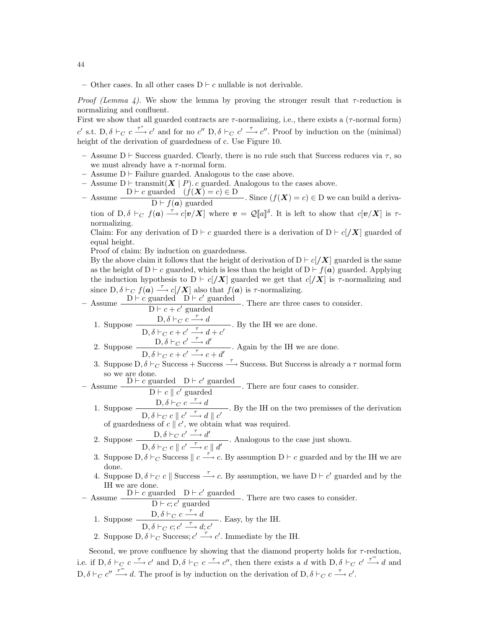– Other cases. In all other cases  $D \vdash c$  nullable is not derivable.

*Proof (Lemma 4).* We show the lemma by proving the stronger result that  $\tau$ -reduction is normalizing and confluent.

First we show that all guarded contracts are  $\tau$ -normalizing, i.e., there exists a ( $\tau$ -normal form) c' s.t.  $D, \delta \vdash_C c \stackrel{\tau^*}{\longrightarrow} c'$  and for no c''  $D, \delta \vdash_C c' \stackrel{\tau}{\longrightarrow} c''$ . Proof by induction on the (minimal) height of the derivation of guardedness of c. Use Figure 10.

- Assume  $D \vdash$  Success guarded. Clearly, there is no rule such that Success reduces via  $\tau$ , so we must already have a  $\tau$ -normal form.
- Assume  $D \vdash$  Failure guarded. Analogous to the case above.
- Assume  $D \vdash \text{transmit}(\boldsymbol{X} \mid P)$ . c guarded. Analogous to the cases above.
- Assume  $\frac{D\vdash c \text{ guarded}^{\dagger}(f(\boldsymbol{X})=c) \in D}{D\vdash f(\boldsymbol{a}) \text{ guarded}}$ . Since  $(f(\boldsymbol{X})=c) \in D$  we can build a derivation of  $D, \delta \vdash_C f(a) \stackrel{\tau}{\longrightarrow} c[v/X]$  where  $v = \mathcal{Q}[a]\delta$ . It is left to show that  $c[v/X]$  is  $\tau$ -

normalizing.

Claim: For any derivation of  $D \vdash c$  guarded there is a derivation of  $D \vdash c$  guarded of equal height.

Proof of claim: By induction on guardedness.

By the above claim it follows that the height of derivation of  $D \vdash c / X$  guarded is the same as the height of  $D \vdash c$  guarded, which is less than the height of  $D \vdash f(a)$  guarded. Applying the induction hypothesis to  $D \vdash c / X$  guarded we get that  $c / X$  is  $\tau$ -normalizing and since  $D, \delta \vdash_C f(a) \stackrel{\tau}{\longrightarrow} c[\Lambda]$  also that  $f(a)$  is  $\tau$ -normalizing.

- Assume  $\frac{\text{D} \vdash c \text{ guarded}}{\text{D} \vdash c}$  guarded  $\frac{\text{square } D + c}{\text{triangle}}$ . There are three cases to consider.

1. Suppose 
$$
\frac{D, \delta \vdash_C c \xrightarrow{\tau} d}{D, \delta \vdash_C c + c' \xrightarrow{\tau} d + c'}
$$
. By the IH we are done.

- 2. Suppose  $\frac{D, \delta \vdash_C c' \stackrel{\tau}{\longrightarrow} d'}{D, \delta \vdash_C c' \stackrel{\tau}{\longrightarrow} d'}$  $\frac{D_1 \sigma + C_2 \sigma}{D_1 \delta + C_2 \sigma + C_1 \sigma}$ . Again by the IH we are done.
- 3. Suppose  $D, \delta \vdash_C$  Success + Success  $\stackrel{\tau}{\longrightarrow}$  Success. But Success is already a  $\tau$  normal form so we are done.
- Assume  $\frac{D \vdash c$  guarded  $D \vdash c'$  guarded  $\overline{D \vdash c \parallel c'}$  guarded.<br> $\overline{D \vdash c \parallel c'}$  guarded.
	- 1. Suppose  $\frac{D, \delta \vdash_C c \stackrel{\tau}{\longrightarrow} d}{\longrightarrow}$  $\frac{D_1\delta + C_0\delta + C_0\delta}{D_1\delta + C_2\delta + C_1\delta}$ . By the IH on the two premisses of the derivation of guardedness of  $c \parallel c'$ , we obtain what was required.
	- 2. Suppose  $\frac{D, \delta \vdash_C c' \stackrel{\tau}{\longrightarrow} d'}{P}$  $\frac{D_1 \sigma + C_2 \sigma}{D_1 \delta + C_2 \sigma}$ . Analogous to the case just shown.
	- 3. Suppose  $D, \delta \vdash_C$  Success  $\parallel c \stackrel{\tau}{\longrightarrow} c$ . By assumption  $D \vdash c$  guarded and by the IH we are done.
	- 4. Suppose  $D, \delta \vdash_C c \parallel$  Success  $\xrightarrow{\tau} c$ . By assumption, we have  $D \vdash c'$  guarded and by the IH we are done.
- Assume  $\frac{D \vdash c \text{ guarded}}{D \vdash c'}$  guarded  $\frac{\text{dataed}}{\text{D} \vdash c; c'}$  guarded.<br>There are two cases to consider.
	- 1. Suppose  $\frac{D, \delta \vdash_C c \stackrel{\tau}{\longrightarrow} d}{\longrightarrow}$ D, δ `<sup>C</sup> c; c 0 <sup>τ</sup> −→ d; c 0 . Easy, by the IH.
	- 2. Suppose  $D, \delta \vdash_C \text{Success}; c' \stackrel{\tau}{\longrightarrow} c'$ . Immediate by the IH.

Second, we prove confluence by showing that the diamond property holds for  $\tau$ -reduction, i.e. if  $D, \delta \vdash_C c \stackrel{\tau}{\longrightarrow} c'$  and  $D, \delta \vdash_C c \stackrel{\tau}{\longrightarrow} c''$ , then there exists a d with  $D, \delta \vdash_C c' \stackrel{\tau}{\longrightarrow} d$  and  $D, \delta \vdash_C c'' \stackrel{\tau^=}{\longrightarrow} d.$  The proof is by induction on the derivation of  $D, \delta \vdash_C c \stackrel{\tau}{\longrightarrow} c'.$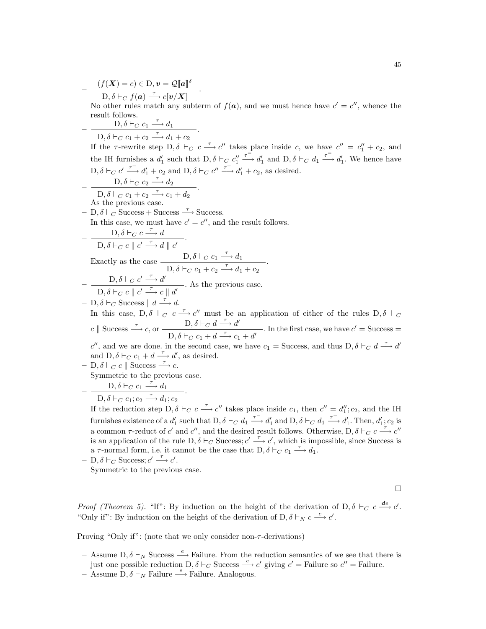$$
(f(\mathbf{X}) = c) \in \mathbf{D}, \mathbf{v} = \mathcal{Q}[\![\mathbf{a}]\!]^{\delta}
$$

–

–

–

–

–

 $D, \delta \vdash_C f(\boldsymbol{a}) \stackrel{\tau}{\longrightarrow} c[\boldsymbol{v}/\boldsymbol{X}]$ 

No other rules match any subterm of  $f(a)$ , and we must hence have  $c' = c''$ , whence the result follows.  $D, \delta \vdash_C c_1 \stackrel{\tau}{\longrightarrow} d_1$ 

 $D, \delta \vdash_C c_1 + c_2 \stackrel{\tau}{\longrightarrow} d_1 + c_2$ 

If the  $\tau$ -rewrite step D,  $\delta \vdash_C c \stackrel{\tau}{\longrightarrow} c''$  takes place inside c, we have  $c'' = c''_1 + c_2$ , and the IH furnishes a  $d'_1$  such that  $D, \delta \vdash_C c''_1$  $\stackrel{\tau^=}{\longrightarrow} d'_1$  and  $D, \delta \vdash_C d_1 \stackrel{\tau^=}{\longrightarrow} d'_1$ . We hence have  $D, \delta \vdash_C c' \stackrel{\tau^-}{\longrightarrow} d'_1 + c_2$  and  $D, \delta \vdash_C c'' \stackrel{\tau^-}{\longrightarrow} d'_1 + c_2$ , as desired.

$$
\frac{D, \delta \vdash_C c_2 \xrightarrow{\tau} d_2}{D, \delta \vdash_C c_1 + c_2 \xrightarrow{\tau} c_1 + d_2}
$$
  
As the previous case.

 $– D, \delta \vdash_C$  Success + Success  $\stackrel{\tau}{\longrightarrow}$  Success. In this case, we must have  $c' = c''$ , and the result follows.

.

.

$$
\frac{\mathcal{D}, \delta \vdash_C c \stackrel{\tau}{\longrightarrow} d}{\mathcal{D}, \delta \vdash_C c \parallel c' \stackrel{\tau}{\longrightarrow} d \parallel c'}.
$$

Exactly as the case  $\frac{D, \delta \vdash_C c_1 \stackrel{\tau}{\longrightarrow} d_1}{\tau}$  $\frac{D_1 \sigma + C_2 C_1 + \sigma_1}{D_1 \delta + C_2 C_1 + C_2 \rightarrow d_1 + c_2}.$ 

$$
\frac{D, \delta \vdash_C c' \xrightarrow{\tau} d'}{D, \delta \vdash_C c \parallel c' \xrightarrow{\tau} c \parallel d'}
$$
. As the previous case.

 $-$  D,  $\delta \vdash_C$  Success  $|| d \stackrel{\tau}{\longrightarrow} d$ . In this case,  $D, \delta \vdash_C c \stackrel{\tau}{\longrightarrow} c''$  must be an application of either of the rules  $D, \delta \vdash_C c$ c || Success  $\frac{\tau}{c}$ , or  $\frac{D, \delta \vdash_C d \stackrel{\tau}{\longrightarrow} d'}{\tau}$  $\frac{D, \delta \vdash_C a \longrightarrow a}{D, \delta \vdash_C c_1 + d \stackrel{\tau}{\longrightarrow} c_1 + d'}$ . In the first case, we have  $c' =$  Success = c'', and we are done. in the second case, we have  $c_1 =$  Success, and thus  $D, \delta \vdash_C d \stackrel{\tau}{\longrightarrow} d'$ and  $D, \delta \vdash_C c_1 + d \stackrel{\tau}{\longrightarrow} d'$ , as desired.

 $-$  D,  $\delta \vdash_C c \parallel$  Success  $\stackrel{\tau}{\longrightarrow} c$ . Symmetric to the previous case.

 $-\frac{D, \delta \vdash_C c_1 \xrightarrow{\tau} d_1}{\tau}$ 

 $\frac{D_1 \sigma + C_2 C_1 \cdots \sigma_1}{D_1 \delta + C_2 C_1; c_2 \cdots \delta_1 C_2}.$ 

If the reduction step  $D, \delta \vdash_C c \stackrel{\tau}{\longrightarrow} c''$  takes place inside  $c_1$ , then  $c'' = d_1''; c_2$ , and the IH furnishes existence of a  $d'_1$  such that  $D, \delta \vdash_C d_1 \stackrel{\tau^=}{\longrightarrow} d'_1$  and  $D, \delta \vdash_C d_1 \stackrel{\tau^=}{\longrightarrow} d'_1$ . Then,  $d'_1; c_2$  is a common  $\tau$ -reduct of c' and c'', and the desired result follows. Otherwise,  $D, \delta \vdash_C c \stackrel{\tau}{\longrightarrow} c''$ is an application of the rule  $D, \delta \vdash_C \text{Success}; c' \stackrel{\tau}{\longrightarrow} c'$ , which is impossible, since Success is a  $\tau$ -normal form, i.e. it cannot be the case that  $D, \delta \vdash_C c_1 \stackrel{\tau}{\longrightarrow} d_1$ .

$$
- D, \delta \vdash_C \text{Success}; c' \xrightarrow{\tau} c'.
$$
 Symmetric to the previous case.

 $\Box$ 

*Proof (Theorem 5).* "If": By induction on the height of the derivation of  $D, \delta \vdash_C c \stackrel{de}{\longrightarrow} c'$ . "Only if": By induction on the height of the derivation of  $D, \delta \vdash_N c \stackrel{e}{\longrightarrow} c'.$ 

Proving "Only if": (note that we only consider non-τ -derivations)

- Assume D,  $\delta \vdash_N$  Success  $\stackrel{e}{\longrightarrow}$  Failure. From the reduction semantics of we see that there is just one possible reduction  $D, \delta \vdash_C \text{Success} \stackrel{e}{\longrightarrow} c'$  giving  $c' = \text{Failure so } c'' = \text{Failure}$ .
- Assume D,  $δ ⊢<sub>N</sub>$  Failure  $\xrightarrow{e}$  Failure. Analogous.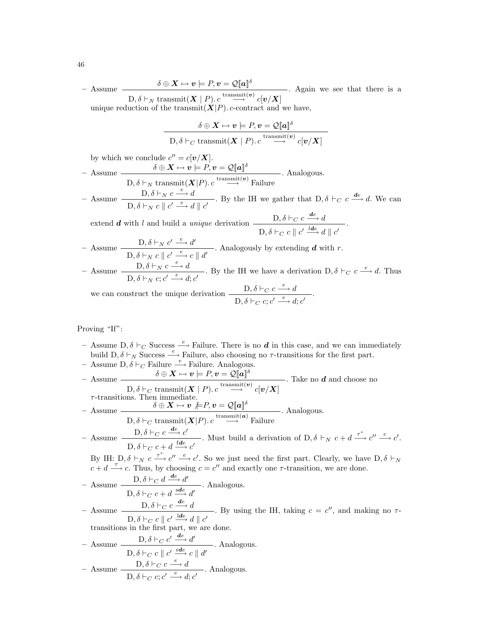$-$  Assume  $\delta \oplus X \mapsto v \models P, v = \mathcal{Q}[\![a]\!]^{\delta}$  $\mathrm{D}, \delta \vdash_N \mathrm{transmit}(\boldsymbol{X} \mid P)$ .  $c \overset{\mathrm{transmit}(\boldsymbol{v})}{\longrightarrow} c[\boldsymbol{v}/\boldsymbol{X}]$ . Again we see that there is a

unique reduction of the transmit $(X|P)$ . c-contract and we have,

$$
\frac{\delta \oplus X \mapsto v \models P, v = \mathcal{Q}[\![a]\!]^\delta}{\mathrm{D}, \delta \vdash_C \text{transmit}(\bm{X} \mid P). \, c \xrightarrow{\text{transmit}(\bm{v})} c[\bm{v}/\bm{X}]}
$$

by which we conclude  $c'' = c[\boldsymbol{v}/\boldsymbol{X}].$ 

- $-$  Assume  $-\delta \oplus X \mapsto v \models P, v = \mathcal{Q}[\![a]\!]^{\delta}$  $\mathrm{D}, \delta \vdash_N \mathrm{transmit}(\boldsymbol{X}|P)$ .  $c \overset{\mathrm{transmit}(\boldsymbol{v})}{\longrightarrow} \mathrm{Failure}$ . Analogous.
- $-$  Assume  $\underbrace{\hspace{1cm}D,\delta\vdash_N c \stackrel{e}{\longrightarrow}d}_{\sim}$  $\frac{D, \delta \vdash_N c \longrightarrow a}{D, \delta \vdash_N c \parallel c' \stackrel{e}{\longrightarrow} d \parallel c'}$ . By the IH we gather that  $D, \delta \vdash_C c \stackrel{de}{\longrightarrow} d$ . We can

extend **d** with l and build a unique derivation  $\overline{D, \delta \vdash_C c \stackrel{de}{=} d}$  $\frac{D, \delta \vdash_C c \parallel c' \stackrel{ide}{\longrightarrow} d \parallel c'}{D, \delta \vdash_C c \parallel c' \stackrel{ide}{\longrightarrow} d \parallel c'}.$ 

 $-$  Assume  $\underbrace{\hspace{1cm}D,\delta\vdash_N c' \stackrel{e}{\longrightarrow} d'}$  $\frac{D_1 \sigma + N_0}{D_1 \delta + N_1 c}$   $\frac{d}{dx}$ . Analogously by extending **d** with r.  $-$  Assume  $\underbrace{\hspace{1cm}D,\delta\vdash_N c \stackrel{e}{\longrightarrow}d}_{\sim\text{const}}$  $\frac{D, \delta \vdash_N c \longrightarrow a}{D, \delta \vdash_N c; c' \stackrel{e}{\longrightarrow} d; c'}$ . By the IH we have a derivation  $D, \delta \vdash_C c \stackrel{e}{\longrightarrow} d$ . Thus we can construct the unique derivation  $\frac{D, \delta \vdash_C c \stackrel{e}{\longrightarrow} d}{\longrightarrow}$ .

construct the unique derivation 
$$
\frac{}{\mathcal{D}, \delta \vdash_C c; c' \stackrel{e}{\longrightarrow} d; c'}
$$

Proving "If":

– Assume D,  $\delta \vdash_C$  Success  $\stackrel{e}{\longrightarrow}$  Failure. There is no *d* in this case, and we can immediately build D,  $\delta \vdash_N$  Success  $\xrightarrow{e}$  Failure, also choosing no  $\tau$ -transitions for the first part.  $-$  Assume D, δ  $\vdash_C$  Failure  $\stackrel{e}{\longrightarrow}$  Failure. Analogous.

Assume 
$$
\Delta, \theta + C
$$
 rather  $\Delta$  (where  $\Delta$  is the same  
\n $\Delta \oplus X \mapsto v \models P, v = \mathcal{Q}[\![a]\!]^{\delta}$   
\n $\Delta$  (where  $\Delta$  is the same)  
\n $\Delta$  is the same  
\n $\Delta$  is the same  
\n $\Delta$  is the same  
\n $\Delta$  is the same  
\n $\Delta$  is the same  
\n $\Delta$  is the same  
\n $\Delta$  is the same  
\n $\Delta$  is the same  
\n $\Delta$  is the same  
\n $\Delta$  is the same  
\n $\Delta$  is the same  
\n $\Delta$  is the same  
\n $\Delta$  is the same  
\n $\Delta$  is the same  
\n $\Delta$  is the same  
\n $\Delta$  is the same  
\n $\Delta$  is the same  
\n $\Delta$  is the same  
\n $\Delta$  is the same  
\n $\Delta$  is the same  
\n $\Delta$  is the same  
\n $\Delta$  is the same  
\n $\Delta$  is the same  
\n $\Delta$  is the same  
\n $\Delta$  is the same  
\n $\Delta$  is the same  
\n $\Delta$  is the same  
\n $\Delta$  is the same  
\n $\Delta$  is the same  
\n $\Delta$  is the same  
\n $\Delta$  is the same  
\n $\Delta$  is the same  
\n $\Delta$  is the same  
\n $\Delta$  is the same  
\n $\Delta$  is the same  
\n $\Delta$  is the same  
\n $\Delta$  is the same  
\n $\Delta$  is the same  
\n $\Delta$  is the same  
\n $\Delta$  is the same  
\n $\Delta$  is the same  
\n $\Delta$  is the same  
\n $\Delta$  is the same  
\n $\Delta$  is the same  
\n $\Delta$  is the same  
\n $\Delta$  is the same  
\n $\Delta$  is the same  
\n $\Delta$  is the same  
\n $\Delta$  is the same  
\n $\Delta$  is the same  
\n $\Delta$  is the same  
\n $\Delta$ 

- Assume 
$$
\frac{D, \delta \vdash_C c \stackrel{e}{\longrightarrow} d}{D, \delta \vdash_C c; c' \stackrel{e}{\longrightarrow} d; c'}
$$
. Analogous.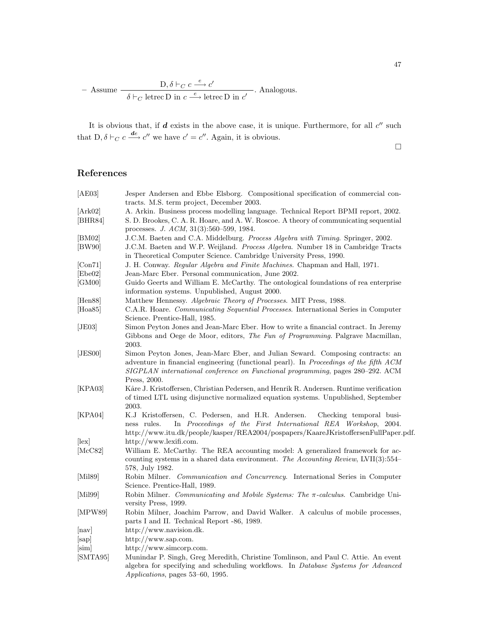- Assume 
$$
\frac{D, \delta \vdash_C c \xrightarrow{\epsilon} c'}{\delta \vdash_C \text{letrec D in } c \xrightarrow{\epsilon} \text{letrec D in } c'}
$$
. Analogous.

It is obvious that, if  $d$  exists in the above case, it is unique. Furthermore, for all  $c''$  such that  $D, \delta \vdash_C c \stackrel{de}{\longrightarrow} c''$  we have  $c' = c''$ . Again, it is obvious.

 $\Box$ 

# References

| [AE03]         | Jesper Andersen and Ebbe Elsborg. Compositional specification of commercial con-<br>tracts. M.S. term project, December 2003.                                                                                                                                              |
|----------------|----------------------------------------------------------------------------------------------------------------------------------------------------------------------------------------------------------------------------------------------------------------------------|
| [Ark02]        | A. Arkin. Business process modelling language. Technical Report BPMI report, 2002.                                                                                                                                                                                         |
| [BHR84]        | S. D. Brookes, C. A. R. Hoare, and A. W. Roscoe. A theory of communicating sequential<br>processes. J. $ACM$ , $31(3):560-599$ , 1984.                                                                                                                                     |
| [BM02]         | J.C.M. Baeten and C.A. Middelburg. Process Algebra with Timing. Springer, 2002.                                                                                                                                                                                            |
| [BW90]         | J.C.M. Baeten and W.P. Weijland. Process Algebra. Number 18 in Cambridge Tracts<br>in Theoretical Computer Science. Cambridge University Press, 1990.                                                                                                                      |
| [Con71]        | J. H. Conway. <i>Regular Algebra and Finite Machines</i> . Chapman and Hall, 1971.                                                                                                                                                                                         |
| Ebe02          | Jean-Marc Eber. Personal communication, June 2002.                                                                                                                                                                                                                         |
| [GM00]         | Guido Geerts and William E. McCarthy. The ontological foundations of rea enterprise                                                                                                                                                                                        |
|                | information systems. Unpublished, August 2000.                                                                                                                                                                                                                             |
| [Hen88]        | Matthew Hennessy. Algebraic Theory of Processes. MIT Press, 1988.                                                                                                                                                                                                          |
|                |                                                                                                                                                                                                                                                                            |
| [Hoa85]        | C.A.R. Hoare. <i>Communicating Sequential Processes</i> . International Series in Computer<br>Science. Prentice-Hall, 1985.                                                                                                                                                |
| [JE03]         | Simon Peyton Jones and Jean-Marc Eber. How to write a financial contract. In Jeremy<br>Gibbons and Oege de Moor, editors, The Fun of Programming. Palgrave Macmillan,<br>2003.                                                                                             |
| [JES00]        | Simon Peyton Jones, Jean-Marc Eber, and Julian Seward. Composing contracts: an<br>adventure in financial engineering (functional pearl). In Proceedings of the fifth ACM<br>SIGPLAN international conference on Functional programming, pages 280-292. ACM<br>Press, 2000. |
| [KPA03]        | Kåre J. Kristoffersen, Christian Pedersen, and Henrik R. Andersen. Runtime verification<br>of timed LTL using disjunctive normalized equation systems. Unpublished, September<br>2003.                                                                                     |
| [KPA04]        | K.J Kristoffersen, C. Pedersen, and H.R. Andersen.<br>Checking temporal busi-<br>In Proceedings of the First International REA Workshop, 2004.<br>ness rules.<br>http://www.itu.dk/people/kasper/REA2004/pospapers/KaareJKristoffersenFullPaper.pdf.                       |
| $[\text{lex}]$ | http://www.lexifi.com.                                                                                                                                                                                                                                                     |
| [McC82]        | William E. McCarthy. The REA accounting model: A generalized framework for ac-<br>counting systems in a shared data environment. The Accounting Review, LVII(3):554–<br>578, July 1982.                                                                                    |
| [Mil89]        | Robin Milner. Communication and Concurrency. International Series in Computer<br>Science. Prentice-Hall, 1989.                                                                                                                                                             |
| [Mil99]        | Robin Milner. Communicating and Mobile Systems: The $\pi$ -calculus. Cambridge Uni-<br>versity Press, 1999.                                                                                                                                                                |
| [MPW89]        | Robin Milner, Joachim Parrow, and David Walker. A calculus of mobile processes,<br>parts I and II. Technical Report -86, 1989.                                                                                                                                             |
| $\vert n$ av   | http://www.navision.dk.                                                                                                                                                                                                                                                    |
| [sap]          | http://www.sap.com.                                                                                                                                                                                                                                                        |
| $ \text{sim} $ | http://www.simcorp.com.                                                                                                                                                                                                                                                    |
| [SMTA95]       | Munindar P. Singh, Greg Meredith, Christine Tomlinson, and Paul C. Attie. An event<br>algebra for specifying and scheduling workflows. In Database Systems for Advanced<br>Applications, pages 53-60, 1995.                                                                |